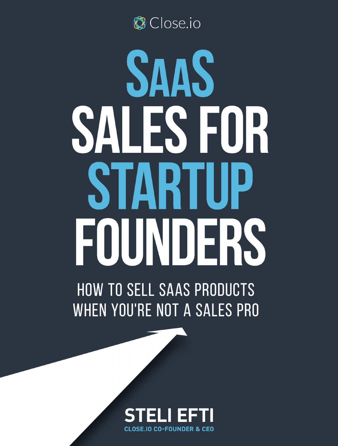

# SAAS SALES FOR STARTUP FOUNDERS **HOW TO SELL SAAS PRODUCTS**

WHEN YOU'RE NOT A SALES PRO

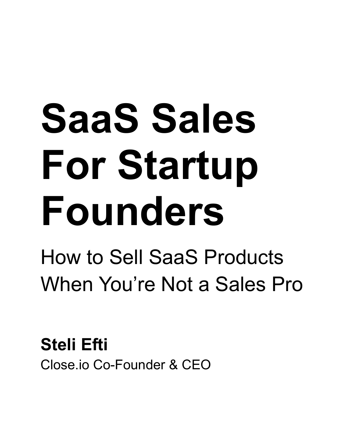# **SaaS Sales For Startup Founders**

How to Sell SaaS Products When You're Not a Sales Pro

**Steli Efti** Close.io Co-Founder & CEO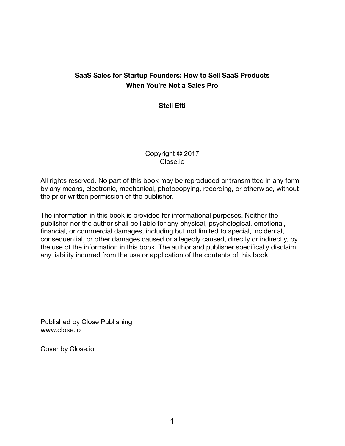#### **SaaS Sales for Startup Founders: How to Sell SaaS Products When You're Not a Sales Pro**

**Steli Efti** 

#### Copyright © 2017 Close.io

All rights reserved. No part of this book may be reproduced or transmitted in any form by any means, electronic, mechanical, photocopying, recording, or otherwise, without the prior written permission of the publisher.

The information in this book is provided for informational purposes. Neither the publisher nor the author shall be liable for any physical, psychological, emotional, financial, or commercial damages, including but not limited to special, incidental, consequential, or other damages caused or allegedly caused, directly or indirectly, by the use of the information in this book. The author and publisher specifically disclaim any liability incurred from the use or application of the contents of this book.

Published by Close Publishing www.close.io

Cover by Close.io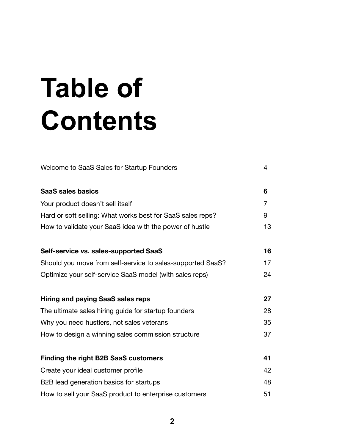# **Table of Contents**

| Welcome to SaaS Sales for Startup Founders                 | $\overline{4}$ |
|------------------------------------------------------------|----------------|
| <b>SaaS sales basics</b>                                   | 6              |
| Your product doesn't sell itself                           | 7              |
| Hard or soft selling: What works best for SaaS sales reps? | 9              |
| How to validate your SaaS idea with the power of hustle    | 13             |
| Self-service vs. sales-supported SaaS                      | 16             |
| Should you move from self-service to sales-supported SaaS? | 17             |
| Optimize your self-service SaaS model (with sales reps)    | 24             |
| Hiring and paying SaaS sales reps                          | 27             |
| The ultimate sales hiring guide for startup founders       | 28             |
| Why you need hustlers, not sales veterans                  | 35             |
| How to design a winning sales commission structure         | 37             |
| <b>Finding the right B2B SaaS customers</b>                | 41             |
| Create your ideal customer profile                         | 42             |
| B2B lead generation basics for startups                    | 48             |
| How to sell your SaaS product to enterprise customers      | 51             |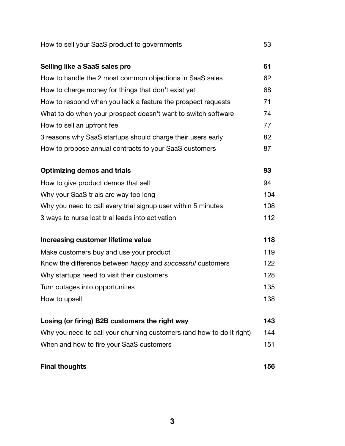| How to sell your SaaS product to governments                          | 53  |
|-----------------------------------------------------------------------|-----|
| Selling like a SaaS sales pro                                         | 61  |
| How to handle the 2 most common objections in SaaS sales              | 62  |
| How to charge money for things that don't exist yet                   | 68  |
| How to respond when you lack a feature the prospect requests          | 71  |
| What to do when your prospect doesn't want to switch software         | 74  |
| How to sell an upfront fee                                            | 77  |
| 3 reasons why SaaS startups should charge their users early           | 82  |
| How to propose annual contracts to your SaaS customers                | 87  |
|                                                                       |     |
| <b>Optimizing demos and trials</b>                                    | 93  |
| How to give product demos that sell                                   | 94  |
| Why your SaaS trials are way too long                                 | 104 |
| Why you need to call every trial signup user within 5 minutes         | 108 |
| 3 ways to nurse lost trial leads into activation                      | 112 |
|                                                                       |     |
| Increasing customer lifetime value                                    | 118 |
| Make customers buy and use your product                               | 119 |
| Know the difference between happy and successful customers            | 122 |
| Why startups need to visit their customers                            | 128 |
| Turn outages into opportunities                                       | 135 |
| How to upsell                                                         | 138 |
|                                                                       |     |
| Losing (or firing) B2B customers the right way                        | 143 |
| Why you need to call your churning customers (and how to do it right) | 144 |
| When and how to fire your SaaS customers                              | 151 |
| <b>Final thoughts</b>                                                 | 156 |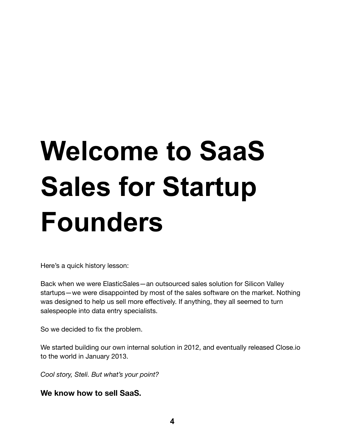# **Welcome to SaaS Sales for Startup Founders**

Here's a quick history lesson:

Back when we were ElasticSales—an outsourced sales solution for Silicon Valley startups—we were disappointed by most of the sales software on the market. Nothing was designed to help us sell more effectively. If anything, they all seemed to turn salespeople into data entry specialists.

So we decided to fix the problem.

We started building our own internal solution in 2012, and eventually released Close.io to the world in January 2013.

*Cool story, Steli. But what's your point?* 

**We know how to sell SaaS.**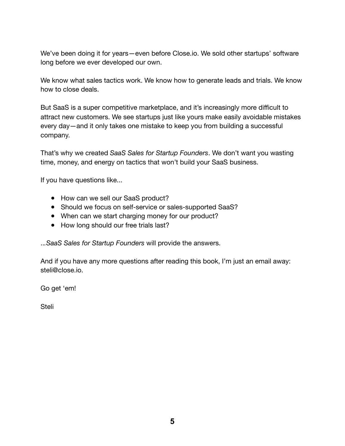We've been doing it for years—even before Close.io. We sold other startups' software long before we ever developed our own.

We know what sales tactics work. We know how to generate leads and trials. We know how to close deals.

But SaaS is a super competitive marketplace, and it's increasingly more difficult to attract new customers. We see startups just like yours make easily avoidable mistakes every day—and it only takes one mistake to keep you from building a successful company.

That's why we created *SaaS Sales for Startup Founders*. We don't want you wasting time, money, and energy on tactics that won't build your SaaS business.

If you have questions like...

- How can we sell our SaaS product?
- Should we focus on self-service or sales-supported SaaS?
- When can we start charging money for our product?
- How long should our free trials last?

..*.SaaS Sales for Startup Founders* will provide the answers.

And if you have any more questions after reading this book, I'm just an email away: steli@close.io.

Go get 'em!

Steli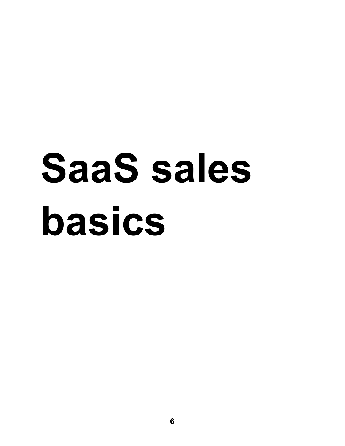# **SaaS sales basics**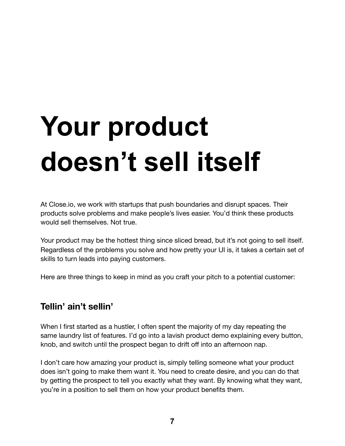# **Your product doesn't sell itself**

At Close.io, we work with startups that push boundaries and disrupt spaces. Their products solve problems and make people's lives easier. You'd think these products would sell themselves. Not true.

Your product may be the hottest thing since sliced bread, but it's not going to sell itself. Regardless of the problems you solve and how pretty your UI is, it takes a certain set of skills to turn leads into paying customers.

Here are three things to keep in mind as you craft your pitch to a potential customer:

# **Tellin' ain't sellin'**

When I first started as a hustler, I often spent the majority of my day repeating the same laundry list of features. I'd go into a lavish product demo explaining every button, knob, and switch until the prospect began to drift off into an afternoon nap.

I don't care how amazing your product is, simply telling someone what your product does isn't going to make them want it. You need to create desire, and you can do that by getting the prospect to tell you exactly what they want. By knowing what they want, you're in a position to sell them on how your product benefits them.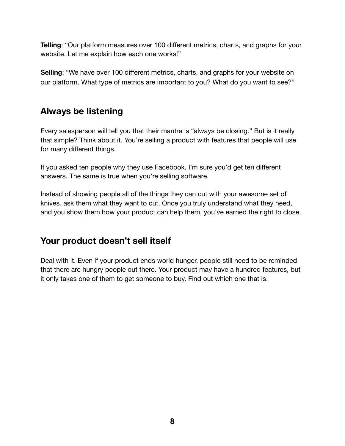**Telling**: "Our platform measures over 100 different metrics, charts, and graphs for your website. Let me explain how each one works!"

**Selling**: "We have over 100 different metrics, charts, and graphs for your website on our platform. What type of metrics are important to you? What do you want to see?"

### **Always be listening**

Every salesperson will tell you that their mantra is "always be closing." But is it really that simple? Think about it. You're selling a product with features that people will use for many different things.

If you asked ten people why they use Facebook, I'm sure you'd get ten different answers. The same is true when you're selling software.

Instead of showing people all of the things they can cut with your awesome set of knives, ask them what they want to cut. Once you truly understand what they need, and you show them how your product can help them, you've earned the right to close.

# **Your product doesn't sell itself**

Deal with it. Even if your product ends world hunger, people still need to be reminded that there are hungry people out there. Your product may have a hundred features, but it only takes one of them to get someone to buy. Find out which one that is.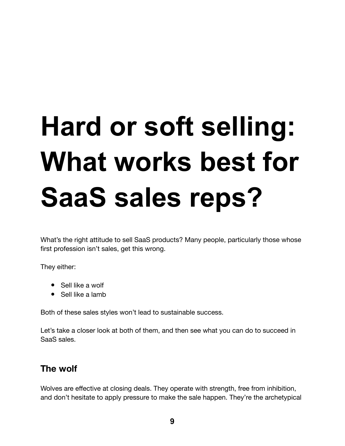# **Hard or soft selling: What works best for SaaS sales reps?**

What's the right attitude to sell SaaS products? Many people, particularly those whose first profession isn't sales, get this wrong.

They either:

- Sell like a wolf
- Sell like a lamb

Both of these sales styles won't lead to sustainable success.

Let's take a closer look at both of them, and then see what you can do to succeed in SaaS sales.

# **The wolf**

Wolves are effective at closing deals. They operate with strength, free from inhibition, and don't hesitate to apply pressure to make the sale happen. They're the archetypical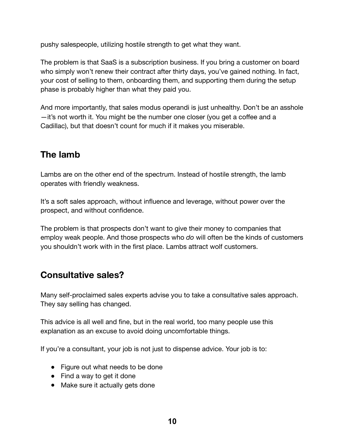pushy salespeople, utilizing hostile strength to get what they want.

The problem is that SaaS is a subscription business. If you bring a customer on board who simply won't renew their contract after thirty days, you've gained nothing. In fact, your cost of selling to them, onboarding them, and supporting them during the setup phase is probably higher than what they paid you.

And more importantly, that sales modus operandi is just unhealthy. Don't be an asshole —it's not worth it. You might be the number one closer (you get a coffee and a Cadillac), but that doesn't count for much if it makes you miserable.

# **The lamb**

Lambs are on the other end of the spectrum. Instead of hostile strength, the lamb operates with friendly weakness.

It's a soft sales approach, without influence and leverage, without power over the prospect, and without confidence.

The problem is that prospects don't want to give their money to companies that employ weak people. And those prospects who *do* will often be the kinds of customers you shouldn't work with in the first place. Lambs attract wolf customers.

### **Consultative sales?**

Many self-proclaimed sales experts advise you to take a consultative sales approach. They say selling has changed.

This advice is all well and fine, but in the real world, too many people use this explanation as an excuse to avoid doing uncomfortable things.

If you're a consultant, your job is not just to dispense advice. Your job is to:

- Figure out what needs to be done
- Find a way to get it done
- Make sure it actually gets done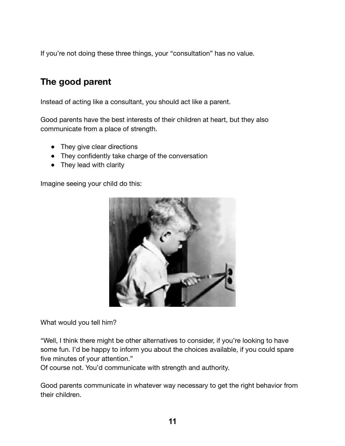If you're not doing these three things, your "consultation" has no value.

# **The good parent**

Instead of acting like a consultant, you should act like a parent.

Good parents have the best interests of their children at heart, but they also communicate from a place of strength.

- They give clear directions
- They confidently take charge of the conversation
- They lead with clarity

Imagine seeing your child do this:



What would you tell him?

"Well, I think there might be other alternatives to consider, if you're looking to have some fun. I'd be happy to inform you about the choices available, if you could spare five minutes of your attention."

Of course not. You'd communicate with strength and authority.

Good parents communicate in whatever way necessary to get the right behavior from their children.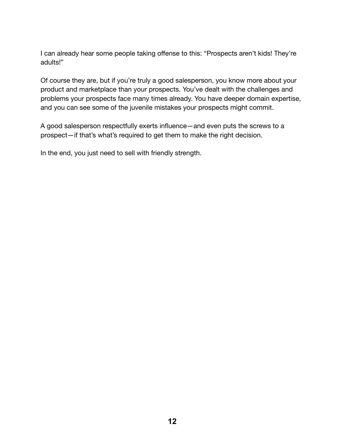I can already hear some people taking offense to this: "Prospects aren't kids! They're adults!"

Of course they are, but if you're truly a good salesperson, you know more about your product and marketplace than your prospects. You've dealt with the challenges and problems your prospects face many times already. You have deeper domain expertise, and you can see some of the juvenile mistakes your prospects might commit.

A good salesperson respectfully exerts influence—and even puts the screws to a prospect—if that's what's required to get them to make the right decision.

In the end, you just need to sell with friendly strength.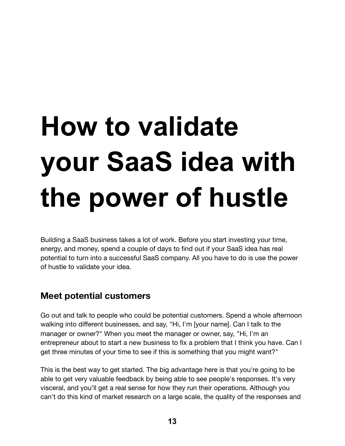# **How to validate your SaaS idea with the power of hustle**

Building a SaaS business takes a lot of work. Before you start investing your time, energy, and money, spend a couple of days to find out if your SaaS idea has real potential to turn into a successful SaaS company. All you have to do is use the power of hustle to validate your idea.

# **Meet potential customers**

Go out and talk to people who could be potential customers. Spend a whole afternoon walking into different businesses, and say, "Hi, I'm [your name]. Can I talk to the manager or owner?" When you meet the manager or owner, say, "Hi, I'm an entrepreneur about to start a new business to fix a problem that I think you have. Can I get three minutes of your time to see if this is something that you might want?"

This is the best way to get started. The big advantage here is that you're going to be able to get very valuable feedback by being able to see people's responses. It's very visceral, and you'll get a real sense for how they run their operations. Although you can't do this kind of market research on a large scale, the quality of the responses and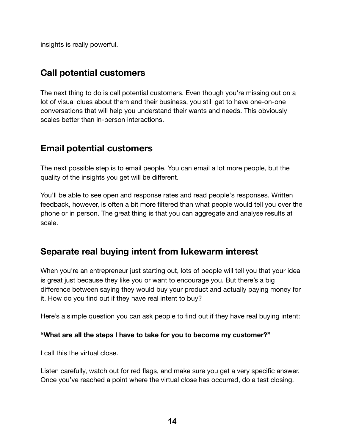insights is really powerful.

# **Call potential customers**

The next thing to do is call potential customers. Even though you're missing out on a lot of visual clues about them and their business, you still get to have one-on-one conversations that will help you understand their wants and needs. This obviously scales better than in-person interactions.

# **Email potential customers**

The next possible step is to email people. You can email a lot more people, but the quality of the insights you get will be different.

You'll be able to see open and response rates and read people's responses. Written feedback, however, is often a bit more filtered than what people would tell you over the phone or in person. The great thing is that you can aggregate and analyse results at scale.

# **Separate real buying intent from lukewarm interest**

When you're an entrepreneur just starting out, lots of people will tell you that your idea is great just because they like you or want to encourage you. But there's a big difference between saying they would buy your product and actually paying money for it. How do you find out if they have real intent to buy?

Here's a simple question you can ask people to find out if they have real buying intent:

#### **"What are all the steps I have to take for you to become my customer?"**

I call this the virtual close.

Listen carefully, watch out for red flags, and make sure you get a very specific answer. Once you've reached a point where the virtual close has occurred, do a test closing.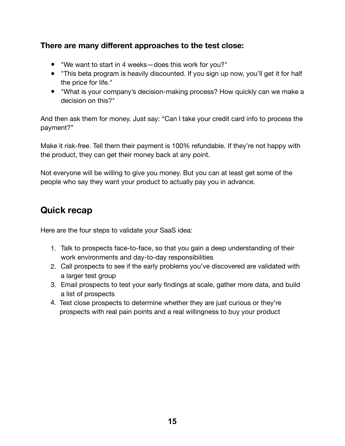#### **There are many different approaches to the test close:**

- "We want to start in 4 weeks does this work for you?"
- "This beta program is heavily discounted. If you sign up now, you'll get it for half the price for life."
- "What is your company's decision-making process? How quickly can we make a decision on this?"

And then ask them for money. Just say: "Can I take your credit card info to process the payment?"

Make it risk-free. Tell them their payment is 100% refundable. If they're not happy with the product, they can get their money back at any point.

Not everyone will be willing to give you money. But you can at least get some of the people who say they want your product to actually pay you in advance.

# **Quick recap**

Here are the four steps to validate your SaaS idea:

- 1. Talk to prospects face-to-face, so that you gain a deep understanding of their work environments and day-to-day responsibilities
- 2. Call prospects to see if the early problems you've discovered are validated with a larger test group
- 3. Email prospects to test your early findings at scale, gather more data, and build a list of prospects
- 4. Test close prospects to determine whether they are just curious or they're prospects with real pain points and a real willingness to buy your product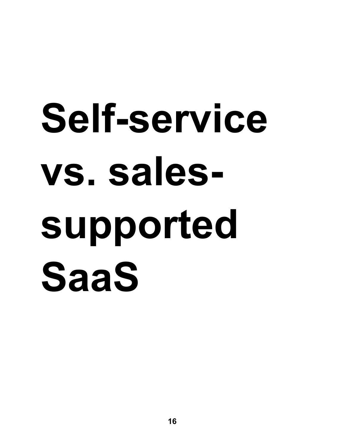# **Self-service vs. salessupported SaaS**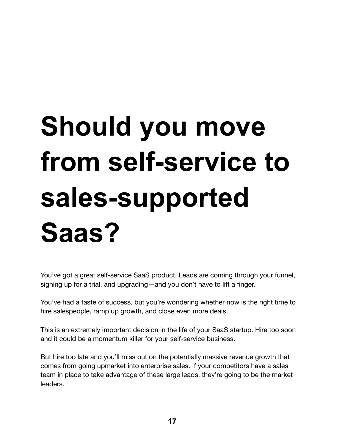# **Should you move from self-service to sales-supported Saas?**

You've got a great self-service SaaS product. Leads are coming through your funnel, signing up for a trial, and upgrading—and you don't have to lift a finger.

You've had a taste of success, but you're wondering whether now is the right time to hire salespeople, ramp up growth, and close even more deals.

This is an extremely important decision in the life of your SaaS startup. Hire too soon and it could be a momentum killer for your self-service business.

But hire too late and you'll miss out on the potentially massive revenue growth that comes from going upmarket into enterprise sales. If your competitors have a sales team in place to take advantage of these large leads, they're going to be the market leaders.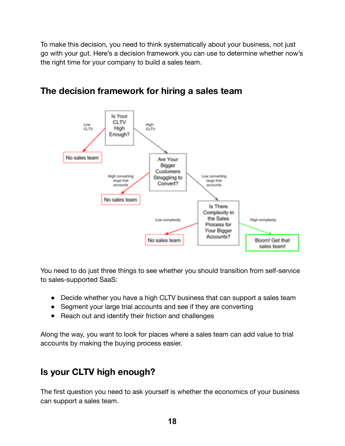To make this decision, you need to think systematically about your business, not just go with your gut. Here's a decision framework you can use to determine whether now's the right time for your company to build a sales team.



# **The decision framework for hiring a sales team**

You need to do just three things to see whether you should transition from self-service to sales-supported SaaS:

- Decide whether you have a high CLTV business that can support a sales team
- Segment your large trial accounts and see if they are converting
- Reach out and identify their friction and challenges

Along the way, you want to look for places where a sales team can add value to trial accounts by making the buying process easier.

# **Is your CLTV high enough?**

The first question you need to ask yourself is whether the economics of your business can support a sales team.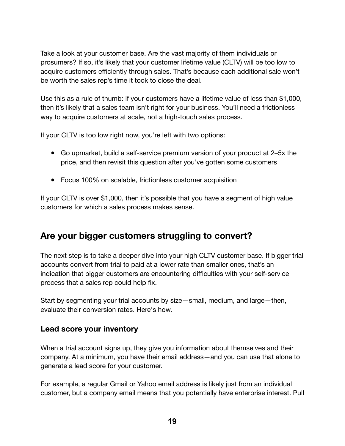Take a look at your customer base. Are the vast majority of them individuals or prosumers? If so, it's likely that your customer lifetime value (CLTV) will be too low to acquire customers efficiently through sales. That's because each additional sale won't be worth the sales rep's time it took to close the deal.

Use this as a rule of thumb: if your customers have a lifetime value of less than \$1,000, then it's likely that a sales team isn't right for your business. You'll need a frictionless way to acquire customers at scale, not a high-touch sales process.

If your CLTV is too low right now, you're left with two options:

- Go upmarket, build a self-service premium version of your product at 2–5x the price, and then revisit this question after you've gotten some customers
- Focus 100% on scalable, frictionless customer acquisition

If your CLTV is over \$1,000, then it's possible that you have a segment of high value customers for which a sales process makes sense.

# **Are your bigger customers struggling to convert?**

The next step is to take a deeper dive into your high CLTV customer base. If bigger trial accounts convert from trial to paid at a lower rate than smaller ones, that's an indication that bigger customers are encountering difficulties with your self-service process that a sales rep could help fix.

Start by segmenting your trial accounts by size—small, medium, and large—then, evaluate their conversion rates. Here's how.

#### **Lead score your inventory**

When a trial account signs up, they give you information about themselves and their company. At a minimum, you have their email address—and you can use that alone to generate a lead score for your customer.

For example, a regular Gmail or Yahoo email address is likely just from an individual customer, but a company email means that you potentially have enterprise interest. Pull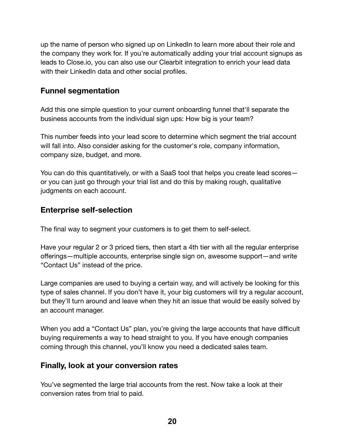up the name of person who signed up on LinkedIn to learn more about their role and the company they work for. If you're automatically adding your trial account signups as leads to Close.io, you can also use our Clearbit integration to enrich your lead data with their LinkedIn data and other social profiles.

#### **Funnel segmentation**

Add this one simple question to your current onboarding funnel that'll separate the business accounts from the individual sign ups: How big is your team?

This number feeds into your lead score to determine which segment the trial account will fall into. Also consider asking for the customer's role, company information, company size, budget, and more.

You can do this quantitatively, or with a SaaS tool that helps you create lead scores or you can just go through your trial list and do this by making rough, qualitative judgments on each account.

#### **Enterprise self-selection**

The final way to segment your customers is to get them to self-select.

Have your regular 2 or 3 priced tiers, then start a 4th tier with all the regular enterprise offerings—multiple accounts, enterprise single sign on, awesome support—and write "Contact Us" instead of the price.

Large companies are used to buying a certain way, and will actively be looking for this type of sales channel. If you don't have it, your big customers will try a regular account, but they'll turn around and leave when they hit an issue that would be easily solved by an account manager.

When you add a "Contact Us" plan, you're giving the large accounts that have difficult buying requirements a way to head straight to you. If you have enough companies coming through this channel, you'll know you need a dedicated sales team.

#### **Finally, look at your conversion rates**

You've segmented the large trial accounts from the rest. Now take a look at their conversion rates from trial to paid.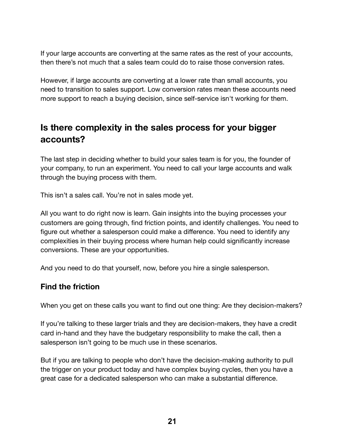If your large accounts are converting at the same rates as the rest of your accounts, then there's not much that a sales team could do to raise those conversion rates.

However, if large accounts are converting at a lower rate than small accounts, you need to transition to sales support. Low conversion rates mean these accounts need more support to reach a buying decision, since self-service isn't working for them.

# **Is there complexity in the sales process for your bigger accounts?**

The last step in deciding whether to build your sales team is for you, the founder of your company, to run an experiment. You need to call your large accounts and walk through the buying process with them.

This isn't a sales call. You're not in sales mode yet.

All you want to do right now is learn. Gain insights into the buying processes your customers are going through, find friction points, and identify challenges. You need to figure out whether a salesperson could make a difference. You need to identify any complexities in their buying process where human help could significantly increase conversions. These are your opportunities.

And you need to do that yourself, now, before you hire a single salesperson.

#### **Find the friction**

When you get on these calls you want to find out one thing: Are they decision-makers?

If you're talking to these larger trials and they are decision-makers, they have a credit card in-hand and they have the budgetary responsibility to make the call, then a salesperson isn't going to be much use in these scenarios.

But if you are talking to people who don't have the decision-making authority to pull the trigger on your product today and have complex buying cycles, then you have a great case for a dedicated salesperson who can make a substantial difference.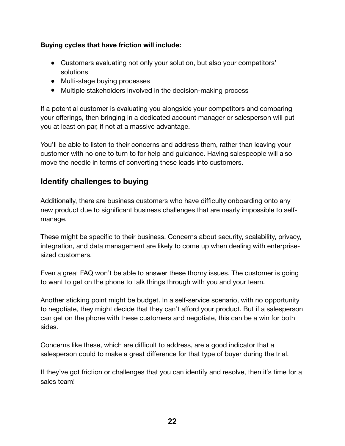#### **Buying cycles that have friction will include:**

- Customers evaluating not only your solution, but also your competitors' solutions
- Multi-stage buying processes
- Multiple stakeholders involved in the decision-making process

If a potential customer is evaluating you alongside your competitors and comparing your offerings, then bringing in a dedicated account manager or salesperson will put you at least on par, if not at a massive advantage.

You'll be able to listen to their concerns and address them, rather than leaving your customer with no one to turn to for help and guidance. Having salespeople will also move the needle in terms of converting these leads into customers.

#### **Identify challenges to buying**

Additionally, there are business customers who have difficulty onboarding onto any new product due to significant business challenges that are nearly impossible to selfmanage.

These might be specific to their business. Concerns about security, scalability, privacy, integration, and data management are likely to come up when dealing with enterprisesized customers.

Even a great FAQ won't be able to answer these thorny issues. The customer is going to want to get on the phone to talk things through with you and your team.

Another sticking point might be budget. In a self-service scenario, with no opportunity to negotiate, they might decide that they can't afford your product. But if a salesperson can get on the phone with these customers and negotiate, this can be a win for both sides.

Concerns like these, which are difficult to address, are a good indicator that a salesperson could to make a great difference for that type of buyer during the trial.

If they've got friction or challenges that you can identify and resolve, then it's time for a sales team!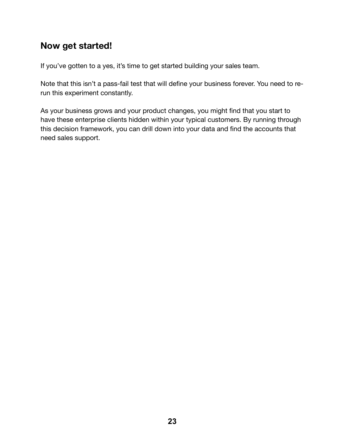# **Now get started!**

If you've gotten to a yes, it's time to get started building your sales team.

Note that this isn't a pass-fail test that will define your business forever. You need to rerun this experiment constantly.

As your business grows and your product changes, you might find that you start to have these enterprise clients hidden within your typical customers. By running through this decision framework, you can drill down into your data and find the accounts that need sales support.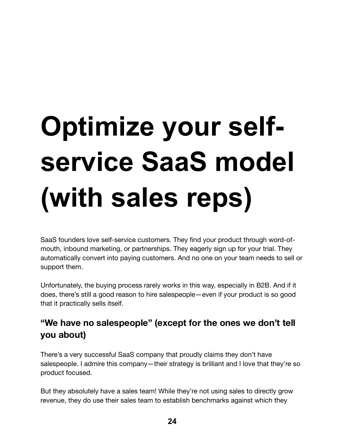# **Optimize your selfservice SaaS model (with sales reps)**

SaaS founders love self-service customers. They find your product through word-ofmouth, inbound marketing, or partnerships. They eagerly sign up for your trial. They automatically convert into paying customers. And no one on your team needs to sell or support them.

Unfortunately, the buying process rarely works in this way, especially in B2B. And if it does, there's still a good reason to hire salespeople—even if your product is so good that it practically sells itself.

# **"We have no salespeople" (except for the ones we don't tell you about)**

There's a very successful SaaS company that proudly claims they don't have salespeople. I admire this company—their strategy is brilliant and I love that they're so product focused.

But they absolutely have a sales team! While they're not using sales to directly grow revenue, they do use their sales team to establish benchmarks against which they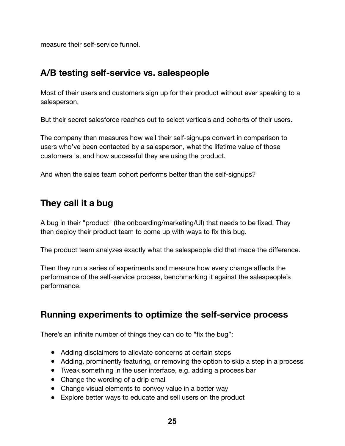measure their self-service funnel.

# **A/B testing self-service vs. salespeople**

Most of their users and customers sign up for their product without ever speaking to a salesperson.

But their secret salesforce reaches out to select verticals and cohorts of their users.

The company then measures how well their self-signups convert in comparison to users who've been contacted by a salesperson, what the lifetime value of those customers is, and how successful they are using the product.

And when the sales team cohort performs better than the self-signups?

# **They call it a bug**

A bug in their "product" (the onboarding/marketing/UI) that needs to be fixed. They then deploy their product team to come up with ways to fix this bug.

The product team analyzes exactly what the salespeople did that made the difference.

Then they run a series of experiments and measure how every change affects the performance of the self-service process, benchmarking it against the salespeople's performance.

# **Running experiments to optimize the self-service process**

There's an infinite number of things they can do to "fix the bug":

- Adding disclaimers to alleviate concerns at certain steps
- Adding, prominently featuring, or removing the option to skip a step in a process
- Tweak something in the user interface, e.g. adding a process bar
- Change the wording of a drip email
- Change visual elements to convey value in a better way
- Explore better ways to educate and sell users on the product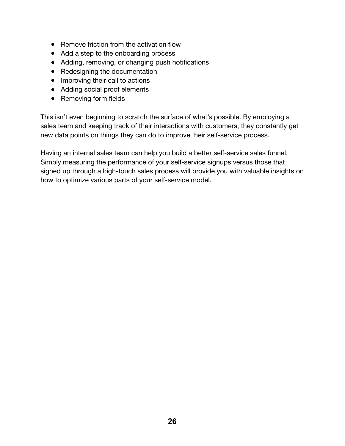- Remove friction from the activation flow
- Add a step to the onboarding process
- Adding, removing, or changing push notifications
- Redesigning the documentation
- Improving their call to actions
- Adding social proof elements
- Removing form fields

This isn't even beginning to scratch the surface of what's possible. By employing a sales team and keeping track of their interactions with customers, they constantly get new data points on things they can do to improve their self-service process.

Having an internal sales team can help you build a better self-service sales funnel. Simply measuring the performance of your self-service signups versus those that signed up through a high-touch sales process will provide you with valuable insights on how to optimize various parts of your self-service model.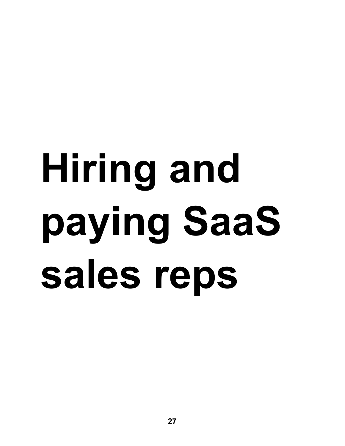# **Hiring and paying SaaS sales reps**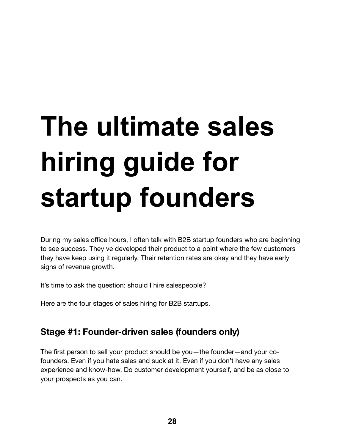# **The ultimate sales hiring guide for startup founders**

During my sales office hours, I often talk with B2B startup founders who are beginning to see success. They've developed their product to a point where the few customers they have keep using it regularly. Their retention rates are okay and they have early signs of revenue growth.

It's time to ask the question: should I hire salespeople?

Here are the four stages of sales hiring for B2B startups.

# **Stage #1: Founder-driven sales (founders only)**

The first person to sell your product should be you—the founder—and your cofounders. Even if you hate sales and suck at it. Even if you don't have any sales experience and know-how. Do customer development yourself, and be as close to your prospects as you can.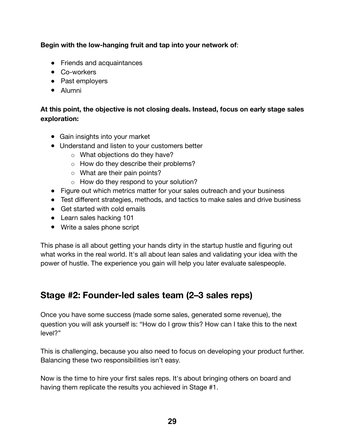#### **Begin with the low-hanging fruit and tap into your network of**:

- Friends and acquaintances
- Co-workers
- Past employers
- Alumni

#### **At this point, the objective is not closing deals. Instead, focus on early stage sales exploration:**

- Gain insights into your market
- Understand and listen to your customers better
	- What objections do they have?
	- How do they describe their problems?
	- What are their pain points?
	- $\circ$  How do they respond to your solution?
- Figure out which metrics matter for your sales outreach and your business
- Test different strategies, methods, and tactics to make sales and drive business
- Get started with cold emails
- Learn sales hacking 101
- Write a sales phone script

This phase is all about getting your hands dirty in the startup hustle and figuring out what works in the real world. It's all about lean sales and validating your idea with the power of hustle. The experience you gain will help you later evaluate salespeople.

# **Stage #2: Founder-led sales team (2–3 sales reps)**

Once you have some success (made some sales, generated some revenue), the question you will ask yourself is: "How do I grow this? How can I take this to the next level?"

This is challenging, because you also need to focus on developing your product further. Balancing these two responsibilities isn't easy.

Now is the time to hire your first sales reps. It's about bringing others on board and having them replicate the results you achieved in Stage #1.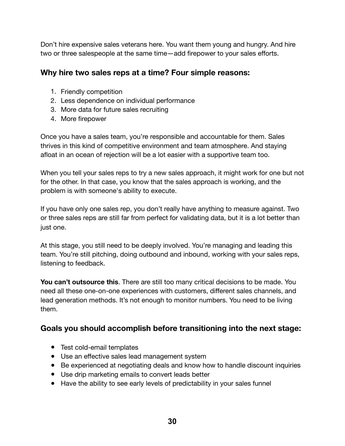Don't hire expensive sales veterans here. You want them young and hungry. And hire two or three salespeople at the same time—add firepower to your sales efforts.

#### **Why hire two sales reps at a time? Four simple reasons:**

- 1. Friendly competition
- 2. Less dependence on individual performance
- 3. More data for future sales recruiting
- 4. More firepower

Once you have a sales team, you're responsible and accountable for them. Sales thrives in this kind of competitive environment and team atmosphere. And staying afloat in an ocean of rejection will be a lot easier with a supportive team too.

When you tell your sales reps to try a new sales approach, it might work for one but not for the other. In that case, you know that the sales approach is working, and the problem is with someone's ability to execute.

If you have only one sales rep, you don't really have anything to measure against. Two or three sales reps are still far from perfect for validating data, but it is a lot better than just one.

At this stage, you still need to be deeply involved. You're managing and leading this team. You're still pitching, doing outbound and inbound, working with your sales reps, listening to feedback.

**You can't outsource this**. There are still too many critical decisions to be made. You need all these one-on-one experiences with customers, different sales channels, and lead generation methods. It's not enough to monitor numbers. You need to be living them.

#### **Goals you should accomplish before transitioning into the next stage:**

- Test cold-email templates
- Use an effective sales lead management system
- Be experienced at negotiating deals and know how to handle discount inquiries
- Use drip marketing emails to convert leads better
- Have the ability to see early levels of predictability in your sales funnel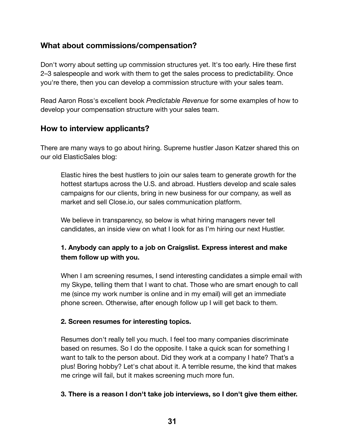#### **What about commissions/compensation?**

Don't worry about setting up commission structures yet. It's too early. Hire these first 2–3 salespeople and work with them to get the sales process to predictability. Once you're there, then you can develop a commission structure with your sales team.

Read Aaron Ross's excellent book *Predictable Revenue* for some examples of how to develop your compensation structure with your sales team.

#### **How to interview applicants?**

There are many ways to go about hiring. Supreme hustler Jason Katzer shared this on our old ElasticSales blog:

Elastic hires the best hustlers to join our sales team to generate growth for the hottest startups across the U.S. and abroad. Hustlers develop and scale sales campaigns for our clients, bring in new business for our company, as well as market and sell Close.io, our sales communication platform.

We believe in transparency, so below is what hiring managers never tell candidates, an inside view on what I look for as I'm hiring our next Hustler.

#### **1. Anybody can apply to a job on Craigslist. Express interest and make them follow up with you.**

When I am screening resumes, I send interesting candidates a simple email with my Skype, telling them that I want to chat. Those who are smart enough to call me (since my work number is online and in my email) will get an immediate phone screen. Otherwise, after enough follow up I will get back to them.

#### **2. Screen resumes for interesting topics.**

Resumes don't really tell you much. I feel too many companies discriminate based on resumes. So I do the opposite. I take a quick scan for something I want to talk to the person about. Did they work at a company I hate? That's a plus! Boring hobby? Let's chat about it. A terrible resume, the kind that makes me cringe will fail, but it makes screening much more fun.

#### **3. There is a reason I don't take job interviews, so I don't give them either.**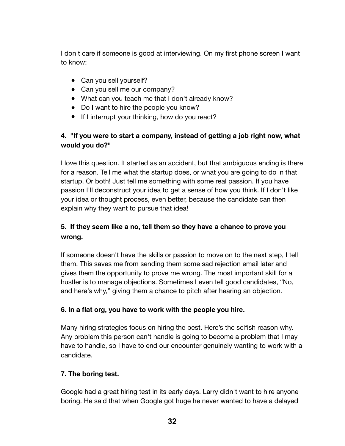I don't care if someone is good at interviewing. On my first phone screen I want to know:

- Can you sell yourself?
- Can you sell me our company?
- What can you teach me that I don't already know?
- Do I want to hire the people you know?
- If I interrupt your thinking, how do you react?

#### **4. "If you were to start a company, instead of getting a job right now, what would you do?"**

I love this question. It started as an accident, but that ambiguous ending is there for a reason. Tell me what the startup does, or what you are going to do in that startup. Or both! Just tell me something with some real passion. If you have passion I'll deconstruct your idea to get a sense of how you think. If I don't like your idea or thought process, even better, because the candidate can then explain why they want to pursue that idea!

#### **5. If they seem like a no, tell them so they have a chance to prove you wrong.**

If someone doesn't have the skills or passion to move on to the next step, I tell them. This saves me from sending them some sad rejection email later and gives them the opportunity to prove me wrong. The most important skill for a hustler is to manage objections. Sometimes I even tell good candidates, "No, and here's why," giving them a chance to pitch after hearing an objection.

#### **6. In a flat org, you have to work with the people you hire.**

Many hiring strategies focus on hiring the best. Here's the selfish reason why. Any problem this person can't handle is going to become a problem that I may have to handle, so I have to end our encounter genuinely wanting to work with a candidate.

#### **7. The boring test.**

Google had a great hiring test in its early days. Larry didn't want to hire anyone boring. He said that when Google got huge he never wanted to have a delayed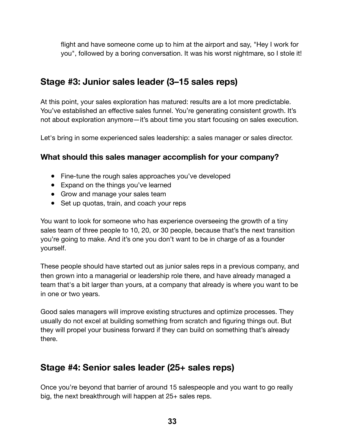flight and have someone come up to him at the airport and say, "Hey I work for you", followed by a boring conversation. It was his worst nightmare, so I stole it!

# **Stage #3: Junior sales leader (3–15 sales reps)**

At this point, your sales exploration has matured: results are a lot more predictable. You've established an effective sales funnel. You're generating consistent growth. It's not about exploration anymore—it's about time you start focusing on sales execution.

Let's bring in some experienced sales leadership: a sales manager or sales director.

### **What should this sales manager accomplish for your company?**

- Fine-tune the rough sales approaches you've developed
- Expand on the things you've learned
- Grow and manage your sales team
- Set up quotas, train, and coach your reps

You want to look for someone who has experience overseeing the growth of a tiny sales team of three people to 10, 20, or 30 people, because that's the next transition you're going to make. And it's one you don't want to be in charge of as a founder yourself.

These people should have started out as junior sales reps in a previous company, and then grown into a managerial or leadership role there, and have already managed a team that's a bit larger than yours, at a company that already is where you want to be in one or two years.

Good sales managers will improve existing structures and optimize processes. They usually do not excel at building something from scratch and figuring things out. But they will propel your business forward if they can build on something that's already there.

# **Stage #4: Senior sales leader (25+ sales reps)**

Once you're beyond that barrier of around 15 salespeople and you want to go really big, the next breakthrough will happen at 25+ sales reps.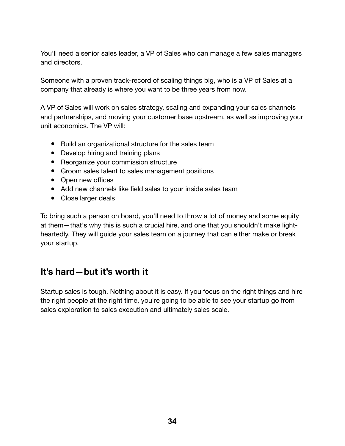You'll need a senior sales leader, a VP of Sales who can manage a few sales managers and directors.

Someone with a proven track-record of scaling things big, who is a VP of Sales at a company that already is where you want to be three years from now.

A VP of Sales will work on sales strategy, scaling and expanding your sales channels and partnerships, and moving your customer base upstream, as well as improving your unit economics. The VP will:

- Build an organizational structure for the sales team
- Develop hiring and training plans
- Reorganize your commission structure
- Groom sales talent to sales management positions
- Open new offices
- Add new channels like field sales to your inside sales team
- Close larger deals

To bring such a person on board, you'll need to throw a lot of money and some equity at them—that's why this is such a crucial hire, and one that you shouldn't make lightheartedly. They will guide your sales team on a journey that can either make or break your startup.

### **It's hard—but it's worth it**

Startup sales is tough. Nothing about it is easy. If you focus on the right things and hire the right people at the right time, you're going to be able to see your startup go from sales exploration to sales execution and ultimately sales scale.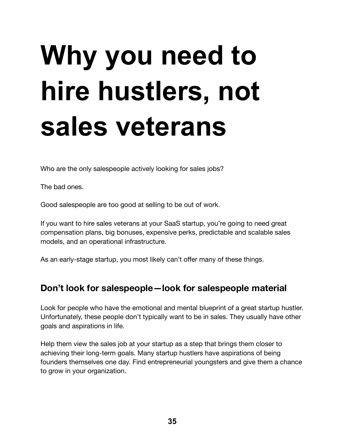# **Why you need to hire hustlers, not sales veterans**

Who are the only salespeople actively looking for sales jobs?

The bad ones.

Good salespeople are too good at selling to be out of work.

If you want to hire sales veterans at your SaaS startup, you're going to need great compensation plans, big bonuses, expensive perks, predictable and scalable sales models, and an operational infrastructure.

As an early-stage startup, you most likely can't offer many of these things.

## **Don't look for salespeople—look for salespeople material**

Look for people who have the emotional and mental blueprint of a great startup hustler. Unfortunately, these people don't typically want to be in sales. They usually have other goals and aspirations in life.

Help them view the sales job at your startup as a step that brings them closer to achieving their long-term goals. Many startup hustlers have aspirations of being founders themselves one day. Find entrepreneurial youngsters and give them a chance to grow in your organization.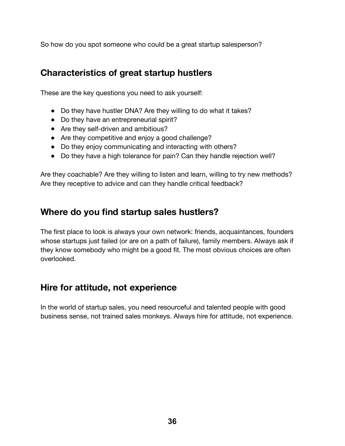So how do you spot someone who could be a great startup salesperson?

## **Characteristics of great startup hustlers**

These are the key questions you need to ask yourself:

- Do they have hustler DNA? Are they willing to do what it takes?
- Do they have an entrepreneurial spirit?
- Are they self-driven and ambitious?
- Are they competitive and enjoy a good challenge?
- Do they enjoy communicating and interacting with others?
- Do they have a high tolerance for pain? Can they handle rejection well?

Are they coachable? Are they willing to listen and learn, willing to try new methods? Are they receptive to advice and can they handle critical feedback?

## **Where do you find startup sales hustlers?**

The first place to look is always your own network: friends, acquaintances, founders whose startups just failed (or are on a path of failure), family members. Always ask if they know somebody who might be a good fit. The most obvious choices are often overlooked.

## **Hire for attitude, not experience**

In the world of startup sales, you need resourceful and talented people with good business sense, not trained sales monkeys. Always hire for attitude, not experience.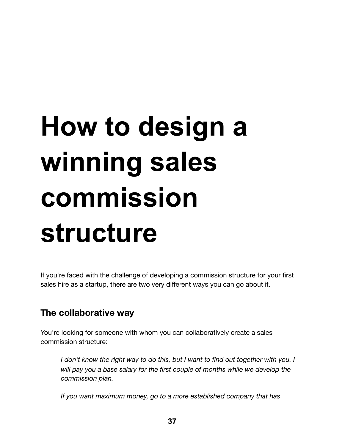# **How to design a winning sales commission structure**

If you're faced with the challenge of developing a commission structure for your first sales hire as a startup, there are two very different ways you can go about it.

# **The collaborative way**

You're looking for someone with whom you can collaboratively create a sales commission structure:

*I don't know the right way to do this, but I want to find out together with you. I* will pay you a base salary for the first couple of months while we develop the *commission plan.*

*If you want maximum money, go to a more established company that has*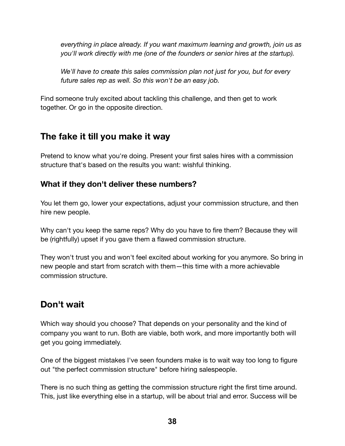*everything in place already. If you want maximum learning and growth, join us as you'll work directly with me (one of the founders or senior hires at the startup).*

*We'll have to create this sales commission plan not just for you, but for every future sales rep as well. So this won't be an easy job.*

Find someone truly excited about tackling this challenge, and then get to work together. Or go in the opposite direction.

# **The fake it till you make it way**

Pretend to know what you're doing. Present your first sales hires with a commission structure that's based on the results you want: wishful thinking.

#### **What if they don't deliver these numbers?**

You let them go, lower your expectations, adjust your commission structure, and then hire new people.

Why can't you keep the same reps? Why do you have to fire them? Because they will be (rightfully) upset if you gave them a flawed commission structure.

They won't trust you and won't feel excited about working for you anymore. So bring in new people and start from scratch with them—this time with a more achievable commission structure.

# **Don't wait**

Which way should you choose? That depends on your personality and the kind of company you want to run. Both are viable, both work, and more importantly both will get you going immediately.

One of the biggest mistakes I've seen founders make is to wait way too long to figure out "the perfect commission structure" before hiring salespeople.

There is no such thing as getting the commission structure right the first time around. This, just like everything else in a startup, will be about trial and error. Success will be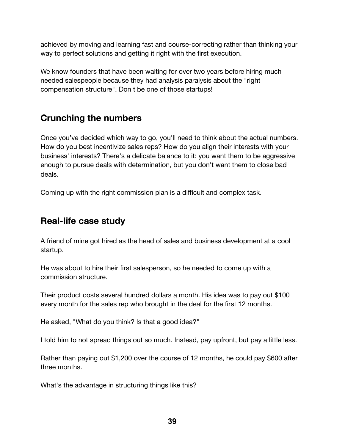achieved by moving and learning fast and course-correcting rather than thinking your way to perfect solutions and getting it right with the first execution.

We know founders that have been waiting for over two years before hiring much needed salespeople because they had analysis paralysis about the "right compensation structure". Don't be one of those startups!

# **Crunching the numbers**

Once you've decided which way to go, you'll need to think about the actual numbers. How do you best incentivize sales reps? How do you align their interests with your business' interests? There's a delicate balance to it: you want them to be aggressive enough to pursue deals with determination, but you don't want them to close bad deals.

Coming up with the right commission plan is a difficult and complex task.

# **Real-life case study**

A friend of mine got hired as the head of sales and business development at a cool startup.

He was about to hire their first salesperson, so he needed to come up with a commission structure.

Their product costs several hundred dollars a month. His idea was to pay out \$100 every month for the sales rep who brought in the deal for the first 12 months.

He asked, "What do you think? Is that a good idea?"

I told him to not spread things out so much. Instead, pay upfront, but pay a little less.

Rather than paying out \$1,200 over the course of 12 months, he could pay \$600 after three months.

What's the advantage in structuring things like this?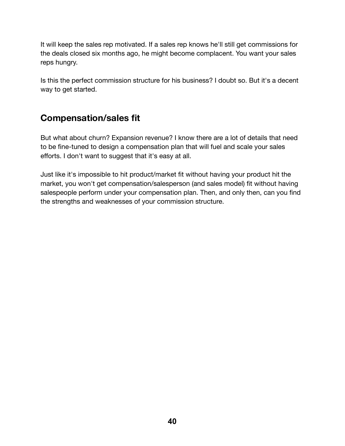It will keep the sales rep motivated. If a sales rep knows he'll still get commissions for the deals closed six months ago, he might become complacent. You want your sales reps hungry.

Is this the perfect commission structure for his business? I doubt so. But it's a decent way to get started.

# **Compensation/sales fit**

But what about churn? Expansion revenue? I know there are a lot of details that need to be fine-tuned to design a compensation plan that will fuel and scale your sales efforts. I don't want to suggest that it's easy at all.

Just like it's impossible to hit product/market fit without having your product hit the market, you won't get compensation/salesperson (and sales model) fit without having salespeople perform under your compensation plan. Then, and only then, can you find the strengths and weaknesses of your commission structure.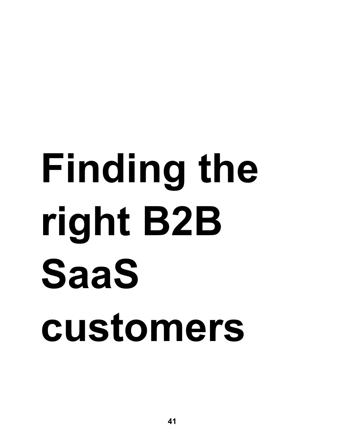# **Finding the right B2B SaaS customers**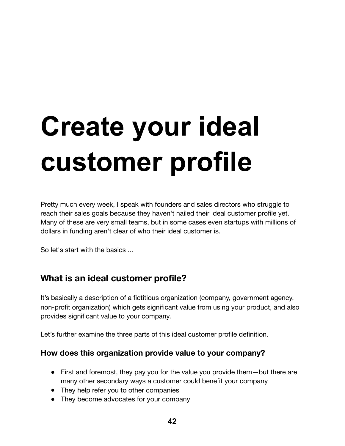# **Create your ideal customer profile**

Pretty much every week, I speak with founders and sales directors who struggle to reach their sales goals because they haven't nailed their ideal customer profile yet. Many of these are very small teams, but in some cases even startups with millions of dollars in funding aren't clear of who their ideal customer is.

So let's start with the basics ...

# **What is an ideal customer profile?**

It's basically a description of a fictitious organization (company, government agency, non-profit organization) which gets significant value from using your product, and also provides significant value to your company.

Let's further examine the three parts of this ideal customer profile definition.

#### **How does this organization provide value to your company?**

- First and foremost, they pay you for the value you provide them—but there are many other secondary ways a customer could benefit your company
- They help refer you to other companies
- They become advocates for your company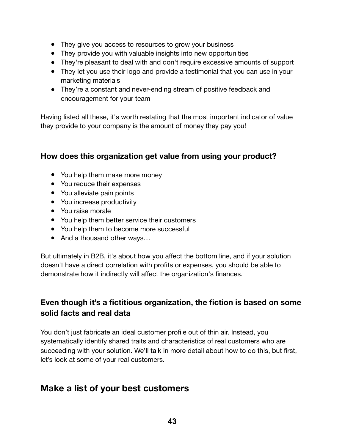- They give you access to resources to grow your business
- They provide you with valuable insights into new opportunities
- They're pleasant to deal with and don't require excessive amounts of support
- They let you use their logo and provide a testimonial that you can use in your marketing materials
- They're a constant and never-ending stream of positive feedback and encouragement for your team

Having listed all these, it's worth restating that the most important indicator of value they provide to your company is the amount of money they pay you!

### **How does this organization get value from using your product?**

- You help them make more money
- You reduce their expenses
- You alleviate pain points
- You increase productivity
- You raise morale
- You help them better service their customers
- You help them to become more successful
- And a thousand other ways...

But ultimately in B2B, it's about how you affect the bottom line, and if your solution doesn't have a direct correlation with profits or expenses, you should be able to demonstrate how it indirectly will affect the organization's finances.

### **Even though it's a fictitious organization, the fiction is based on some solid facts and real data**

You don't just fabricate an ideal customer profile out of thin air. Instead, you systematically identify shared traits and characteristics of real customers who are succeeding with your solution. We'll talk in more detail about how to do this, but first, let's look at some of your real customers.

## **Make a list of your best customers**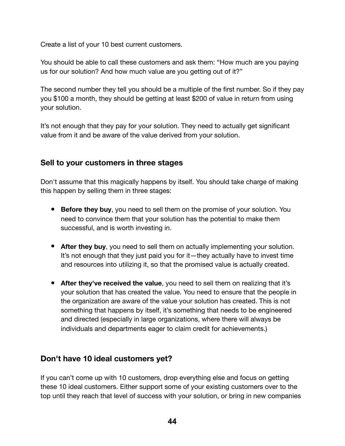Create a list of your 10 best current customers.

You should be able to call these customers and ask them: "How much are you paying us for our solution? And how much value are you getting out of it?"

The second number they tell you should be a multiple of the first number. So if they pay you \$100 a month, they should be getting at least \$200 of value in return from using your solution.

It's not enough that they pay for your solution. They need to actually get significant value from it and be aware of the value derived from your solution.

#### **Sell to your customers in three stages**

Don't assume that this magically happens by itself. You should take charge of making this happen by selling them in three stages:

- **Before they buy**, you need to sell them on the promise of your solution. You need to convince them that your solution has the potential to make them successful, and is worth investing in.
- **After they buy**, you need to sell them on actually implementing your solution. It's not enough that they just paid you for it—they actually have to invest time and resources into utilizing it, so that the promised value is actually created.
- **After they've received the value**, you need to sell them on realizing that it's your solution that has created the value. You need to ensure that the people in the organization are aware of the value your solution has created. This is not something that happens by itself, it's something that needs to be engineered and directed (especially in large organizations, where there will always be individuals and departments eager to claim credit for achievements.)

#### **Don't have 10 ideal customers yet?**

If you can't come up with 10 customers, drop everything else and focus on getting these 10 ideal customers. Either support some of your existing customers over to the top until they reach that level of success with your solution, or bring in new companies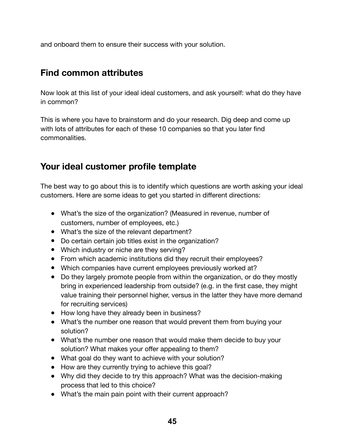and onboard them to ensure their success with your solution.

# **Find common attributes**

Now look at this list of your ideal ideal customers, and ask yourself: what do they have in common?

This is where you have to brainstorm and do your research. Dig deep and come up with lots of attributes for each of these 10 companies so that you later find commonalities.

# **Your ideal customer profile template**

The best way to go about this is to identify which questions are worth asking your ideal customers. Here are some ideas to get you started in different directions:

- What's the size of the organization? (Measured in revenue, number of customers, number of employees, etc.)
- What's the size of the relevant department?
- Do certain certain job titles exist in the organization?
- Which industry or niche are they serving?
- From which academic institutions did they recruit their employees?
- Which companies have current employees previously worked at?
- Do they largely promote people from within the organization, or do they mostly bring in experienced leadership from outside? (e.g. in the first case, they might value training their personnel higher, versus in the latter they have more demand for recruiting services)
- How long have they already been in business?
- What's the number one reason that would prevent them from buying your solution?
- What's the number one reason that would make them decide to buy your solution? What makes your offer appealing to them?
- What goal do they want to achieve with your solution?
- How are they currently trying to achieve this goal?
- Why did they decide to try this approach? What was the decision-making process that led to this choice?
- What's the main pain point with their current approach?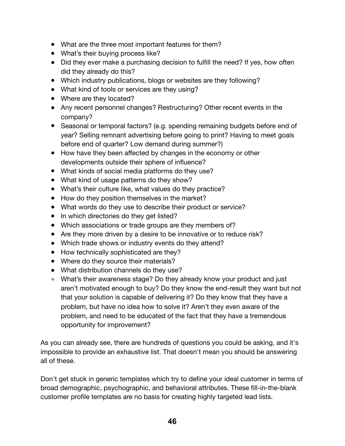- What are the three most important features for them?
- What's their buying process like?
- Did they ever make a purchasing decision to fulfill the need? If yes, how often did they already do this?
- Which industry publications, blogs or websites are they following?
- What kind of tools or services are they using?
- Where are they located?
- Any recent personnel changes? Restructuring? Other recent events in the company?
- Seasonal or temporal factors? (e.g. spending remaining budgets before end of year? Selling remnant advertising before going to print? Having to meet goals before end of quarter? Low demand during summer?)
- How have they been affected by changes in the economy or other developments outside their sphere of influence?
- What kinds of social media platforms do they use?
- What kind of usage patterns do they show?
- What's their culture like, what values do they practice?
- How do they position themselves in the market?
- What words do they use to describe their product or service?
- In which directories do they get listed?
- Which associations or trade groups are they members of?
- Are they more driven by a desire to be innovative or to reduce risk?
- Which trade shows or industry events do they attend?
- How technically sophisticated are they?
- Where do they source their materials?
- What distribution channels do they use?
- What's their awareness stage? Do they already know your product and just aren't motivated enough to buy? Do they know the end-result they want but not that your solution is capable of delivering it? Do they know that they have a problem, but have no idea how to solve it? Aren't they even aware of the problem, and need to be educated of the fact that they have a tremendous opportunity for improvement?

As you can already see, there are hundreds of questions you could be asking, and it's impossible to provide an exhaustive list. That doesn't mean you should be answering all of these.

Don't get stuck in generic templates which try to define your ideal customer in terms of broad demographic, psychographic, and behavioral attributes. These fill-in-the-blank customer profile templates are no basis for creating highly targeted lead lists.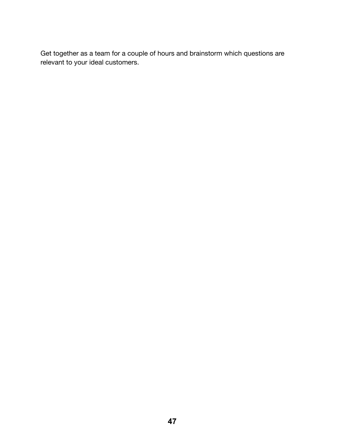Get together as a team for a couple of hours and brainstorm which questions are relevant to your ideal customers.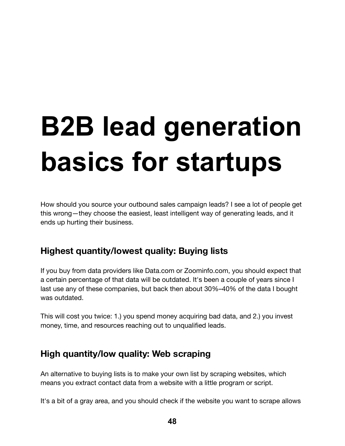# **B2B lead generation basics for startups**

How should you source your outbound sales campaign leads? I see a lot of people get this wrong—they choose the easiest, least intelligent way of generating leads, and it ends up hurting their business.

# **Highest quantity/lowest quality: Buying lists**

If you buy from data providers like Data.com or Zoominfo.com, you should expect that a certain percentage of that data will be outdated. It's been a couple of years since I last use any of these companies, but back then about 30%–40% of the data I bought was outdated.

This will cost you twice: 1.) you spend money acquiring bad data, and 2.) you invest money, time, and resources reaching out to unqualified leads.

# **High quantity/low quality: Web scraping**

An alternative to buying lists is to make your own list by scraping websites, which means you extract contact data from a website with a little program or script.

It's a bit of a gray area, and you should check if the website you want to scrape allows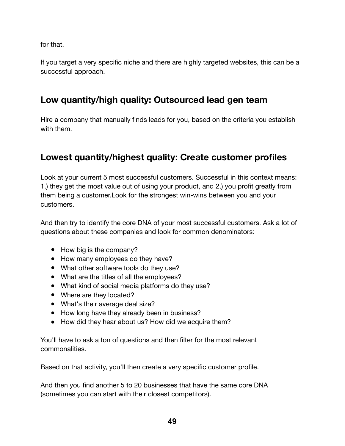for that.

If you target a very specific niche and there are highly targeted websites, this can be a successful approach.

# **Low quantity/high quality: Outsourced lead gen team**

Hire a company that manually finds leads for you, based on the criteria you establish with them.

# **Lowest quantity/highest quality: Create customer profiles**

Look at your current 5 most successful customers. Successful in this context means: 1.) they get the most value out of using your product, and 2.) you profit greatly from them being a customer.Look for the strongest win-wins between you and your customers.

And then try to identify the core DNA of your most successful customers. Ask a lot of questions about these companies and look for common denominators:

- How big is the company?
- How many employees do they have?
- What other software tools do they use?
- What are the titles of all the employees?
- What kind of social media platforms do they use?
- Where are they located?
- What's their average deal size?
- How long have they already been in business?
- How did they hear about us? How did we acquire them?

You'll have to ask a ton of questions and then filter for the most relevant commonalities.

Based on that activity, you'll then create a very specific customer profile.

And then you find another 5 to 20 businesses that have the same core DNA (sometimes you can start with their closest competitors).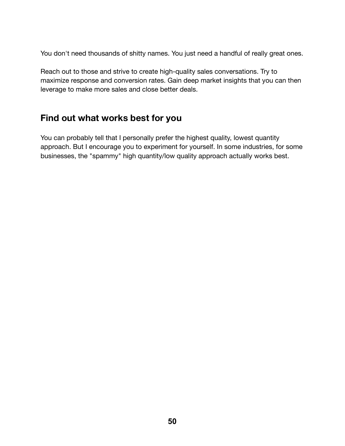You don't need thousands of shitty names. You just need a handful of really great ones.

Reach out to those and strive to create high-quality sales conversations. Try to maximize response and conversion rates. Gain deep market insights that you can then leverage to make more sales and close better deals.

# **Find out what works best for you**

You can probably tell that I personally prefer the highest quality, lowest quantity approach. But I encourage you to experiment for yourself. In some industries, for some businesses, the "spammy" high quantity/low quality approach actually works best.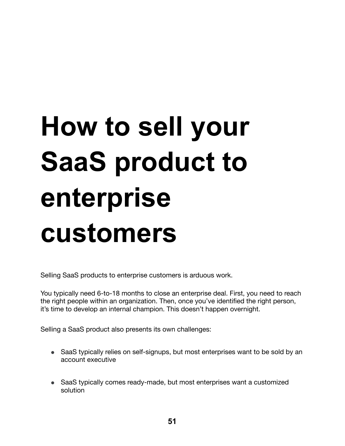# **How to sell your SaaS product to enterprise customers**

Selling SaaS products to enterprise customers is arduous work.

You typically need 6-to-18 months to close an enterprise deal. First, you need to reach the right people within an organization. Then, once you've identified the right person, it's time to develop an internal champion. This doesn't happen overnight.

Selling a SaaS product also presents its own challenges:

- SaaS typically relies on self-signups, but most enterprises want to be sold by an account executive
- SaaS typically comes ready-made, but most enterprises want a customized solution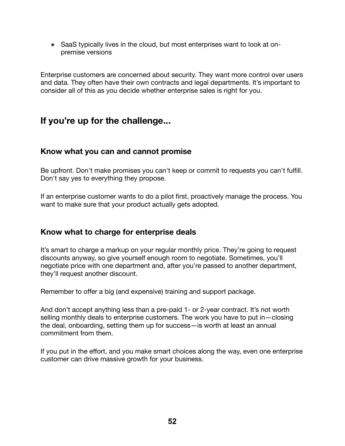• SaaS typically lives in the cloud, but most enterprises want to look at onpremise versions

Enterprise customers are concerned about security. They want more control over users and data. They often have their own contracts and legal departments. It's important to consider all of this as you decide whether enterprise sales is right for you.

### **If you're up for the challenge...**

#### **Know what you can and cannot promise**

Be upfront. Don't make promises you can't keep or commit to requests you can't fulfill. Don't say yes to everything they propose.

If an enterprise customer wants to do a pilot first, proactively manage the process. You want to make sure that your product actually gets adopted.

#### **Know what to charge for enterprise deals**

It's smart to charge a markup on your regular monthly price. They're going to request discounts anyway, so give yourself enough room to negotiate. Sometimes, you'll negotiate price with one department and, after you're passed to another department, they'll request another discount.

Remember to offer a big (and expensive) training and support package.

And don't accept anything less than a pre-paid 1- or 2-year contract. It's not worth selling monthly deals to enterprise customers. The work you have to put in—closing the deal, onboarding, setting them up for success—is worth at least an annual commitment from them.

If you put in the effort, and you make smart choices along the way, even one enterprise customer can drive massive growth for your business.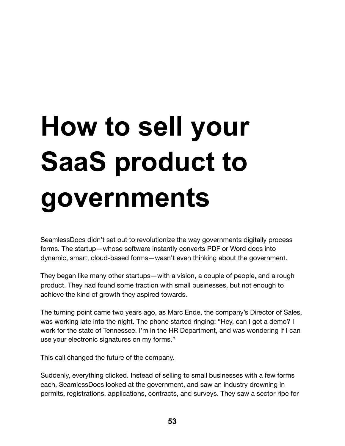# **How to sell your SaaS product to governments**

SeamlessDocs didn't set out to revolutionize the way governments digitally process forms. The startup—whose software instantly converts PDF or Word docs into dynamic, smart, cloud-based forms—wasn't even thinking about the government.

They began like many other startups—with a vision, a couple of people, and a rough product. They had found some traction with small businesses, but not enough to achieve the kind of growth they aspired towards.

The turning point came two years ago, as Marc Ende, the company's Director of Sales, was working late into the night. The phone started ringing: "Hey, can I get a demo? I work for the state of Tennessee. I'm in the HR Department, and was wondering if I can use your electronic signatures on my forms."

This call changed the future of the company.

Suddenly, everything clicked. Instead of selling to small businesses with a few forms each, SeamlessDocs looked at the government, and saw an industry drowning in permits, registrations, applications, contracts, and surveys. They saw a sector ripe for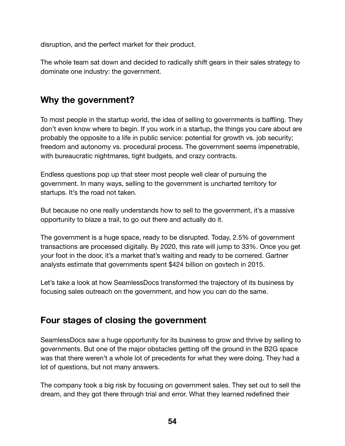disruption, and the perfect market for their product.

The whole team sat down and decided to radically shift gears in their sales strategy to dominate one industry: the government.

## **Why the government?**

To most people in the startup world, the idea of selling to governments is baffling. They don't even know where to begin. If you work in a startup, the things you care about are probably the opposite to a life in public service: potential for growth vs. job security; freedom and autonomy vs. procedural process. The government seems impenetrable, with bureaucratic nightmares, tight budgets, and crazy contracts.

Endless questions pop up that steer most people well clear of pursuing the government. In many ways, selling to the government is uncharted territory for startups. It's the road not taken.

But because no one really understands how to sell to the government, it's a massive opportunity to blaze a trail, to go out there and actually do it.

The government is a huge space, ready to be disrupted. Today, 2.5% of government transactions are processed digitally. By 2020, this rate will jump to 33%. Once you get your foot in the door, it's a market that's waiting and ready to be cornered. Gartner analysts estimate that governments spent \$424 billion on govtech in 2015.

Let's take a look at how SeamlessDocs transformed the trajectory of its business by focusing sales outreach on the government, and how you can do the same.

### **Four stages of closing the government**

SeamlessDocs saw a huge opportunity for its business to grow and thrive by selling to governments. But one of the major obstacles getting off the ground in the B2G space was that there weren't a whole lot of precedents for what they were doing. They had a lot of questions, but not many answers.

The company took a big risk by focusing on government sales. They set out to sell the dream, and they got there through trial and error. What they learned redefined their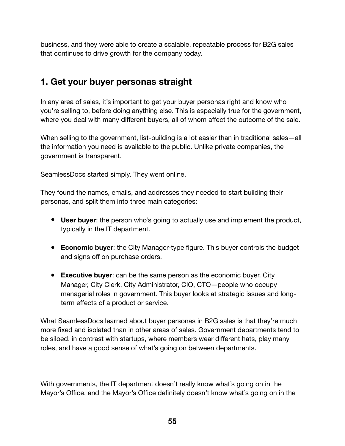business, and they were able to create a scalable, repeatable process for B2G sales that continues to drive growth for the company today.

# **1. Get your buyer personas straight**

In any area of sales, it's important to get your buyer personas right and know who you're selling to, before doing anything else. This is especially true for the government, where you deal with many different buyers, all of whom affect the outcome of the sale.

When selling to the government, list-building is a lot easier than in traditional sales—all the information you need is available to the public. Unlike private companies, the government is transparent.

SeamlessDocs started simply. They went online.

They found the names, emails, and addresses they needed to start building their personas, and split them into three main categories:

- **User buyer**: the person who's going to actually use and implement the product, typically in the IT department.
- **Economic buyer**: the City Manager-type figure. This buyer controls the budget and signs off on purchase orders.
- **Executive buyer**: can be the same person as the economic buyer. City Manager, City Clerk, City Administrator, CIO, CTO—people who occupy managerial roles in government. This buyer looks at strategic issues and longterm effects of a product or service.

What SeamlessDocs learned about buyer personas in B2G sales is that they're much more fixed and isolated than in other areas of sales. Government departments tend to be siloed, in contrast with startups, where members wear different hats, play many roles, and have a good sense of what's going on between departments.

With governments, the IT department doesn't really know what's going on in the Mayor's Office, and the Mayor's Office definitely doesn't know what's going on in the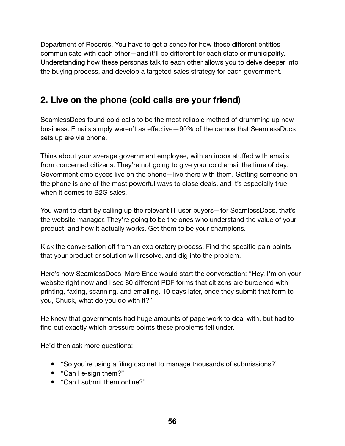Department of Records. You have to get a sense for how these different entities communicate with each other—and it'll be different for each state or municipality. Understanding how these personas talk to each other allows you to delve deeper into the buying process, and develop a targeted sales strategy for each government.

# **2. Live on the phone (cold calls are your friend)**

SeamlessDocs found cold calls to be the most reliable method of drumming up new business. Emails simply weren't as effective—90% of the demos that SeamlessDocs sets up are via phone.

Think about your average government employee, with an inbox stuffed with emails from concerned citizens. They're not going to give your cold email the time of day. Government employees live on the phone—live there with them. Getting someone on the phone is one of the most powerful ways to close deals, and it's especially true when it comes to B2G sales.

You want to start by calling up the relevant IT user buyers—for SeamlessDocs, that's the website manager. They're going to be the ones who understand the value of your product, and how it actually works. Get them to be your champions.

Kick the conversation off from an exploratory process. Find the specific pain points that your product or solution will resolve, and dig into the problem.

Here's how SeamlessDocs' Marc Ende would start the conversation: "Hey, I'm on your website right now and I see 80 different PDF forms that citizens are burdened with printing, faxing, scanning, and emailing. 10 days later, once they submit that form to you, Chuck, what do you do with it?"

He knew that governments had huge amounts of paperwork to deal with, but had to find out exactly which pressure points these problems fell under.

He'd then ask more questions:

- "So you're using a filing cabinet to manage thousands of submissions?"
- "Can I e-sign them?"
- "Can I submit them online?"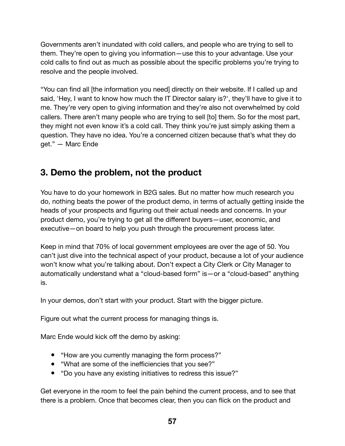Governments aren't inundated with cold callers, and people who are trying to sell to them. They're open to giving you information—use this to your advantage. Use your cold calls to find out as much as possible about the specific problems you're trying to resolve and the people involved.

"You can find all [the information you need] directly on their website. If I called up and said, 'Hey, I want to know how much the IT Director salary is?', they'll have to give it to me. They're very open to giving information and they're also not overwhelmed by cold callers. There aren't many people who are trying to sell [to] them. So for the most part, they might not even know it's a cold call. They think you're just simply asking them a question. They have no idea. You're a concerned citizen because that's what they do get." — Marc Ende

# **3. Demo the problem, not the product**

You have to do your homework in B2G sales. But no matter how much research you do, nothing beats the power of the product demo, in terms of actually getting inside the heads of your prospects and figuring out their actual needs and concerns. In your product demo, you're trying to get all the different buyers—user, economic, and executive—on board to help you push through the procurement process later.

Keep in mind that 70% of local government employees are over the age of 50. You can't just dive into the technical aspect of your product, because a lot of your audience won't know what you're talking about. Don't expect a City Clerk or City Manager to automatically understand what a "cloud-based form" is—or a "cloud-based" anything is.

In your demos, don't start with your product. Start with the bigger picture.

Figure out what the current process for managing things is.

Marc Ende would kick off the demo by asking:

- "How are you currently managing the form process?"
- "What are some of the inefficiencies that you see?"
- "Do you have any existing initiatives to redress this issue?"

Get everyone in the room to feel the pain behind the current process, and to see that there is a problem. Once that becomes clear, then you can flick on the product and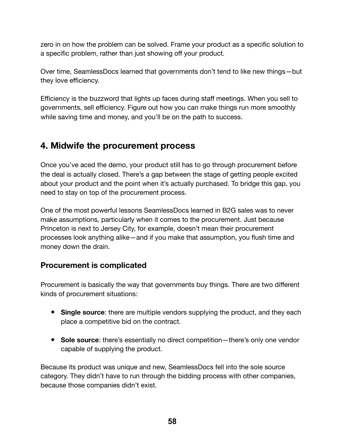zero in on how the problem can be solved. Frame your product as a specific solution to a specific problem, rather than just showing off your product.

Over time, SeamlessDocs learned that governments don't tend to like new things—but they love efficiency.

Efficiency is the buzzword that lights up faces during staff meetings. When you sell to governments, sell efficiency. Figure out how you can make things run more smoothly while saving time and money, and you'll be on the path to success.

# **4. Midwife the procurement process**

Once you've aced the demo, your product still has to go through procurement before the deal is actually closed. There's a gap between the stage of getting people excited about your product and the point when it's actually purchased. To bridge this gap, you need to stay on top of the procurement process.

One of the most powerful lessons SeamlessDocs learned in B2G sales was to never make assumptions, particularly when it comes to the procurement. Just because Princeton is next to Jersey City, for example, doesn't mean their procurement processes look anything alike—and if you make that assumption, you flush time and money down the drain.

### **Procurement is complicated**

Procurement is basically the way that governments buy things. There are two different kinds of procurement situations:

- **Single source**: there are multiple vendors supplying the product, and they each place a competitive bid on the contract.
- **Sole source**: there's essentially no direct competition—there's only one vendor capable of supplying the product.

Because its product was unique and new, SeamlessDocs fell into the sole source category. They didn't have to run through the bidding process with other companies, because those companies didn't exist.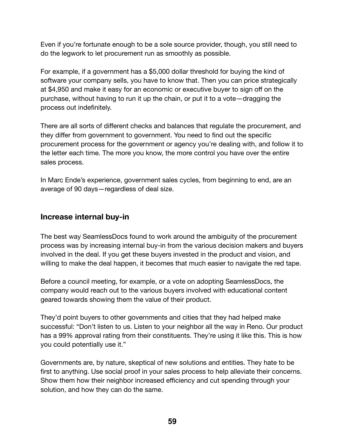Even if you're fortunate enough to be a sole source provider, though, you still need to do the legwork to let procurement run as smoothly as possible.

For example, if a government has a \$5,000 dollar threshold for buying the kind of software your company sells, you have to know that. Then you can price strategically at \$4,950 and make it easy for an economic or executive buyer to sign off on the purchase, without having to run it up the chain, or put it to a vote—dragging the process out indefinitely.

There are all sorts of different checks and balances that regulate the procurement, and they differ from government to government. You need to find out the specific procurement process for the government or agency you're dealing with, and follow it to the letter each time. The more you know, the more control you have over the entire sales process.

In Marc Ende's experience, government sales cycles, from beginning to end, are an average of 90 days—regardless of deal size.

#### **Increase internal buy-in**

The best way SeamlessDocs found to work around the ambiguity of the procurement process was by increasing internal buy-in from the various decision makers and buyers involved in the deal. If you get these buyers invested in the product and vision, and willing to make the deal happen, it becomes that much easier to navigate the red tape.

Before a council meeting, for example, or a vote on adopting SeamlessDocs, the company would reach out to the various buyers involved with educational content geared towards showing them the value of their product.

They'd point buyers to other governments and cities that they had helped make successful: "Don't listen to us. Listen to your neighbor all the way in Reno. Our product has a 99% approval rating from their constituents. They're using it like this. This is how you could potentially use it."

Governments are, by nature, skeptical of new solutions and entities. They hate to be first to anything. Use social proof in your sales process to help alleviate their concerns. Show them how their neighbor increased efficiency and cut spending through your solution, and how they can do the same.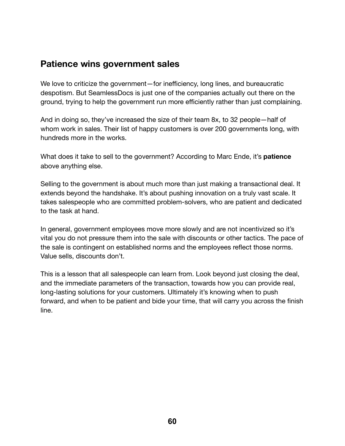### **Patience wins government sales**

We love to criticize the government—for inefficiency, long lines, and bureaucratic despotism. But SeamlessDocs is just one of the companies actually out there on the ground, trying to help the government run more efficiently rather than just complaining.

And in doing so, they've increased the size of their team 8x, to 32 people—half of whom work in sales. Their list of happy customers is over 200 governments long, with hundreds more in the works.

What does it take to sell to the government? According to Marc Ende, it's **patience** above anything else.

Selling to the government is about much more than just making a transactional deal. It extends beyond the handshake. It's about pushing innovation on a truly vast scale. It takes salespeople who are committed problem-solvers, who are patient and dedicated to the task at hand.

In general, government employees move more slowly and are not incentivized so it's vital you do not pressure them into the sale with discounts or other tactics. The pace of the sale is contingent on established norms and the employees reflect those norms. Value sells, discounts don't.

This is a lesson that all salespeople can learn from. Look beyond just closing the deal, and the immediate parameters of the transaction, towards how you can provide real, long-lasting solutions for your customers. Ultimately it's knowing when to push forward, and when to be patient and bide your time, that will carry you across the finish line.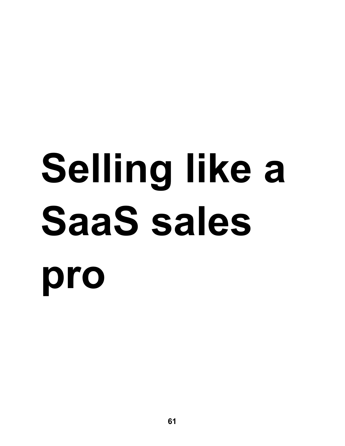# **Selling like a SaaS sales pro**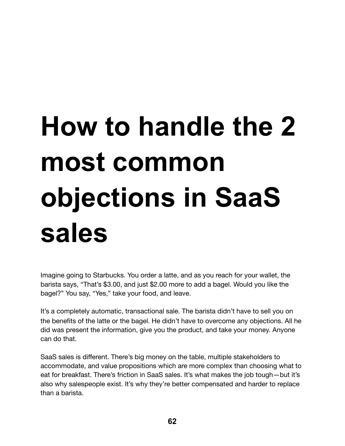# **How to handle the 2 most common objections in SaaS sales**

Imagine going to Starbucks. You order a latte, and as you reach for your wallet, the barista says, "That's \$3.00, and just \$2.00 more to add a bagel. Would you like the bagel?" You say, "Yes," take your food, and leave.

It's a completely automatic, transactional sale. The barista didn't have to sell you on the benefits of the latte or the bagel. He didn't have to overcome any objections. All he did was present the information, give you the product, and take your money. Anyone can do that.

SaaS sales is different. There's big money on the table, multiple stakeholders to accommodate, and value propositions which are more complex than choosing what to eat for breakfast. There's friction in SaaS sales. It's what makes the job tough—but it's also why salespeople exist. It's why they're better compensated and harder to replace than a barista.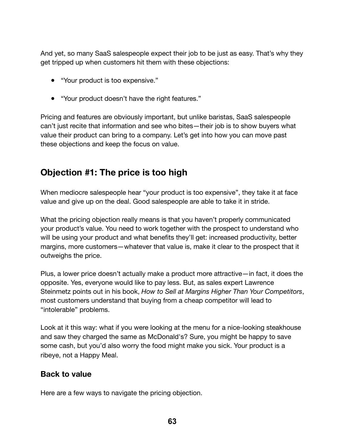And yet, so many SaaS salespeople expect their job to be just as easy. That's why they get tripped up when customers hit them with these objections:

- "Your product is too expensive."
- "Your product doesn't have the right features."

Pricing and features are obviously important, but unlike baristas, SaaS salespeople can't just recite that information and see who bites—their job is to show buyers what value their product can bring to a company. Let's get into how you can move past these objections and keep the focus on value.

# **Objection #1: The price is too high**

When mediocre salespeople hear "your product is too expensive", they take it at face value and give up on the deal. Good salespeople are able to take it in stride.

What the pricing objection really means is that you haven't properly communicated your product's value. You need to work together with the prospect to understand who will be using your product and what benefits they'll get: increased productivity, better margins, more customers—whatever that value is, make it clear to the prospect that it outweighs the price.

Plus, a lower price doesn't actually make a product more attractive—in fact, it does the opposite. Yes, everyone would like to pay less. But, as sales expert Lawrence Steinmetz points out in his book, *How to Sell at Margins Higher Than Your Competitors*, most customers understand that buying from a cheap competitor will lead to "intolerable" problems.

Look at it this way: what if you were looking at the menu for a nice-looking steakhouse and saw they charged the same as McDonald's? Sure, you might be happy to save some cash, but you'd also worry the food might make you sick. Your product is a ribeye, not a Happy Meal.

### **Back to value**

Here are a few ways to navigate the pricing objection.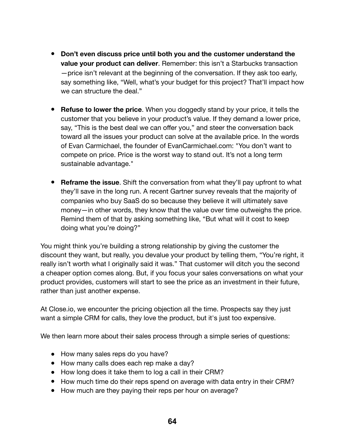- **Don't even discuss price until both you and the customer understand the value your product can deliver**. Remember: this isn't a Starbucks transaction —price isn't relevant at the beginning of the conversation. If they ask too early, say something like, "Well, what's your budget for this project? That'll impact how we can structure the deal."
- **Refuse to lower the price**. When you doggedly stand by your price, it tells the customer that you believe in your product's value. If they demand a lower price, say, "This is the best deal we can offer you," and steer the conversation back toward all the issues your product can solve at the available price. In the words of Evan Carmichael, the founder of EvanCarmichael.com: "You don't want to compete on price. Price is the worst way to stand out. It's not a long term sustainable advantage."
- **Reframe the issue**. Shift the conversation from what they'll pay upfront to what they'll save in the long run. A recent Gartner survey reveals that the majority of companies who buy SaaS do so because they believe it will ultimately save money—in other words, they know that the value over time outweighs the price. Remind them of that by asking something like, "But what will it cost to keep doing what you're doing?"

You might think you're building a strong relationship by giving the customer the discount they want, but really, you devalue your product by telling them, "You're right, it really isn't worth what I originally said it was." That customer will ditch you the second a cheaper option comes along. But, if you focus your sales conversations on what your product provides, customers will start to see the price as an investment in their future, rather than just another expense.

At Close.io, we encounter the pricing objection all the time. Prospects say they just want a simple CRM for calls, they love the product, but it's just too expensive.

We then learn more about their sales process through a simple series of questions:

- How many sales reps do you have?
- How many calls does each rep make a day?
- How long does it take them to log a call in their CRM?
- How much time do their reps spend on average with data entry in their CRM?
- How much are they paying their reps per hour on average?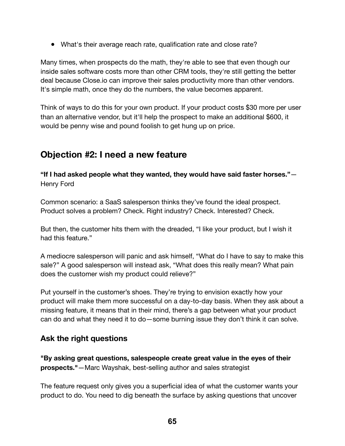• What's their average reach rate, qualification rate and close rate?

Many times, when prospects do the math, they're able to see that even though our inside sales software costs more than other CRM tools, they're still getting the better deal because Close.io can improve their sales productivity more than other vendors. It's simple math, once they do the numbers, the value becomes apparent.

Think of ways to do this for your own product. If your product costs \$30 more per user than an alternative vendor, but it'll help the prospect to make an additional \$600, it would be penny wise and pound foolish to get hung up on price.

# **Objection #2: I need a new feature**

**"If I had asked people what they wanted, they would have said faster horses."**— Henry Ford

Common scenario: a SaaS salesperson thinks they've found the ideal prospect. Product solves a problem? Check. Right industry? Check. Interested? Check.

But then, the customer hits them with the dreaded, "I like your product, but I wish it had this feature."

A mediocre salesperson will panic and ask himself, "What do I have to say to make this sale?" A good salesperson will instead ask, "What does this really mean? What pain does the customer wish my product could relieve?"

Put yourself in the customer's shoes. They're trying to envision exactly how your product will make them more successful on a day-to-day basis. When they ask about a missing feature, it means that in their mind, there's a gap between what your product can do and what they need it to do—some burning issue they don't think it can solve.

### **Ask the right questions**

**"By asking great questions, salespeople create great value in the eyes of their prospects."**—Marc Wayshak, best-selling author and sales strategist

The feature request only gives you a superficial idea of what the customer wants your product to do. You need to dig beneath the surface by asking questions that uncover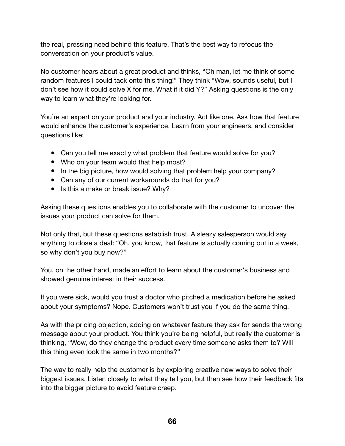the real, pressing need behind this feature. That's the best way to refocus the conversation on your product's value.

No customer hears about a great product and thinks, "Oh man, let me think of some random features I could tack onto this thing!" They think "Wow, sounds useful, but I don't see how it could solve X for me. What if it did Y?" Asking questions is the only way to learn what they're looking for.

You're an expert on your product and your industry. Act like one. Ask how that feature would enhance the customer's experience. Learn from your engineers, and consider questions like:

- Can you tell me exactly what problem that feature would solve for you?
- Who on your team would that help most?
- In the big picture, how would solving that problem help your company?
- Can any of our current workarounds do that for you?
- Is this a make or break issue? Why?

Asking these questions enables you to collaborate with the customer to uncover the issues your product can solve for them.

Not only that, but these questions establish trust. A sleazy salesperson would say anything to close a deal: "Oh, you know, that feature is actually coming out in a week, so why don't you buy now?"

You, on the other hand, made an effort to learn about the customer's business and showed genuine interest in their success.

If you were sick, would you trust a doctor who pitched a medication before he asked about your symptoms? Nope. Customers won't trust you if you do the same thing.

As with the pricing objection, adding on whatever feature they ask for sends the wrong message about your product. You think you're being helpful, but really the customer is thinking, "Wow, do they change the product every time someone asks them to? Will this thing even look the same in two months?"

The way to really help the customer is by exploring creative new ways to solve their biggest issues. Listen closely to what they tell you, but then see how their feedback fits into the bigger picture to avoid feature creep.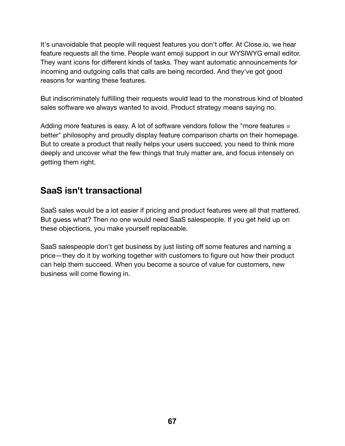It's unavoidable that people will request features you don't offer. At Close.io, we hear feature requests all the time. People want emoji support in our WYSIWYG email editor. They want icons for different kinds of tasks. They want automatic announcements for incoming and outgoing calls that calls are being recorded. And they've got good reasons for wanting these features.

But indiscriminately fulfilling their requests would lead to the monstrous kind of bloated sales software we always wanted to avoid. Product strategy means saying no.

Adding more features is easy. A lot of software vendors follow the "more features = better" philosophy and proudly display feature comparison charts on their homepage. But to create a product that really helps your users succeed, you need to think more deeply and uncover what the few things that truly matter are, and focus intensely on getting them right.

# **SaaS isn't transactional**

SaaS sales would be a lot easier if pricing and product features were all that mattered. But guess what? Then no one would need SaaS salespeople. If you get held up on these objections, you make yourself replaceable.

SaaS salespeople don't get business by just listing off some features and naming a price—they do it by working together with customers to figure out how their product can help them succeed. When you become a source of value for customers, new business will come flowing in.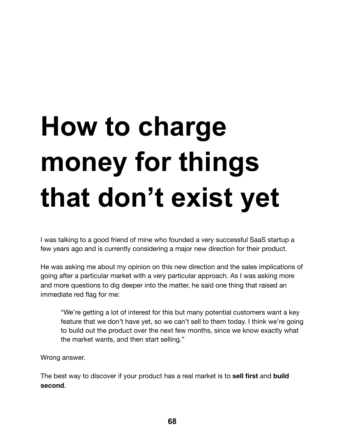# **How to charge money for things that don't exist yet**

I was talking to a good friend of mine who founded a very successful SaaS startup a few years ago and is currently considering a major new direction for their product.

He was asking me about my opinion on this new direction and the sales implications of going after a particular market with a very particular approach. As I was asking more and more questions to dig deeper into the matter, he said one thing that raised an immediate red flag for me:

"We're getting a lot of interest for this but many potential customers want a key feature that we don't have yet, so we can't sell to them today. I think we're going to build out the product over the next few months, since we know exactly what the market wants, and then start selling."

Wrong answer.

The best way to discover if your product has a real market is to **sell first** and **build second**.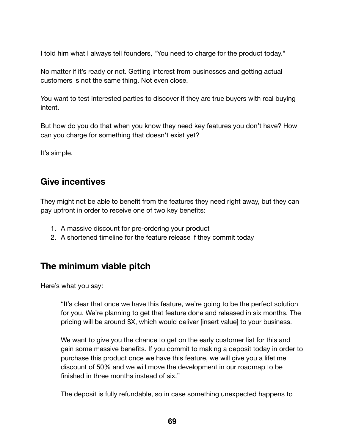I told him what I always tell founders, "You need to charge for the product today."

No matter if it's ready or not. Getting interest from businesses and getting actual customers is not the same thing. Not even close.

You want to test interested parties to discover if they are true buyers with real buying intent.

But how do you do that when you know they need key features you don't have? How can you charge for something that doesn't exist yet?

It's simple.

## **Give incentives**

They might not be able to benefit from the features they need right away, but they can pay upfront in order to receive one of two key benefits:

- 1. A massive discount for pre-ordering your product
- 2. A shortened timeline for the feature release if they commit today

### **The minimum viable pitch**

Here's what you say:

"It's clear that once we have this feature, we're going to be the perfect solution for you. We're planning to get that feature done and released in six months. The pricing will be around \$X, which would deliver [insert value] to your business.

We want to give you the chance to get on the early customer list for this and gain some massive benefits. If you commit to making a deposit today in order to purchase this product once we have this feature, we will give you a lifetime discount of 50% and we will move the development in our roadmap to be finished in three months instead of six."

The deposit is fully refundable, so in case something unexpected happens to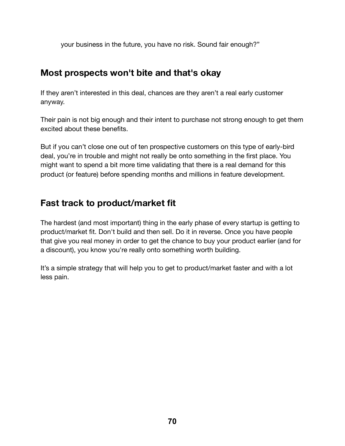your business in the future, you have no risk. Sound fair enough?"

# **Most prospects won't bite and that's okay**

If they aren't interested in this deal, chances are they aren't a real early customer anyway.

Their pain is not big enough and their intent to purchase not strong enough to get them excited about these benefits.

But if you can't close one out of ten prospective customers on this type of early-bird deal, you're in trouble and might not really be onto something in the first place. You might want to spend a bit more time validating that there is a real demand for this product (or feature) before spending months and millions in feature development.

# **Fast track to product/market fit**

The hardest (and most important) thing in the early phase of every startup is getting to product/market fit. Don't build and then sell. Do it in reverse. Once you have people that give you real money in order to get the chance to buy your product earlier (and for a discount), you know you're really onto something worth building.

It's a simple strategy that will help you to get to product/market faster and with a lot less pain.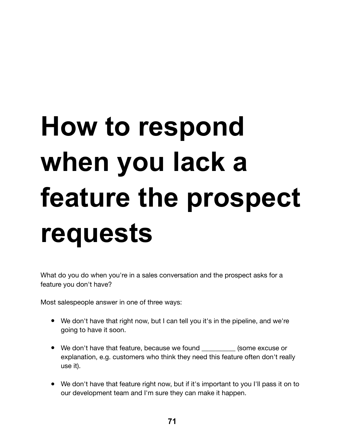# **How to respond when you lack a feature the prospect requests**

What do you do when you're in a sales conversation and the prospect asks for a feature you don't have?

Most salespeople answer in one of three ways:

- We don't have that right now, but I can tell you it's in the pipeline, and we're going to have it soon.
- We don't have that feature, because we found  $\bullet$  (some excuse or explanation, e.g. customers who think they need this feature often don't really use it).
- We don't have that feature right now, but if it's important to you I'll pass it on to our development team and I'm sure they can make it happen.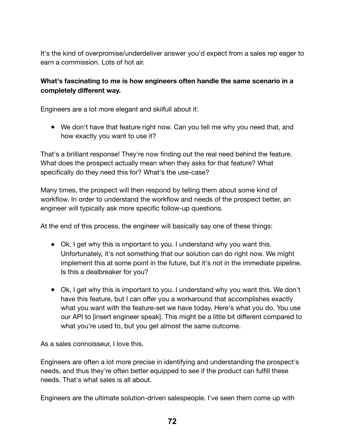It's the kind of overpromise/underdeliver answer you'd expect from a sales rep eager to earn a commission. Lots of hot air.

#### **What's fascinating to me is how engineers often handle the same scenario in a completely different way.**

Engineers are a lot more elegant and skilfull about it:

● We don't have that feature right now. Can you tell me why you need that, and how exactly you want to use it?

That's a brilliant response! They're now finding out the real need behind the feature. What does the prospect actually mean when they asks for that feature? What specifically do they need this for? What's the use-case?

Many times, the prospect will then respond by telling them about some kind of workflow. In order to understand the workflow and needs of the prospect better, an engineer will typically ask more specific follow-up questions.

At the end of this process, the engineer will basically say one of these things:

- Ok, I get why this is important to you. I understand why you want this. Unfortunately, it's not something that our solution can do right now. We might implement this at some point in the future, but it's not in the immediate pipeline. Is this a dealbreaker for you?
- Ok, I get why this is important to you. I understand why you want this. We don't have this feature, but I can offer you a workaround that accomplishes exactly what you want with the feature-set we have today. Here's what you do. You use our API to [insert engineer speak]. This might be a little bit different compared to what you're used to, but you get almost the same outcome.

As a sales connoisseur, I love this.

Engineers are often a lot more precise in identifying and understanding the prospect's needs, and thus they're often better equipped to see if the product can fulfill these needs. That's what sales is all about.

Engineers are the ultimate solution-driven salespeople. I've seen them come up with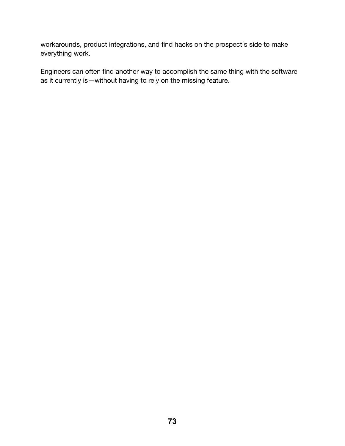workarounds, product integrations, and find hacks on the prospect's side to make everything work.

Engineers can often find another way to accomplish the same thing with the software as it currently is—without having to rely on the missing feature.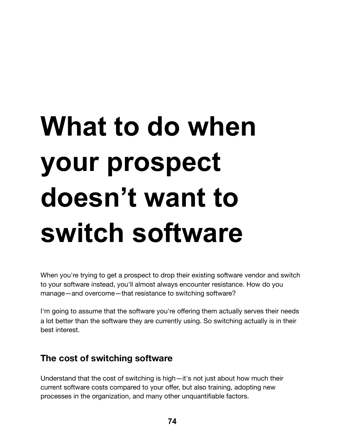# **What to do when your prospect doesn't want to switch software**

When you're trying to get a prospect to drop their existing software vendor and switch to your software instead, you'll almost always encounter resistance. How do you manage—and overcome—that resistance to switching software?

I'm going to assume that the software you're offering them actually serves their needs a lot better than the software they are currently using. So switching actually is in their best interest.

# **The cost of switching software**

Understand that the cost of switching is high—it's not just about how much their current software costs compared to your offer, but also training, adopting new processes in the organization, and many other unquantifiable factors.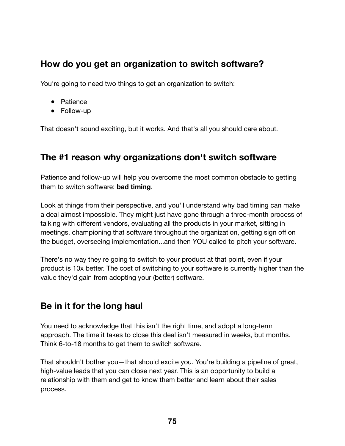# **How do you get an organization to switch software?**

You're going to need two things to get an organization to switch:

- Patience
- Follow-up

That doesn't sound exciting, but it works. And that's all you should care about.

# **The #1 reason why organizations don't switch software**

Patience and follow-up will help you overcome the most common obstacle to getting them to switch software: **bad timing**.

Look at things from their perspective, and you'll understand why bad timing can make a deal almost impossible. They might just have gone through a three-month process of talking with different vendors, evaluating all the products in your market, sitting in meetings, championing that software throughout the organization, getting sign off on the budget, overseeing implementation...and then YOU called to pitch your software.

There's no way they're going to switch to your product at that point, even if your product is 10x better. The cost of switching to your software is currently higher than the value they'd gain from adopting your (better) software.

# **Be in it for the long haul**

You need to acknowledge that this isn't the right time, and adopt a long-term approach. The time it takes to close this deal isn't measured in weeks, but months. Think 6-to-18 months to get them to switch software.

That shouldn't bother you—that should excite you. You're building a pipeline of great, high-value leads that you can close next year. This is an opportunity to build a relationship with them and get to know them better and learn about their sales process.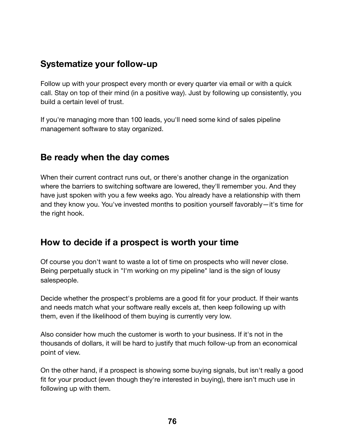# **Systematize your follow-up**

Follow up with your prospect every month or every quarter via email or with a quick call. Stay on top of their mind (in a positive way). Just by following up consistently, you build a certain level of trust.

If you're managing more than 100 leads, you'll need some kind of sales pipeline management software to stay organized.

## **Be ready when the day comes**

When their current contract runs out, or there's another change in the organization where the barriers to switching software are lowered, they'll remember you. And they have just spoken with you a few weeks ago. You already have a relationship with them and they know you. You've invested months to position yourself favorably—it's time for the right hook.

# **How to decide if a prospect is worth your time**

Of course you don't want to waste a lot of time on prospects who will never close. Being perpetually stuck in "I'm working on my pipeline" land is the sign of lousy salespeople.

Decide whether the prospect's problems are a good fit for your product. If their wants and needs match what your software really excels at, then keep following up with them, even if the likelihood of them buying is currently very low.

Also consider how much the customer is worth to your business. If it's not in the thousands of dollars, it will be hard to justify that much follow-up from an economical point of view.

On the other hand, if a prospect is showing some buying signals, but isn't really a good fit for your product (even though they're interested in buying), there isn't much use in following up with them.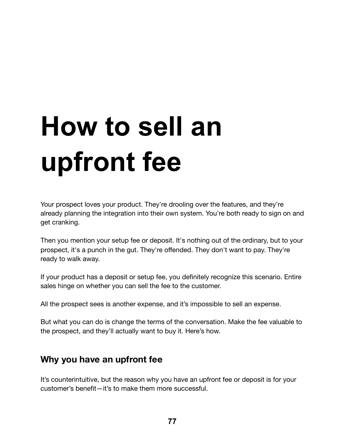# **How to sell an upfront fee**

Your prospect loves your product. They're drooling over the features, and they're already planning the integration into their own system. You're both ready to sign on and get cranking.

Then you mention your setup fee or deposit. It's nothing out of the ordinary, but to your prospect, it's a punch in the gut. They're offended. They don't want to pay. They're ready to walk away.

If your product has a deposit or setup fee, you definitely recognize this scenario. Entire sales hinge on whether you can sell the fee to the customer.

All the prospect sees is another expense, and it's impossible to sell an expense.

But what you can do is change the terms of the conversation. Make the fee valuable to the prospect, and they'll actually want to buy it. Here's how.

# **Why you have an upfront fee**

It's counterintuitive, but the reason why you have an upfront fee or deposit is for your customer's benefit—it's to make them more successful.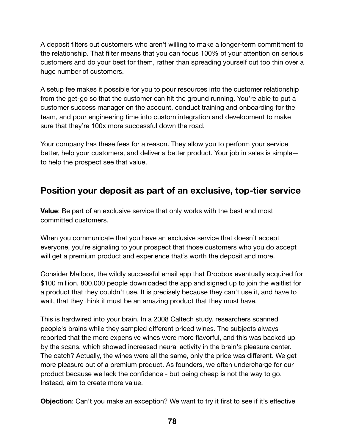A deposit filters out customers who aren't willing to make a longer-term commitment to the relationship. That filter means that you can focus 100% of your attention on serious customers and do your best for them, rather than spreading yourself out too thin over a huge number of customers.

A setup fee makes it possible for you to pour resources into the customer relationship from the get-go so that the customer can hit the ground running. You're able to put a customer success manager on the account, conduct training and onboarding for the team, and pour engineering time into custom integration and development to make sure that they're 100x more successful down the road.

Your company has these fees for a reason. They allow you to perform your service better, help your customers, and deliver a better product. Your job in sales is simple to help the prospect see that value.

# **Position your deposit as part of an exclusive, top-tier service**

**Value**: Be part of an exclusive service that only works with the best and most committed customers.

When you communicate that you have an exclusive service that doesn't accept everyone, you're signaling to your prospect that those customers who you do accept will get a premium product and experience that's worth the deposit and more.

Consider Mailbox, the wildly successful email app that Dropbox eventually acquired for \$100 million. 800,000 people downloaded the app and signed up to join the waitlist for a product that they couldn't use. It is precisely because they can't use it, and have to wait, that they think it must be an amazing product that they must have.

This is hardwired into your brain. In a 2008 Caltech study, researchers scanned people's brains while they sampled different priced wines. The subjects always reported that the more expensive wines were more flavorful, and this was backed up by the scans, which showed increased neural activity in the brain's pleasure center. The catch? Actually, the wines were all the same, only the price was different. We get more pleasure out of a premium product. As founders, we often undercharge for our product because we lack the confidence - but being cheap is not the way to go. Instead, aim to create more value.

**Objection**: Can't you make an exception? We want to try it first to see if it's effective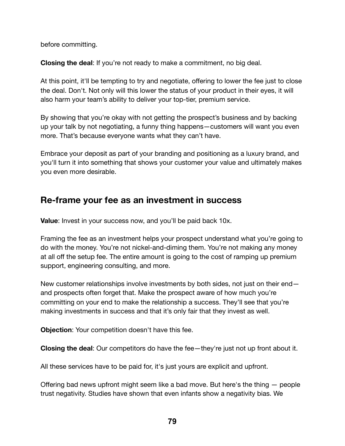before committing.

**Closing the deal**: If you're not ready to make a commitment, no big deal.

At this point, it'll be tempting to try and negotiate, offering to lower the fee just to close the deal. Don't. Not only will this lower the status of your product in their eyes, it will also harm your team's ability to deliver your top-tier, premium service.

By showing that you're okay with not getting the prospect's business and by backing up your talk by not negotiating, a funny thing happens—customers will want you even more. That's because everyone wants what they can't have.

Embrace your deposit as part of your branding and positioning as a luxury brand, and you'll turn it into something that shows your customer your value and ultimately makes you even more desirable.

# **Re-frame your fee as an investment in success**

**Value**: Invest in your success now, and you'll be paid back 10x.

Framing the fee as an investment helps your prospect understand what you're going to do with the money. You're not nickel-and-diming them. You're not making any money at all off the setup fee. The entire amount is going to the cost of ramping up premium support, engineering consulting, and more.

New customer relationships involve investments by both sides, not just on their end and prospects often forget that. Make the prospect aware of how much you're committing on your end to make the relationship a success. They'll see that you're making investments in success and that it's only fair that they invest as well.

**Objection**: Your competition doesn't have this fee.

**Closing the deal**: Our competitors do have the fee—they're just not up front about it.

All these services have to be paid for, it's just yours are explicit and upfront.

Offering bad news upfront might seem like a bad move. But here's the thing — people trust negativity. Studies have shown that even infants show a negativity bias. We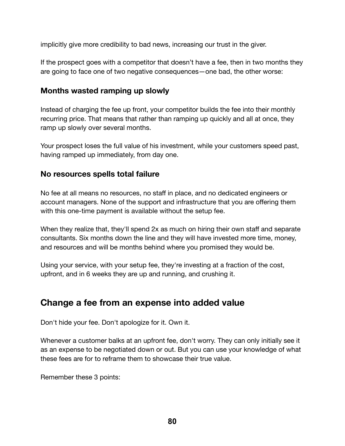implicitly give more credibility to bad news, increasing our trust in the giver.

If the prospect goes with a competitor that doesn't have a fee, then in two months they are going to face one of two negative consequences—one bad, the other worse:

#### **Months wasted ramping up slowly**

Instead of charging the fee up front, your competitor builds the fee into their monthly recurring price. That means that rather than ramping up quickly and all at once, they ramp up slowly over several months.

Your prospect loses the full value of his investment, while your customers speed past, having ramped up immediately, from day one.

#### **No resources spells total failure**

No fee at all means no resources, no staff in place, and no dedicated engineers or account managers. None of the support and infrastructure that you are offering them with this one-time payment is available without the setup fee.

When they realize that, they'll spend 2x as much on hiring their own staff and separate consultants. Six months down the line and they will have invested more time, money, and resources and will be months behind where you promised they would be.

Using your service, with your setup fee, they're investing at a fraction of the cost, upfront, and in 6 weeks they are up and running, and crushing it.

## **Change a fee from an expense into added value**

Don't hide your fee. Don't apologize for it. Own it.

Whenever a customer balks at an upfront fee, don't worry. They can only initially see it as an expense to be negotiated down or out. But you can use your knowledge of what these fees are for to reframe them to showcase their true value.

Remember these 3 points: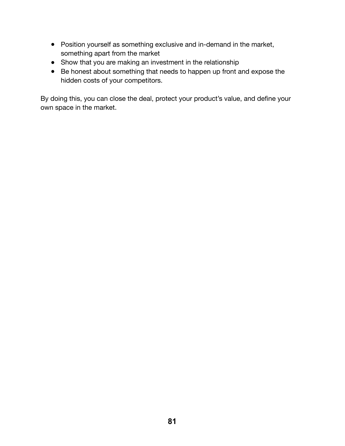- Position yourself as something exclusive and in-demand in the market, something apart from the market
- Show that you are making an investment in the relationship
- Be honest about something that needs to happen up front and expose the hidden costs of your competitors.

By doing this, you can close the deal, protect your product's value, and define your own space in the market.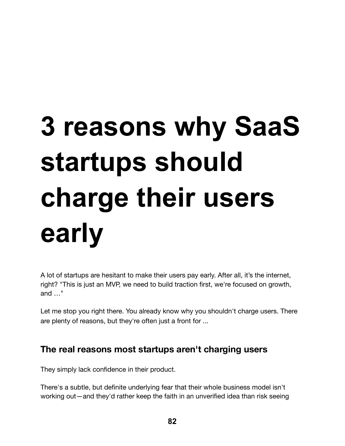# **3 reasons why SaaS startups should charge their users early**

A lot of startups are hesitant to make their users pay early. After all, it's the internet, right? "This is just an MVP, we need to build traction first, we're focused on growth, and …"

Let me stop you right there. You already know why you shouldn't charge users. There are plenty of reasons, but they're often just a front for ...

# **The real reasons most startups aren't charging users**

They simply lack confidence in their product.

There's a subtle, but definite underlying fear that their whole business model isn't working out—and they'd rather keep the faith in an unverified idea than risk seeing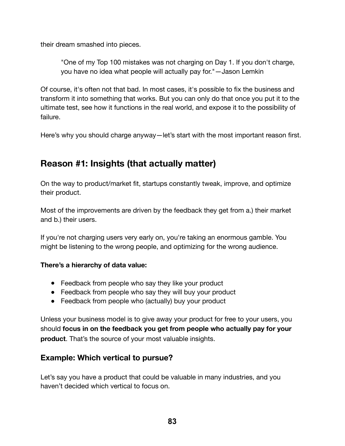their dream smashed into pieces.

"One of my Top 100 mistakes was not charging on Day 1. If you don't charge, you have no idea what people will actually pay for."—Jason Lemkin

Of course, it's often not that bad. In most cases, it's possible to fix the business and transform it into something that works. But you can only do that once you put it to the ultimate test, see how it functions in the real world, and expose it to the possibility of failure.

Here's why you should charge anyway—let's start with the most important reason first.

# **Reason #1: Insights (that actually matter)**

On the way to product/market fit, startups constantly tweak, improve, and optimize their product.

Most of the improvements are driven by the feedback they get from a.) their market and b.) their users.

If you're not charging users very early on, you're taking an enormous gamble. You might be listening to the wrong people, and optimizing for the wrong audience.

#### **There's a hierarchy of data value:**

- Feedback from people who say they like your product
- Feedback from people who say they will buy your product
- Feedback from people who (actually) buy your product

Unless your business model is to give away your product for free to your users, you should **focus in on the feedback you get from people who actually pay for your product**. That's the source of your most valuable insights.

#### **Example: Which vertical to pursue?**

Let's say you have a product that could be valuable in many industries, and you haven't decided which vertical to focus on.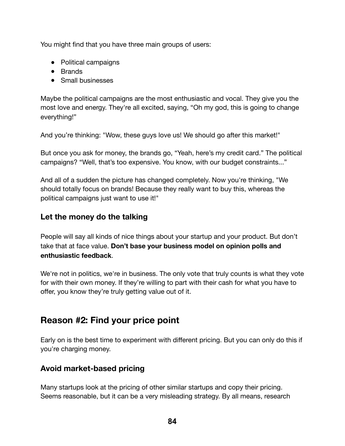You might find that you have three main groups of users:

- Political campaigns
- Brands
- Small businesses

Maybe the political campaigns are the most enthusiastic and vocal. They give you the most love and energy. They're all excited, saying, "Oh my god, this is going to change everything!"

And you're thinking: "Wow, these guys love us! We should go after this market!"

But once you ask for money, the brands go, "Yeah, here's my credit card." The political campaigns? "Well, that's too expensive. You know, with our budget constraints..."

And all of a sudden the picture has changed completely. Now you're thinking, "We should totally focus on brands! Because they really want to buy this, whereas the political campaigns just want to use it!"

#### **Let the money do the talking**

People will say all kinds of nice things about your startup and your product. But don't take that at face value. **Don't base your business model on opinion polls and enthusiastic feedback**.

We're not in politics, we're in business. The only vote that truly counts is what they vote for with their own money. If they're willing to part with their cash for what you have to offer, you know they're truly getting value out of it.

## **Reason #2: Find your price point**

Early on is the best time to experiment with different pricing. But you can only do this if you're charging money.

#### **Avoid market-based pricing**

Many startups look at the pricing of other similar startups and copy their pricing. Seems reasonable, but it can be a very misleading strategy. By all means, research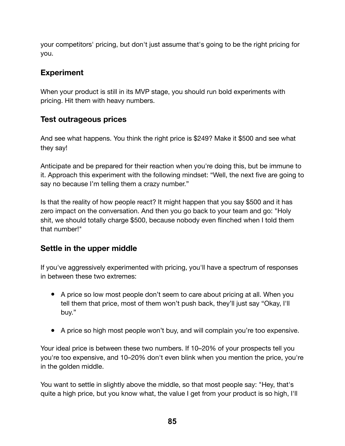your competitors' pricing, but don't just assume that's going to be the right pricing for you.

#### **Experiment**

When your product is still in its MVP stage, you should run bold experiments with pricing. Hit them with heavy numbers.

#### **Test outrageous prices**

And see what happens. You think the right price is \$249? Make it \$500 and see what they say!

Anticipate and be prepared for their reaction when you're doing this, but be immune to it. Approach this experiment with the following mindset: "Well, the next five are going to say no because I'm telling them a crazy number."

Is that the reality of how people react? It might happen that you say \$500 and it has zero impact on the conversation. And then you go back to your team and go: "Holy shit, we should totally charge \$500, because nobody even flinched when I told them that number!"

#### **Settle in the upper middle**

If you've aggressively experimented with pricing, you'll have a spectrum of responses in between these two extremes:

- A price so low most people don't seem to care about pricing at all. When you tell them that price, most of them won't push back, they'll just say "Okay, I'll buy."
- A price so high most people won't buy, and will complain you're too expensive.

Your ideal price is between these two numbers. If 10–20% of your prospects tell you you're too expensive, and 10–20% don't even blink when you mention the price, you're in the golden middle.

You want to settle in slightly above the middle, so that most people say: "Hey, that's quite a high price, but you know what, the value I get from your product is so high, I'll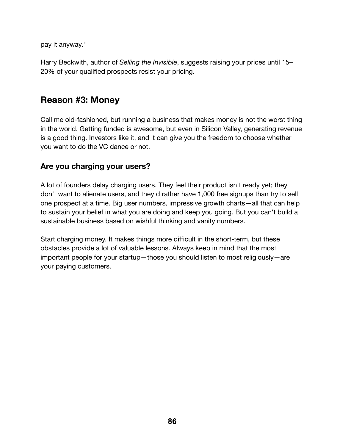pay it anyway."

Harry Beckwith, author of *Selling the Invisible*, suggests raising your prices until 15– 20% of your qualified prospects resist your pricing.

# **Reason #3: Money**

Call me old-fashioned, but running a business that makes money is not the worst thing in the world. Getting funded is awesome, but even in Silicon Valley, generating revenue is a good thing. Investors like it, and it can give you the freedom to choose whether you want to do the VC dance or not.

#### **Are you charging your users?**

A lot of founders delay charging users. They feel their product isn't ready yet; they don't want to alienate users, and they'd rather have 1,000 free signups than try to sell one prospect at a time. Big user numbers, impressive growth charts—all that can help to sustain your belief in what you are doing and keep you going. But you can't build a sustainable business based on wishful thinking and vanity numbers.

Start charging money. It makes things more difficult in the short-term, but these obstacles provide a lot of valuable lessons. Always keep in mind that the most important people for your startup—those you should listen to most religiously—are your paying customers.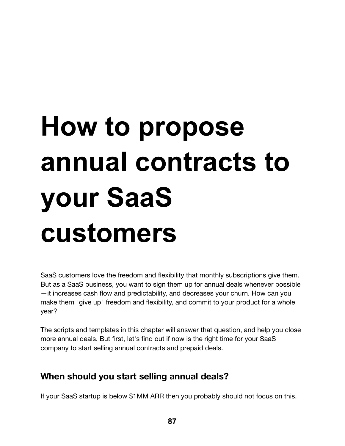# **How to propose annual contracts to your SaaS customers**

SaaS customers love the freedom and flexibility that monthly subscriptions give them. But as a SaaS business, you want to sign them up for annual deals whenever possible —it increases cash flow and predictability, and decreases your churn. How can you make them "give up" freedom and flexibility, and commit to your product for a whole year?

The scripts and templates in this chapter will answer that question, and help you close more annual deals. But first, let's find out if now is the right time for your SaaS company to start selling annual contracts and prepaid deals.

# **When should you start selling annual deals?**

If your SaaS startup is below \$1MM ARR then you probably should not focus on this.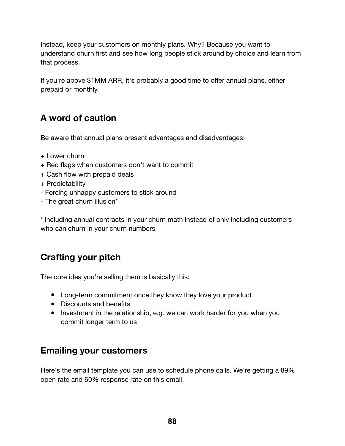Instead, keep your customers on monthly plans. Why? Because you want to understand churn first and see how long people stick around by choice and learn from that process.

If you're above \$1MM ARR, it's probably a good time to offer annual plans, either prepaid or monthly.

# **A word of caution**

Be aware that annual plans present advantages and disadvantages:

- + Lower churn
- + Red flags when customers don't want to commit
- + Cash flow with prepaid deals
- + Predictability
- Forcing unhappy customers to stick around
- The great churn illusion\*

\* including annual contracts in your churn math instead of only including customers who can churn in your churn numbers

# **Crafting your pitch**

The core idea you're selling them is basically this:

- Long-term commitment once they know they love your product
- Discounts and benefits
- Investment in the relationship, e.g. we can work harder for you when you commit longer term to us

## **Emailing your customers**

Here's the email template you can use to schedule phone calls. We're getting a 89% open rate and 60% response rate on this email.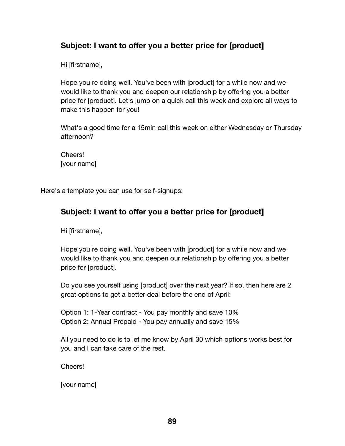## **Subject: I want to offer you a better price for [product]**

Hi [firstname],

Hope you're doing well. You've been with [product] for a while now and we would like to thank you and deepen our relationship by offering you a better price for [product]. Let's jump on a quick call this week and explore all ways to make this happen for you!

What's a good time for a 15min call this week on either Wednesday or Thursday afternoon?

Cheers! [your name]

Here's a template you can use for self-signups:

#### **Subject: I want to offer you a better price for [product]**

Hi [firstname],

Hope you're doing well. You've been with [product] for a while now and we would like to thank you and deepen our relationship by offering you a better price for [product].

Do you see yourself using [product] over the next year? If so, then here are 2 great options to get a better deal before the end of April:

Option 1: 1-Year contract - You pay monthly and save 10% Option 2: Annual Prepaid - You pay annually and save 15%

All you need to do is to let me know by April 30 which options works best for you and I can take care of the rest.

Cheers!

[your name]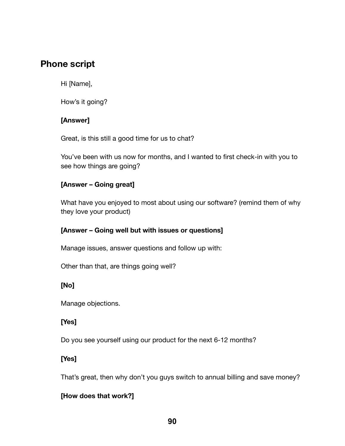## **Phone script**

Hi [Name],

How's it going?

#### **[Answer]**

Great, is this still a good time for us to chat?

You've been with us now for months, and I wanted to first check-in with you to see how things are going?

#### **[Answer – Going great]**

What have you enjoyed to most about using our software? (remind them of why they love your product)

#### **[Answer – Going well but with issues or questions]**

Manage issues, answer questions and follow up with:

Other than that, are things going well?

#### **[No]**

Manage objections.

#### **[Yes]**

Do you see yourself using our product for the next 6-12 months?

#### **[Yes]**

That's great, then why don't you guys switch to annual billing and save money?

#### **[How does that work?]**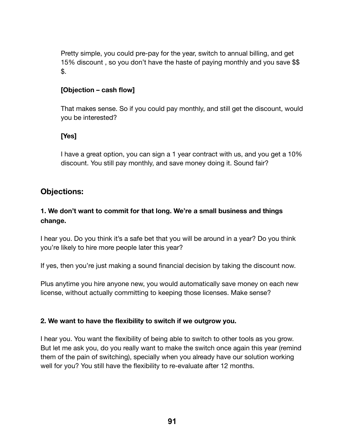Pretty simple, you could pre-pay for the year, switch to annual billing, and get 15% discount , so you don't have the haste of paying monthly and you save \$\$ \$.

#### **[Objection – cash flow]**

That makes sense. So if you could pay monthly, and still get the discount, would you be interested?

#### **[Yes]**

I have a great option, you can sign a 1 year contract with us, and you get a 10% discount. You still pay monthly, and save money doing it. Sound fair?

#### **Objections:**

#### **1. We don't want to commit for that long. We're a small business and things change.**

I hear you. Do you think it's a safe bet that you will be around in a year? Do you think you're likely to hire more people later this year?

If yes, then you're just making a sound financial decision by taking the discount now.

Plus anytime you hire anyone new, you would automatically save money on each new license, without actually committing to keeping those licenses. Make sense?

#### **2. We want to have the flexibility to switch if we outgrow you.**

I hear you. You want the flexibility of being able to switch to other tools as you grow. But let me ask you, do you really want to make the switch once again this year (remind them of the pain of switching), specially when you already have our solution working well for you? You still have the flexibility to re-evaluate after 12 months.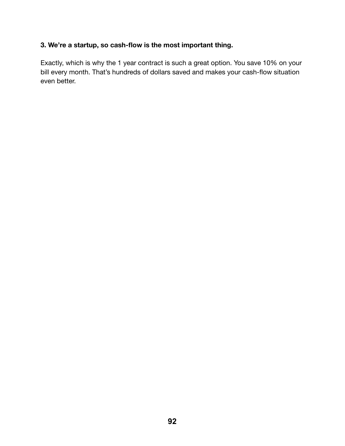#### **3. We're a startup, so cash-flow is the most important thing.**

Exactly, which is why the 1 year contract is such a great option. You save 10% on your bill every month. That's hundreds of dollars saved and makes your cash-flow situation even better.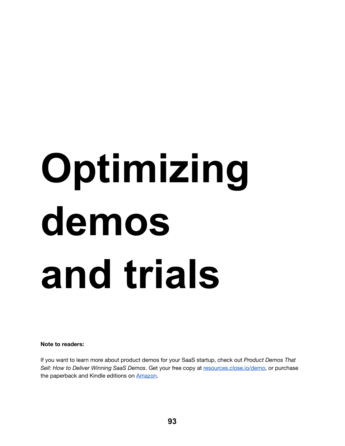# **Optimizing demos and trials**

#### **Note to readers:**

If you want to learn more about product demos for your SaaS startup, check out *Product Demos That*  Sell: How to Deliver Winning SaaS Demos. Get your free copy at [resources.close.io/demo,](http://resources.close.io/demo) or purchase the paperback and Kindle editions on **[Amazon](https://www.amazon.com/Product-Demos-That-Sell-Deliver-ebook/dp/B01B8TA8VM/)**.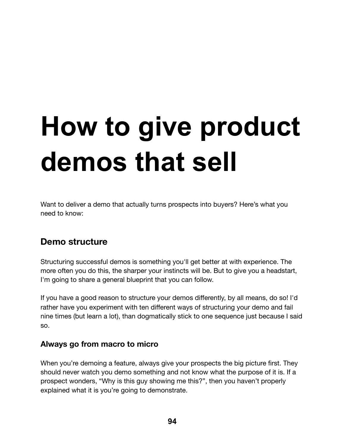# **How to give product demos that sell**

Want to deliver a demo that actually turns prospects into buyers? Here's what you need to know:

# **Demo structure**

Structuring successful demos is something you'll get better at with experience. The more often you do this, the sharper your instincts will be. But to give you a headstart, I'm going to share a general blueprint that you can follow.

If you have a good reason to structure your demos differently, by all means, do so! I'd rather have you experiment with ten different ways of structuring your demo and fail nine times (but learn a lot), than dogmatically stick to one sequence just because I said so.

#### **Always go from macro to micro**

When you're demoing a feature, always give your prospects the big picture first. They should never watch you demo something and not know what the purpose of it is. If a prospect wonders, "Why is this guy showing me this?", then you haven't properly explained what it is you're going to demonstrate.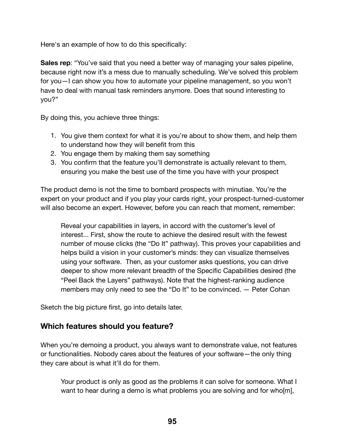Here's an example of how to do this specifically:

**Sales rep**: "You've said that you need a better way of managing your sales pipeline, because right now it's a mess due to manually scheduling. We've solved this problem for you—I can show you how to automate your pipeline management, so you won't have to deal with manual task reminders anymore. Does that sound interesting to you?"

By doing this, you achieve three things:

- 1. You give them context for what it is you're about to show them, and help them to understand how they will benefit from this
- 2. You engage them by making them say something
- 3. You confirm that the feature you'll demonstrate is actually relevant to them, ensuring you make the best use of the time you have with your prospect

The product demo is not the time to bombard prospects with minutiae. You're the expert on your product and if you play your cards right, your prospect-turned-customer will also become an expert. However, before you can reach that moment, remember:

Reveal your capabilities in layers, in accord with the customer's level of interest... First, show the route to achieve the desired result with the fewest number of mouse clicks (the "Do It" pathway). This proves your capabilities and helps build a vision in your customer's minds: they can visualize themselves using your software. Then, as your customer asks questions, you can drive deeper to show more relevant breadth of the Specific Capabilities desired (the "Peel Back the Layers" pathways). Note that the highest-ranking audience members may only need to see the "Do It" to be convinced. — Peter Cohan

Sketch the big picture first, go into details later.

#### **Which features should you feature?**

When you're demoing a product, you always want to demonstrate value, not features or functionalities. Nobody cares about the features of your software—the only thing they care about is what it'll do for them.

Your product is only as good as the problems it can solve for someone. What I want to hear during a demo is what problems you are solving and for who[m],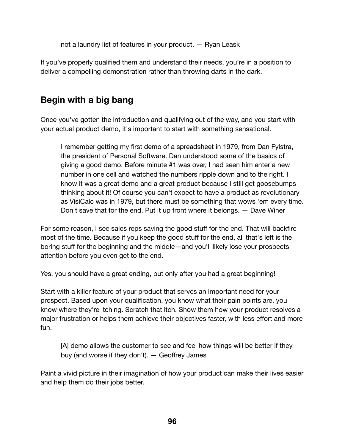not a laundry list of features in your product. — Ryan Leask

If you've properly qualified them and understand their needs, you're in a position to deliver a compelling demonstration rather than throwing darts in the dark.

# **Begin with a big bang**

Once you've gotten the introduction and qualifying out of the way, and you start with your actual product demo, it's important to start with something sensational.

I remember getting my first demo of a spreadsheet in 1979, from Dan Fylstra, the president of Personal Software. Dan understood some of the basics of giving a good demo. Before minute #1 was over, I had seen him enter a new number in one cell and watched the numbers ripple down and to the right. I know it was a great demo and a great product because I still get goosebumps thinking about it! Of course you can't expect to have a product as revolutionary as VisiCalc was in 1979, but there must be something that wows 'em every time. Don't save that for the end. Put it up front where it belongs. — Dave Winer

For some reason, I see sales reps saving the good stuff for the end. That will backfire most of the time. Because if you keep the good stuff for the end, all that's left is the boring stuff for the beginning and the middle—and you'll likely lose your prospects' attention before you even get to the end.

Yes, you should have a great ending, but only after you had a great beginning!

Start with a killer feature of your product that serves an important need for your prospect. Based upon your qualification, you know what their pain points are, you know where they're itching. Scratch that itch. Show them how your product resolves a major frustration or helps them achieve their objectives faster, with less effort and more fun.

[A] demo allows the customer to see and feel how things will be better if they buy (and worse if they don't). — Geoffrey James

Paint a vivid picture in their imagination of how your product can make their lives easier and help them do their jobs better.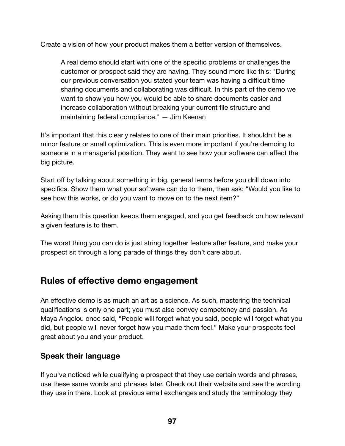Create a vision of how your product makes them a better version of themselves.

A real demo should start with one of the specific problems or challenges the customer or prospect said they are having. They sound more like this: "During our previous conversation you stated your team was having a difficult time sharing documents and collaborating was difficult. In this part of the demo we want to show you how you would be able to share documents easier and increase collaboration without breaking your current file structure and maintaining federal compliance." — Jim Keenan

It's important that this clearly relates to one of their main priorities. It shouldn't be a minor feature or small optimization. This is even more important if you're demoing to someone in a managerial position. They want to see how your software can affect the big picture.

Start off by talking about something in big, general terms before you drill down into specifics. Show them what your software can do to them, then ask: "Would you like to see how this works, or do you want to move on to the next item?"

Asking them this question keeps them engaged, and you get feedback on how relevant a given feature is to them.

The worst thing you can do is just string together feature after feature, and make your prospect sit through a long parade of things they don't care about.

# **Rules of effective demo engagement**

An effective demo is as much an art as a science. As such, mastering the technical qualifications is only one part; you must also convey competency and passion. As Maya Angelou once said, "People will forget what you said, people will forget what you did, but people will never forget how you made them feel." Make your prospects feel great about you and your product.

#### **Speak their language**

If you've noticed while qualifying a prospect that they use certain words and phrases, use these same words and phrases later. Check out their website and see the wording they use in there. Look at previous email exchanges and study the terminology they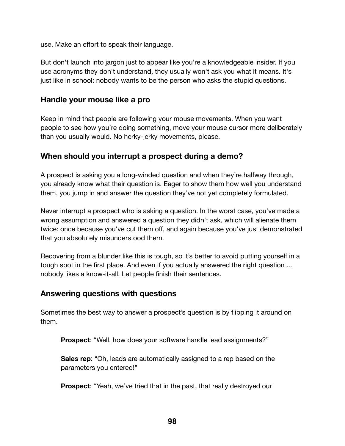use. Make an effort to speak their language.

But don't launch into jargon just to appear like you're a knowledgeable insider. If you use acronyms they don't understand, they usually won't ask you what it means. It's just like in school: nobody wants to be the person who asks the stupid questions.

#### **Handle your mouse like a pro**

Keep in mind that people are following your mouse movements. When you want people to see how you're doing something, move your mouse cursor more deliberately than you usually would. No herky-jerky movements, please.

#### **When should you interrupt a prospect during a demo?**

A prospect is asking you a long-winded question and when they're halfway through, you already know what their question is. Eager to show them how well you understand them, you jump in and answer the question they've not yet completely formulated.

Never interrupt a prospect who is asking a question. In the worst case, you've made a wrong assumption and answered a question they didn't ask, which will alienate them twice: once because you've cut them off, and again because you've just demonstrated that you absolutely misunderstood them.

Recovering from a blunder like this is tough, so it's better to avoid putting yourself in a tough spot in the first place. And even if you actually answered the right question ... nobody likes a know-it-all. Let people finish their sentences.

#### **Answering questions with questions**

Sometimes the best way to answer a prospect's question is by flipping it around on them.

**Prospect**: "Well, how does your software handle lead assignments?"

**Sales rep**: "Oh, leads are automatically assigned to a rep based on the parameters you entered!"

**Prospect**: "Yeah, we've tried that in the past, that really destroyed our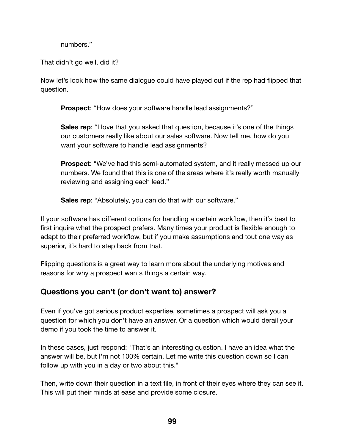numbers."

That didn't go well, did it?

Now let's look how the same dialogue could have played out if the rep had flipped that question.

**Prospect**: "How does your software handle lead assignments?"

**Sales rep:** "I love that you asked that question, because it's one of the things our customers really like about our sales software. Now tell me, how do you want your software to handle lead assignments?

**Prospect**: "We've had this semi-automated system, and it really messed up our numbers. We found that this is one of the areas where it's really worth manually reviewing and assigning each lead."

**Sales rep**: "Absolutely, you can do that with our software."

If your software has different options for handling a certain workflow, then it's best to first inquire what the prospect prefers. Many times your product is flexible enough to adapt to their preferred workflow, but if you make assumptions and tout one way as superior, it's hard to step back from that.

Flipping questions is a great way to learn more about the underlying motives and reasons for why a prospect wants things a certain way.

#### **Questions you can't (or don't want to) answer?**

Even if you've got serious product expertise, sometimes a prospect will ask you a question for which you don't have an answer. Or a question which would derail your demo if you took the time to answer it.

In these cases, just respond: "That's an interesting question. I have an idea what the answer will be, but I'm not 100% certain. Let me write this question down so I can follow up with you in a day or two about this."

Then, write down their question in a text file, in front of their eyes where they can see it. This will put their minds at ease and provide some closure.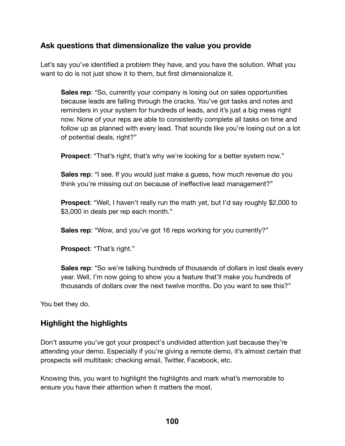#### **Ask questions that dimensionalize the value you provide**

Let's say you've identified a problem they have, and you have the solution. What you want to do is not just show it to them, but first dimensionalize it.

**Sales rep**: "So, currently your company is losing out on sales opportunities because leads are falling through the cracks. You've got tasks and notes and reminders in your system for hundreds of leads, and it's just a big mess right now. None of your reps are able to consistently complete all tasks on time and follow up as planned with every lead. That sounds like you're losing out on a lot of potential deals, right?"

**Prospect**: "That's right, that's why we're looking for a better system now."

**Sales rep**: "I see. If you would just make a guess, how much revenue do you think you're missing out on because of ineffective lead management?"

**Prospect**: "Well, I haven't really run the math yet, but I'd say roughly \$2,000 to \$3,000 in deals per rep each month."

**Sales rep**: "Wow, and you've got 16 reps working for you currently?"

**Prospect**: "That's right."

**Sales rep**: "So we're talking hundreds of thousands of dollars in lost deals every year. Well, I'm now going to show you a feature that'll make you hundreds of thousands of dollars over the next twelve months. Do you want to see this?"

You bet they do.

#### **Highlight the highlights**

Don't assume you've got your prospect's undivided attention just because they're attending your demo. Especially if you're giving a remote demo, it's almost certain that prospects will multitask: checking email, Twitter, Facebook, etc.

Knowing this, you want to highlight the highlights and mark what's memorable to ensure you have their attention when it matters the most.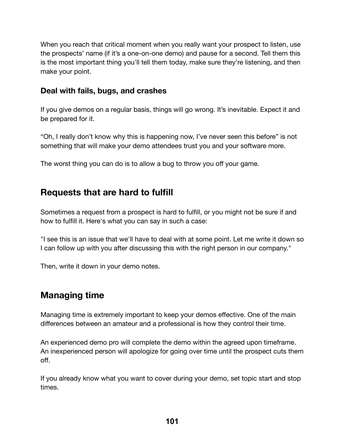When you reach that critical moment when you really want your prospect to listen, use the prospects' name (if it's a one-on-one demo) and pause for a second. Tell them this is the most important thing you'll tell them today, make sure they're listening, and then make your point.

#### **Deal with fails, bugs, and crashes**

If you give demos on a regular basis, things will go wrong. It's inevitable. Expect it and be prepared for it.

"Oh, I really don't know why this is happening now, I've never seen this before" is not something that will make your demo attendees trust you and your software more.

The worst thing you can do is to allow a bug to throw you off your game.

# **Requests that are hard to fulfill**

Sometimes a request from a prospect is hard to fulfill, or you might not be sure if and how to fulfill it. Here's what you can say in such a case:

"I see this is an issue that we'll have to deal with at some point. Let me write it down so I can follow up with you after discussing this with the right person in our company."

Then, write it down in your demo notes.

# **Managing time**

Managing time is extremely important to keep your demos effective. One of the main differences between an amateur and a professional is how they control their time.

An experienced demo pro will complete the demo within the agreed upon timeframe. An inexperienced person will apologize for going over time until the prospect cuts them off.

If you already know what you want to cover during your demo, set topic start and stop times.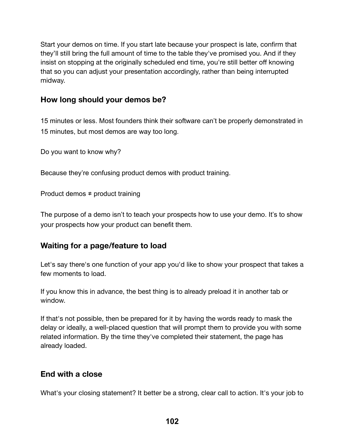Start your demos on time. If you start late because your prospect is late, confirm that they'll still bring the full amount of time to the table they've promised you. And if they insist on stopping at the originally scheduled end time, you're still better off knowing that so you can adjust your presentation accordingly, rather than being interrupted midway.

#### **How long should your demos be?**

15 minutes or less. Most founders think their software can't be properly demonstrated in 15 minutes, but most demos are way too long.

Do you want to know why?

Because they're confusing product demos with product training.

Product demos ≠ product training

The purpose of a demo isn't to teach your prospects how to use your demo. It's to show your prospects how your product can benefit them.

#### **Waiting for a page/feature to load**

Let's say there's one function of your app you'd like to show your prospect that takes a few moments to load.

If you know this in advance, the best thing is to already preload it in another tab or window.

If that's not possible, then be prepared for it by having the words ready to mask the delay or ideally, a well-placed question that will prompt them to provide you with some related information. By the time they've completed their statement, the page has already loaded.

#### **End with a close**

What's your closing statement? It better be a strong, clear call to action. It's your job to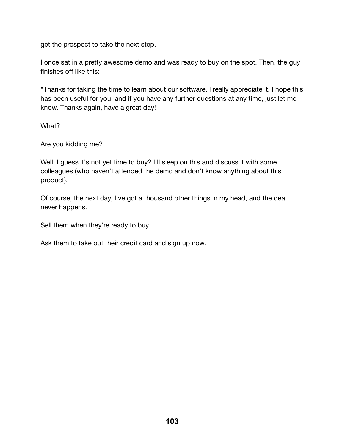get the prospect to take the next step.

I once sat in a pretty awesome demo and was ready to buy on the spot. Then, the guy finishes off like this:

"Thanks for taking the time to learn about our software, I really appreciate it. I hope this has been useful for you, and if you have any further questions at any time, just let me know. Thanks again, have a great day!"

What?

Are you kidding me?

Well, I guess it's not yet time to buy? I'll sleep on this and discuss it with some colleagues (who haven't attended the demo and don't know anything about this product).

Of course, the next day, I've got a thousand other things in my head, and the deal never happens.

Sell them when they're ready to buy.

Ask them to take out their credit card and sign up now.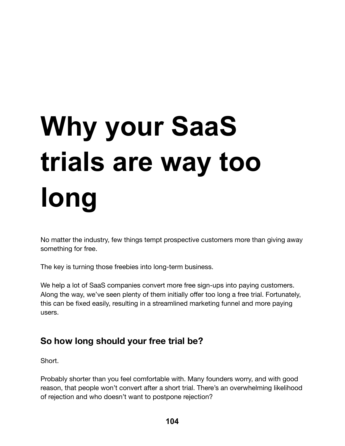# **Why your SaaS trials are way too long**

No matter the industry, few things tempt prospective customers more than giving away something for free.

The key is turning those freebies into long-term business.

We help a lot of SaaS companies convert more free sign-ups into paying customers. Along the way, we've seen plenty of them initially offer too long a free trial. Fortunately, this can be fixed easily, resulting in a streamlined marketing funnel and more paying users.

# **So how long should your free trial be?**

Short.

Probably shorter than you feel comfortable with. Many founders worry, and with good reason, that people won't convert after a short trial. There's an overwhelming likelihood of rejection and who doesn't want to postpone rejection?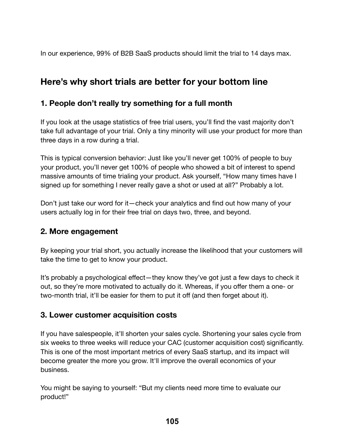In our experience, 99% of B2B SaaS products should limit the trial to 14 days max.

# **Here's why short trials are better for your bottom line**

## **1. People don't really try something for a full month**

If you look at the usage statistics of free trial users, you'll find the vast majority don't take full advantage of your trial. Only a tiny minority will use your product for more than three days in a row during a trial.

This is typical conversion behavior: Just like you'll never get 100% of people to buy your product, you'll never get 100% of people who showed a bit of interest to spend massive amounts of time trialing your product. Ask yourself, "How many times have I signed up for something I never really gave a shot or used at all?" Probably a lot.

Don't just take our word for it—check your analytics and find out how many of your users actually log in for their free trial on days two, three, and beyond.

#### **2. More engagement**

By keeping your trial short, you actually increase the likelihood that your customers will take the time to get to know your product.

It's probably a psychological effect—they know they've got just a few days to check it out, so they're more motivated to actually do it. Whereas, if you offer them a one- or two-month trial, it'll be easier for them to put it off (and then forget about it).

#### **3. Lower customer acquisition costs**

If you have salespeople, it'll shorten your sales cycle. Shortening your sales cycle from six weeks to three weeks will reduce your CAC (customer acquisition cost) significantly. This is one of the most important metrics of every SaaS startup, and its impact will become greater the more you grow. It'll improve the overall economics of your business.

You might be saying to yourself: "But my clients need more time to evaluate our product!"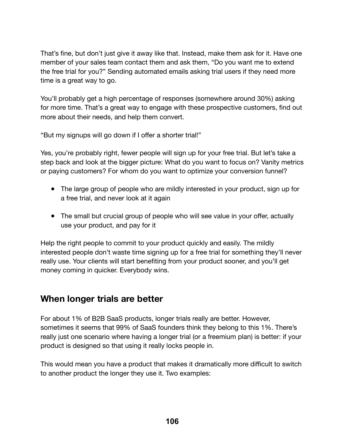That's fine, but don't just give it away like that. Instead, make them ask for it. Have one member of your sales team contact them and ask them, "Do you want me to extend the free trial for you?" Sending automated emails asking trial users if they need more time is a great way to go.

You'll probably get a high percentage of responses (somewhere around 30%) asking for more time. That's a great way to engage with these prospective customers, find out more about their needs, and help them convert.

"But my signups will go down if I offer a shorter trial!"

Yes, you're probably right, fewer people will sign up for your free trial. But let's take a step back and look at the bigger picture: What do you want to focus on? Vanity metrics or paying customers? For whom do you want to optimize your conversion funnel?

- The large group of people who are mildly interested in your product, sign up for a free trial, and never look at it again
- The small but crucial group of people who will see value in your offer, actually use your product, and pay for it

Help the right people to commit to your product quickly and easily. The mildly interested people don't waste time signing up for a free trial for something they'll never really use. Your clients will start benefiting from your product sooner, and you'll get money coming in quicker. Everybody wins.

## **When longer trials are better**

For about 1% of B2B SaaS products, longer trials really are better. However, sometimes it seems that 99% of SaaS founders think they belong to this 1%. There's really just one scenario where having a longer trial (or a freemium plan) is better: if your product is designed so that using it really locks people in.

This would mean you have a product that makes it dramatically more difficult to switch to another product the longer they use it. Two examples: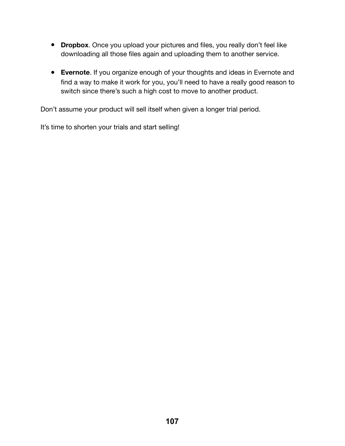- **Dropbox**. Once you upload your pictures and files, you really don't feel like downloading all those files again and uploading them to another service.
- **Evernote**. If you organize enough of your thoughts and ideas in Evernote and find a way to make it work for you, you'll need to have a really good reason to switch since there's such a high cost to move to another product.

Don't assume your product will sell itself when given a longer trial period.

It's time to shorten your trials and start selling!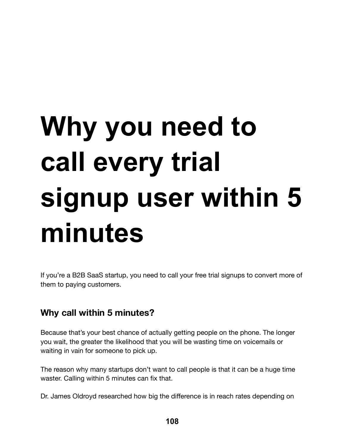# **Why you need to call every trial signup user within 5 minutes**

If you're a B2B SaaS startup, you need to call your free trial signups to convert more of them to paying customers.

# **Why call within 5 minutes?**

Because that's your best chance of actually getting people on the phone. The longer you wait, the greater the likelihood that you will be wasting time on voicemails or waiting in vain for someone to pick up.

The reason why many startups don't want to call people is that it can be a huge time waster. Calling within 5 minutes can fix that.

Dr. James Oldroyd researched how big the difference is in reach rates depending on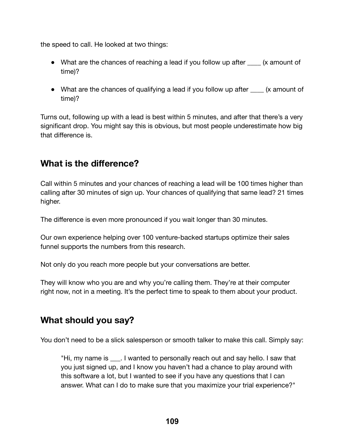the speed to call. He looked at two things:

- What are the chances of reaching a lead if you follow up after (x amount of time)?
- What are the chances of qualifying a lead if you follow up after  $\quad$  (x amount of time)?

Turns out, following up with a lead is best within 5 minutes, and after that there's a very significant drop. You might say this is obvious, but most people underestimate how big that difference is.

### **What is the difference?**

Call within 5 minutes and your chances of reaching a lead will be 100 times higher than calling after 30 minutes of sign up. Your chances of qualifying that same lead? 21 times higher.

The difference is even more pronounced if you wait longer than 30 minutes.

Our own experience helping over 100 venture-backed startups optimize their sales funnel supports the numbers from this research.

Not only do you reach more people but your conversations are better.

They will know who you are and why you're calling them. They're at their computer right now, not in a meeting. It's the perfect time to speak to them about your product.

### **What should you say?**

You don't need to be a slick salesperson or smooth talker to make this call. Simply say:

"Hi, my name is \_\_\_. I wanted to personally reach out and say hello. I saw that you just signed up, and I know you haven't had a chance to play around with this software a lot, but I wanted to see if you have any questions that I can answer. What can I do to make sure that you maximize your trial experience?"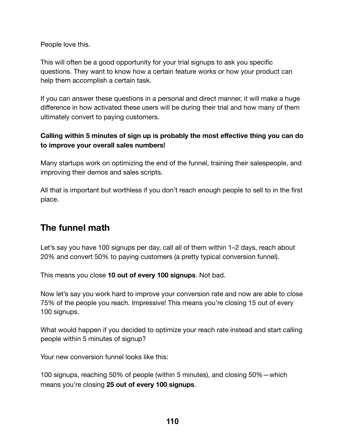People love this.

This will often be a good opportunity for your trial signups to ask you specific questions. They want to know how a certain feature works or how your product can help them accomplish a certain task.

If you can answer these questions in a personal and direct manner, it will make a huge difference in how activated these users will be during their trial and how many of them ultimately convert to paying customers.

#### **Calling within 5 minutes of sign up is probably the most effective thing you can do to improve your overall sales numbers!**

Many startups work on optimizing the end of the funnel, training their salespeople, and improving their demos and sales scripts.

All that is important but worthless if you don't reach enough people to sell to in the first place.

# **The funnel math**

Let's say you have 100 signups per day, call all of them within 1–2 days, reach about 20% and convert 50% to paying customers (a pretty typical conversion funnel).

This means you close **10 out of every 100 signups**. Not bad.

Now let's say you work hard to improve your conversion rate and now are able to close 75% of the people you reach. Impressive! This means you're closing 15 out of every 100 signups.

What would happen if you decided to optimize your reach rate instead and start calling people within 5 minutes of signup?

Your new conversion funnel looks like this:

100 signups, reaching 50% of people (within 5 minutes), and closing 50%—which means you're closing **25 out of every 100 signups**.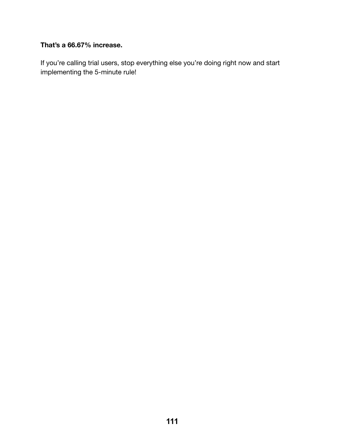#### **That's a 66.67% increase.**

If you're calling trial users, stop everything else you're doing right now and start implementing the 5-minute rule!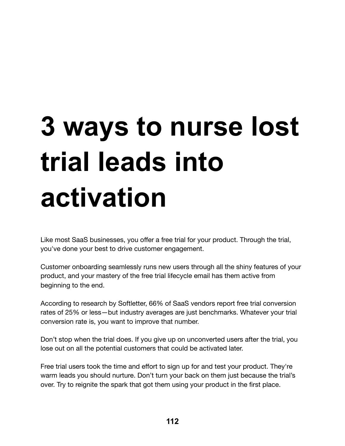# **3 ways to nurse lost trial leads into activation**

Like most SaaS businesses, you offer a free trial for your product. Through the trial, you've done your best to drive customer engagement.

Customer onboarding seamlessly runs new users through all the shiny features of your product, and your mastery of the free trial lifecycle email has them active from beginning to the end.

According to research by Softletter, 66% of SaaS vendors report free trial conversion rates of 25% or less—but industry averages are just benchmarks. Whatever your trial conversion rate is, you want to improve that number.

Don't stop when the trial does. If you give up on unconverted users after the trial, you lose out on all the potential customers that could be activated later.

Free trial users took the time and effort to sign up for and test your product. They're warm leads you should nurture. Don't turn your back on them just because the trial's over. Try to reignite the spark that got them using your product in the first place.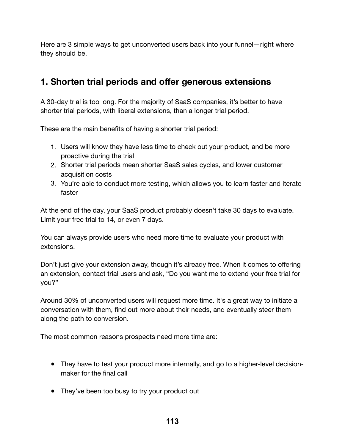Here are 3 simple ways to get unconverted users back into your funnel—right where they should be.

# **1. Shorten trial periods and offer generous extensions**

A 30-day trial is too long. For the majority of SaaS companies, it's better to have shorter trial periods, with liberal extensions, than a longer trial period.

These are the main benefits of having a shorter trial period:

- 1. Users will know they have less time to check out your product, and be more proactive during the trial
- 2. Shorter trial periods mean shorter SaaS sales cycles, and lower customer acquisition costs
- 3. You're able to conduct more testing, which allows you to learn faster and iterate faster

At the end of the day, your SaaS product probably doesn't take 30 days to evaluate. Limit your free trial to 14, or even 7 days.

You can always provide users who need more time to evaluate your product with extensions.

Don't just give your extension away, though it's already free. When it comes to offering an extension, contact trial users and ask, "Do you want me to extend your free trial for you?"

Around 30% of unconverted users will request more time. It's a great way to initiate a conversation with them, find out more about their needs, and eventually steer them along the path to conversion.

The most common reasons prospects need more time are:

- They have to test your product more internally, and go to a higher-level decisionmaker for the final call
- They've been too busy to try your product out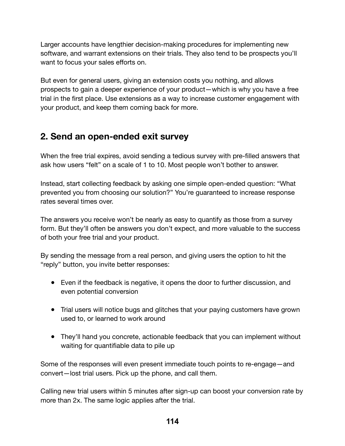Larger accounts have lengthier decision-making procedures for implementing new software, and warrant extensions on their trials. They also tend to be prospects you'll want to focus your sales efforts on.

But even for general users, giving an extension costs you nothing, and allows prospects to gain a deeper experience of your product—which is why you have a free trial in the first place. Use extensions as a way to increase customer engagement with your product, and keep them coming back for more.

# **2. Send an open-ended exit survey**

When the free trial expires, avoid sending a tedious survey with pre-filled answers that ask how users "felt" on a scale of 1 to 10. Most people won't bother to answer.

Instead, start collecting feedback by asking one simple open-ended question: "What prevented you from choosing our solution?" You're guaranteed to increase response rates several times over.

The answers you receive won't be nearly as easy to quantify as those from a survey form. But they'll often be answers you don't expect, and more valuable to the success of both your free trial and your product.

By sending the message from a real person, and giving users the option to hit the "reply" button, you invite better responses:

- Even if the feedback is negative, it opens the door to further discussion, and even potential conversion
- Trial users will notice bugs and glitches that your paying customers have grown used to, or learned to work around
- They'll hand you concrete, actionable feedback that you can implement without waiting for quantifiable data to pile up

Some of the responses will even present immediate touch points to re-engage—and convert—lost trial users. Pick up the phone, and call them.

Calling new trial users within 5 minutes after sign-up can boost your conversion rate by more than 2x. The same logic applies after the trial.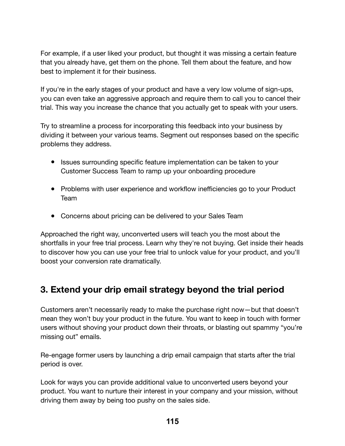For example, if a user liked your product, but thought it was missing a certain feature that you already have, get them on the phone. Tell them about the feature, and how best to implement it for their business.

If you're in the early stages of your product and have a very low volume of sign-ups, you can even take an aggressive approach and require them to call you to cancel their trial. This way you increase the chance that you actually get to speak with your users.

Try to streamline a process for incorporating this feedback into your business by dividing it between your various teams. Segment out responses based on the specific problems they address.

- Issues surrounding specific feature implementation can be taken to your Customer Success Team to ramp up your onboarding procedure
- Problems with user experience and workflow inefficiencies go to your Product Team
- Concerns about pricing can be delivered to your Sales Team

Approached the right way, unconverted users will teach you the most about the shortfalls in your free trial process. Learn why they're not buying. Get inside their heads to discover how you can use your free trial to unlock value for your product, and you'll boost your conversion rate dramatically.

### **3. Extend your drip email strategy beyond the trial period**

Customers aren't necessarily ready to make the purchase right now—but that doesn't mean they won't buy your product in the future. You want to keep in touch with former users without shoving your product down their throats, or blasting out spammy "you're missing out" emails.

Re-engage former users by launching a drip email campaign that starts after the trial period is over.

Look for ways you can provide additional value to unconverted users beyond your product. You want to nurture their interest in your company and your mission, without driving them away by being too pushy on the sales side.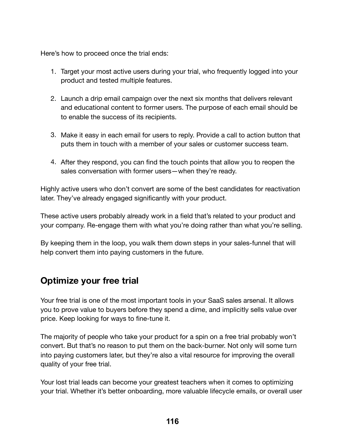Here's how to proceed once the trial ends:

- 1. Target your most active users during your trial, who frequently logged into your product and tested multiple features.
- 2. Launch a drip email campaign over the next six months that delivers relevant and educational content to former users. The purpose of each email should be to enable the success of its recipients.
- 3. Make it easy in each email for users to reply. Provide a call to action button that puts them in touch with a member of your sales or customer success team.
- 4. After they respond, you can find the touch points that allow you to reopen the sales conversation with former users—when they're ready.

Highly active users who don't convert are some of the best candidates for reactivation later. They've already engaged significantly with your product.

These active users probably already work in a field that's related to your product and your company. Re-engage them with what you're doing rather than what you're selling.

By keeping them in the loop, you walk them down steps in your sales-funnel that will help convert them into paying customers in the future.

# **Optimize your free trial**

Your free trial is one of the most important tools in your SaaS sales arsenal. It allows you to prove value to buyers before they spend a dime, and implicitly sells value over price. Keep looking for ways to fine-tune it.

The majority of people who take your product for a spin on a free trial probably won't convert. But that's no reason to put them on the back-burner. Not only will some turn into paying customers later, but they're also a vital resource for improving the overall quality of your free trial.

Your lost trial leads can become your greatest teachers when it comes to optimizing your trial. Whether it's better onboarding, more valuable lifecycle emails, or overall user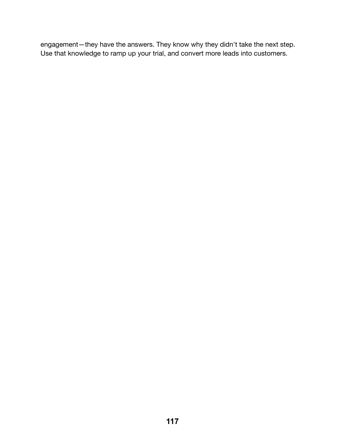engagement—they have the answers. They know why they didn't take the next step. Use that knowledge to ramp up your trial, and convert more leads into customers.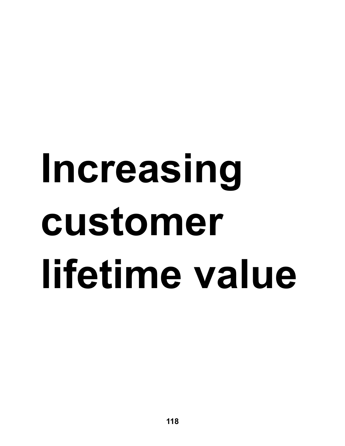# **Increasing customer lifetime value**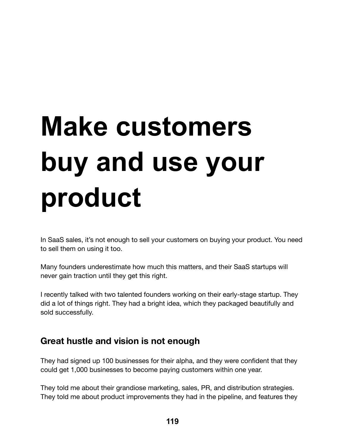# **Make customers buy and use your product**

In SaaS sales, it's not enough to sell your customers on buying your product. You need to sell them on using it too.

Many founders underestimate how much this matters, and their SaaS startups will never gain traction until they get this right.

I recently talked with two talented founders working on their early-stage startup. They did a lot of things right. They had a bright idea, which they packaged beautifully and sold successfully.

# **Great hustle and vision is not enough**

They had signed up 100 businesses for their alpha, and they were confident that they could get 1,000 businesses to become paying customers within one year.

They told me about their grandiose marketing, sales, PR, and distribution strategies. They told me about product improvements they had in the pipeline, and features they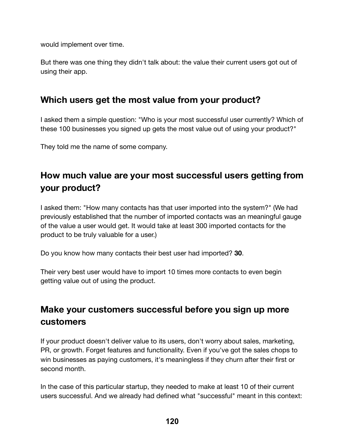would implement over time.

But there was one thing they didn't talk about: the value their current users got out of using their app.

### **Which users get the most value from your product?**

I asked them a simple question: "Who is your most successful user currently? Which of these 100 businesses you signed up gets the most value out of using your product?"

They told me the name of some company.

# **How much value are your most successful users getting from your product?**

I asked them: "How many contacts has that user imported into the system?" (We had previously established that the number of imported contacts was an meaningful gauge of the value a user would get. It would take at least 300 imported contacts for the product to be truly valuable for a user.)

Do you know how many contacts their best user had imported? **30**.

Their very best user would have to import 10 times more contacts to even begin getting value out of using the product.

# **Make your customers successful before you sign up more customers**

If your product doesn't deliver value to its users, don't worry about sales, marketing, PR, or growth. Forget features and functionality. Even if you've got the sales chops to win businesses as paying customers, it's meaningless if they churn after their first or second month.

In the case of this particular startup, they needed to make at least 10 of their current users successful. And we already had defined what "successful" meant in this context: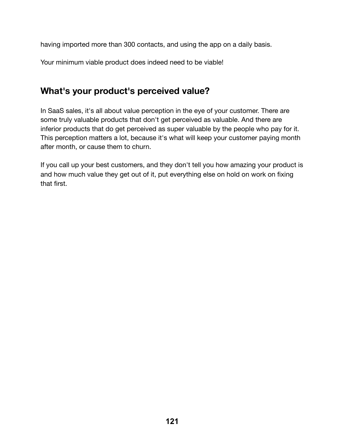having imported more than 300 contacts, and using the app on a daily basis.

Your minimum viable product does indeed need to be viable!

### **What's your product's perceived value?**

In SaaS sales, it's all about value perception in the eye of your customer. There are some truly valuable products that don't get perceived as valuable. And there are inferior products that do get perceived as super valuable by the people who pay for it. This perception matters a lot, because it's what will keep your customer paying month after month, or cause them to churn.

If you call up your best customers, and they don't tell you how amazing your product is and how much value they get out of it, put everything else on hold on work on fixing that first.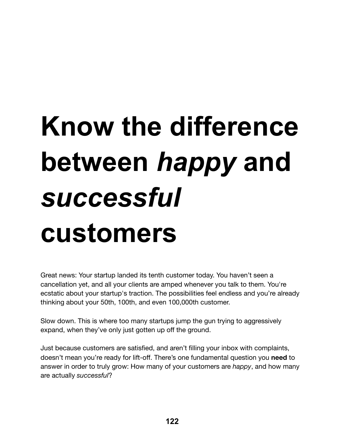# **Know the difference between** *happy* **and**  *successful* **customers**

Great news: Your startup landed its tenth customer today. You haven't seen a cancellation yet, and all your clients are amped whenever you talk to them. You're ecstatic about your startup's traction. The possibilities feel endless and you're already thinking about your 50th, 100th, and even 100,000th customer.

Slow down. This is where too many startups jump the gun trying to aggressively expand, when they've only just gotten up off the ground.

Just because customers are satisfied, and aren't filling your inbox with complaints, doesn't mean you're ready for lift-off. There's one fundamental question you **need** to answer in order to truly grow: How many of your customers are *happy*, and how many are actually *successful*?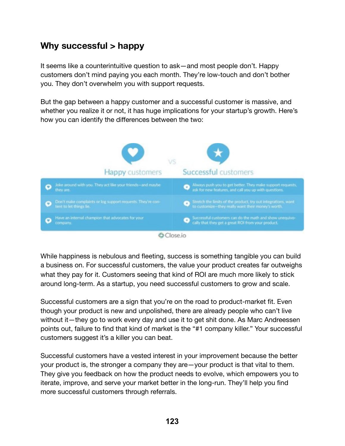# **Why successful > happy**

It seems like a counterintuitive question to ask—and most people don't. Happy customers don't mind paying you each month. They're low-touch and don't bother you. They don't overwhelm you with support requests.

But the gap between a happy customer and a successful customer is massive, and whether you realize it or not, it has huge implications for your startup's growth. Here's how you can identify the differences between the two:



While happiness is nebulous and fleeting, success is something tangible you can build a business on. For successful customers, the value your product creates far outweighs what they pay for it. Customers seeing that kind of ROI are much more likely to stick around long-term. As a startup, you need successful customers to grow and scale.

Successful customers are a sign that you're on the road to product-market fit. Even though your product is new and unpolished, there are already people who can't live without it—they go to work every day and use it to get shit done. As Marc Andreessen points out, failure to find that kind of market is the "#1 company killer." Your successful customers suggest it's a killer you can beat.

Successful customers have a vested interest in your improvement because the better your product is, the stronger a company they are—your product is that vital to them. They give you feedback on how the product needs to evolve, which empowers you to iterate, improve, and serve your market better in the long-run. They'll help you find more successful customers through referrals.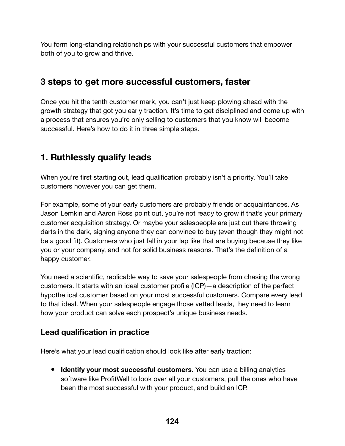You form long-standing relationships with your successful customers that empower both of you to grow and thrive.

# **3 steps to get more successful customers, faster**

Once you hit the tenth customer mark, you can't just keep plowing ahead with the growth strategy that got you early traction. It's time to get disciplined and come up with a process that ensures you're only selling to customers that you know will become successful. Here's how to do it in three simple steps.

# **1. Ruthlessly qualify leads**

When you're first starting out, lead qualification probably isn't a priority. You'll take customers however you can get them.

For example, some of your early customers are probably friends or acquaintances. As Jason Lemkin and Aaron Ross point out, you're not ready to grow if that's your primary customer acquisition strategy. Or maybe your salespeople are just out there throwing darts in the dark, signing anyone they can convince to buy (even though they might not be a good fit). Customers who just fall in your lap like that are buying because they like you or your company, and not for solid business reasons. That's the definition of a happy customer.

You need a scientific, replicable way to save your salespeople from chasing the wrong customers. It starts with an ideal customer profile (ICP)—a description of the perfect hypothetical customer based on your most successful customers. Compare every lead to that ideal. When your salespeople engage those vetted leads, they need to learn how your product can solve each prospect's unique business needs.

#### **Lead qualification in practice**

Here's what your lead qualification should look like after early traction:

● **Identify your most successful customers**. You can use a billing analytics software like ProfitWell to look over all your customers, pull the ones who have been the most successful with your product, and build an ICP.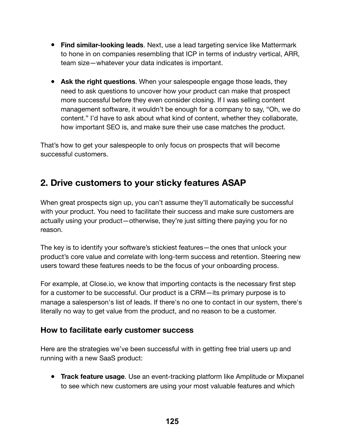- **Find similar-looking leads**. Next, use a lead targeting service like Mattermark to hone in on companies resembling that ICP in terms of industry vertical, ARR, team size—whatever your data indicates is important.
- **Ask the right questions**. When your salespeople engage those leads, they need to ask questions to uncover how your product can make that prospect more successful before they even consider closing. If I was selling content management software, it wouldn't be enough for a company to say, "Oh, we do content." I'd have to ask about what kind of content, whether they collaborate, how important SEO is, and make sure their use case matches the product.

That's how to get your salespeople to only focus on prospects that will become successful customers.

# **2. Drive customers to your sticky features ASAP**

When great prospects sign up, you can't assume they'll automatically be successful with your product. You need to facilitate their success and make sure customers are actually using your product—otherwise, they're just sitting there paying you for no reason.

The key is to identify your software's stickiest features—the ones that unlock your product's core value and correlate with long-term success and retention. Steering new users toward these features needs to be the focus of your onboarding process.

For example, at Close.io, we know that importing contacts is the necessary first step for a customer to be successful. Our product is a CRM—its primary purpose is to manage a salesperson's list of leads. If there's no one to contact in our system, there's literally no way to get value from the product, and no reason to be a customer.

#### **How to facilitate early customer success**

Here are the strategies we've been successful with in getting free trial users up and running with a new SaaS product:

● **Track feature usage**. Use an event-tracking platform like Amplitude or Mixpanel to see which new customers are using your most valuable features and which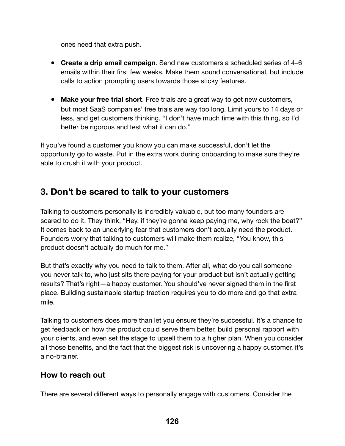ones need that extra push.

- **Create a drip email campaign**. Send new customers a scheduled series of 4–6 emails within their first few weeks. Make them sound conversational, but include calls to action prompting users towards those sticky features.
- **Make your free trial short**. Free trials are a great way to get new customers, but most SaaS companies' free trials are way too long. Limit yours to 14 days or less, and get customers thinking, "I don't have much time with this thing, so I'd better be rigorous and test what it can do."

If you've found a customer you know you can make successful, don't let the opportunity go to waste. Put in the extra work during onboarding to make sure they're able to crush it with your product.

#### **3. Don't be scared to talk to your customers**

Talking to customers personally is incredibly valuable, but too many founders are scared to do it. They think, "Hey, if they're gonna keep paying me, why rock the boat?" It comes back to an underlying fear that customers don't actually need the product. Founders worry that talking to customers will make them realize, "You know, this product doesn't actually do much for me."

But that's exactly why you need to talk to them. After all, what do you call someone you never talk to, who just sits there paying for your product but isn't actually getting results? That's right—a happy customer. You should've never signed them in the first place. Building sustainable startup traction requires you to do more and go that extra mile.

Talking to customers does more than let you ensure they're successful. It's a chance to get feedback on how the product could serve them better, build personal rapport with your clients, and even set the stage to upsell them to a higher plan. When you consider all those benefits, and the fact that the biggest risk is uncovering a happy customer, it's a no-brainer.

#### **How to reach out**

There are several different ways to personally engage with customers. Consider the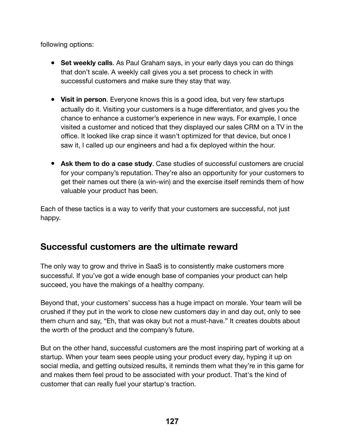following options:

- **Set weekly calls**. As Paul Graham says, in your early days you can do things that don't scale. A weekly call gives you a set process to check in with successful customers and make sure they stay that way.
- **Visit in person**. Everyone knows this is a good idea, but very few startups actually do it. Visiting your customers is a huge differentiator, and gives you the chance to enhance a customer's experience in new ways. For example, I once visited a customer and noticed that they displayed our sales CRM on a TV in the office. It looked like crap since it wasn't optimized for that device, but once I saw it, I called up our engineers and had a fix deployed within the hour.
- **Ask them to do a case study**. Case studies of successful customers are crucial for your company's reputation. They're also an opportunity for your customers to get their names out there (a win-win) and the exercise itself reminds them of how valuable your product has been.

Each of these tactics is a way to verify that your customers are successful, not just happy.

### **Successful customers are the ultimate reward**

The only way to grow and thrive in SaaS is to consistently make customers more successful. If you've got a wide enough base of companies your product can help succeed, you have the makings of a healthy company.

Beyond that, your customers' success has a huge impact on morale. Your team will be crushed if they put in the work to close new customers day in and day out, only to see them churn and say, "Eh, that was okay but not a must-have." It creates doubts about the worth of the product and the company's future.

But on the other hand, successful customers are the most inspiring part of working at a startup. When your team sees people using your product every day, hyping it up on social media, and getting outsized results, it reminds them what they're in this game for and makes them feel proud to be associated with your product. That's the kind of customer that can really fuel your startup's traction.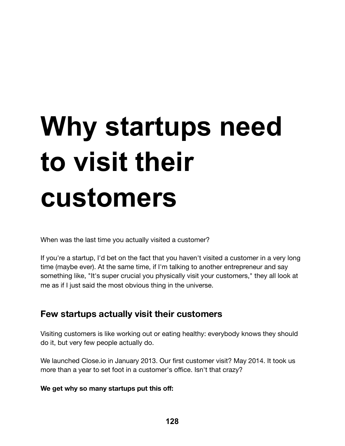# **Why startups need to visit their customers**

When was the last time you actually visited a customer?

If you're a startup, I'd bet on the fact that you haven't visited a customer in a very long time (maybe ever). At the same time, if I'm talking to another entrepreneur and say something like, "It's super crucial you physically visit your customers," they all look at me as if I just said the most obvious thing in the universe.

#### **Few startups actually visit their customers**

Visiting customers is like working out or eating healthy: everybody knows they should do it, but very few people actually do.

We launched Close.io in January 2013. Our first customer visit? May 2014. It took us more than a year to set foot in a customer's office. Isn't that crazy?

#### **We get why so many startups put this off:**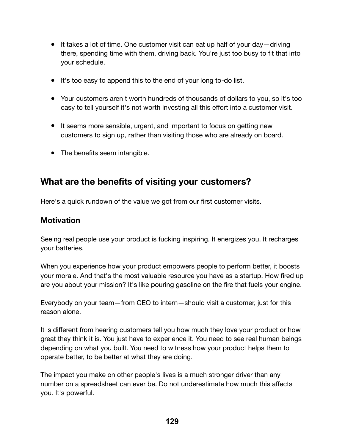- $\bullet$  It takes a lot of time. One customer visit can eat up half of your day—driving there, spending time with them, driving back. You're just too busy to fit that into your schedule.
- It's too easy to append this to the end of your long to-do list.
- Your customers aren't worth hundreds of thousands of dollars to you, so it's too easy to tell yourself it's not worth investing all this effort into a customer visit.
- It seems more sensible, urgent, and important to focus on getting new customers to sign up, rather than visiting those who are already on board.
- The benefits seem intangible.

### **What are the benefits of visiting your customers?**

Here's a quick rundown of the value we got from our first customer visits.

#### **Motivation**

Seeing real people use your product is fucking inspiring. It energizes you. It recharges your batteries.

When you experience how your product empowers people to perform better, it boosts your morale. And that's the most valuable resource you have as a startup. How fired up are you about your mission? It's like pouring gasoline on the fire that fuels your engine.

Everybody on your team—from CEO to intern—should visit a customer, just for this reason alone.

It is different from hearing customers tell you how much they love your product or how great they think it is. You just have to experience it. You need to see real human beings depending on what you built. You need to witness how your product helps them to operate better, to be better at what they are doing.

The impact you make on other people's lives is a much stronger driver than any number on a spreadsheet can ever be. Do not underestimate how much this affects you. It's powerful.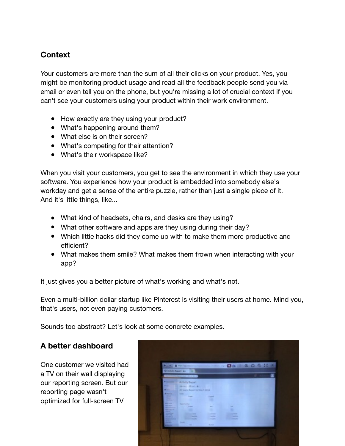#### **Context**

Your customers are more than the sum of all their clicks on your product. Yes, you might be monitoring product usage and read all the feedback people send you via email or even tell you on the phone, but you're missing a lot of crucial context if you can't see your customers using your product within their work environment.

- How exactly are they using your product?
- What's happening around them?
- What else is on their screen?
- What's competing for their attention?
- What's their workspace like?

When you visit your customers, you get to see the environment in which they use your software. You experience how your product is embedded into somebody else's workday and get a sense of the entire puzzle, rather than just a single piece of it. And it's little things, like...

- What kind of headsets, chairs, and desks are they using?
- What other software and apps are they using during their day?
- Which little hacks did they come up with to make them more productive and efficient?
- What makes them smile? What makes them frown when interacting with your app?

It just gives you a better picture of what's working and what's not.

Even a multi-billion dollar startup like Pinterest is visiting their users at home. Mind you, that's users, not even paying customers.

Sounds too abstract? Let's look at some concrete examples.

#### **A better dashboard**

One customer we visited had a TV on their wall displaying our reporting screen. But our reporting page wasn't optimized for full-screen TV

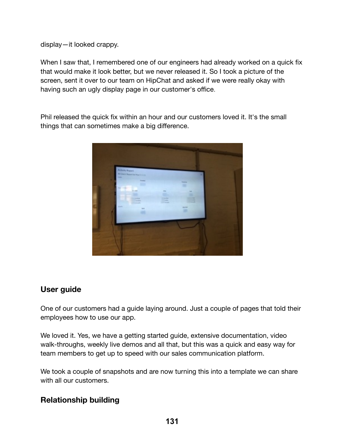display—it looked crappy.

When I saw that, I remembered one of our engineers had already worked on a quick fix that would make it look better, but we never released it. So I took a picture of the screen, sent it over to our team on HipChat and asked if we were really okay with having such an ugly display page in our customer's office.

Phil released the quick fix within an hour and our customers loved it. It's the small things that can sometimes make a big difference.



#### **User guide**

One of our customers had a guide laying around. Just a couple of pages that told their employees how to use our app.

We loved it. Yes, we have a getting started guide, extensive documentation, video walk-throughs, weekly live demos and all that, but this was a quick and easy way for team members to get up to speed with our sales communication platform.

We took a couple of snapshots and are now turning this into a template we can share with all our customers.

#### **Relationship building**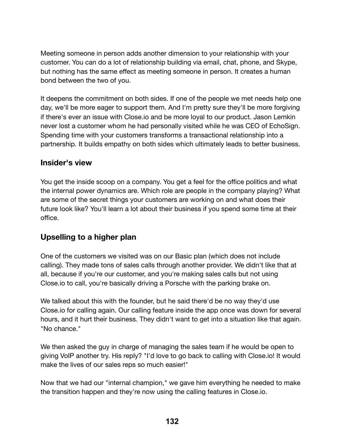Meeting someone in person adds another dimension to your relationship with your customer. You can do a lot of relationship building via email, chat, phone, and Skype, but nothing has the same effect as meeting someone in person. It creates a human bond between the two of you.

It deepens the commitment on both sides. If one of the people we met needs help one day, we'll be more eager to support them. And I'm pretty sure they'll be more forgiving if there's ever an issue with Close.io and be more loyal to our product. Jason Lemkin never lost a customer whom he had personally visited while he was CEO of EchoSign. Spending time with your customers transforms a transactional relationship into a partnership. It builds empathy on both sides which ultimately leads to better business.

#### **Insider's view**

You get the inside scoop on a company. You get a feel for the office politics and what the internal power dynamics are. Which role are people in the company playing? What are some of the secret things your customers are working on and what does their future look like? You'll learn a lot about their business if you spend some time at their office.

#### **Upselling to a higher plan**

One of the customers we visited was on our Basic plan (which does not include calling). They made tons of sales calls through another provider. We didn't like that at all, because if you're our customer, and you're making sales calls but not using Close.io to call, you're basically driving a Porsche with the parking brake on.

We talked about this with the founder, but he said there'd be no way they'd use Close.io for calling again. Our calling feature inside the app once was down for several hours, and it hurt their business. They didn't want to get into a situation like that again. "No chance."

We then asked the guy in charge of managing the sales team if he would be open to giving VoIP another try. His reply? "I'd love to go back to calling with Close.io! It would make the lives of our sales reps so much easier!"

Now that we had our "internal champion," we gave him everything he needed to make the transition happen and they're now using the calling features in Close.io.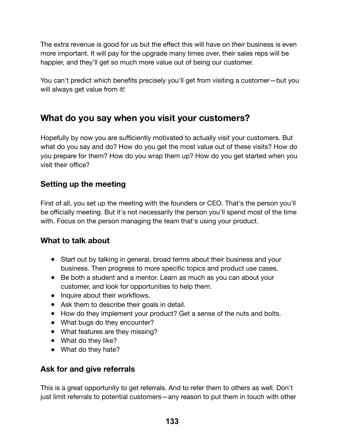The extra revenue is good for us but the effect this will have on *their* business is even more important. It will pay for the upgrade many times over, their sales reps will be happier, and they'll get so much more value out of being our customer.

You can't predict which benefits precisely you'll get from visiting a customer—but you will always get value from it!

# **What do you say when you visit your customers?**

Hopefully by now you are sufficiently motivated to actually visit your customers. But what do you say and do? How do you get the most value out of these visits? How do you prepare for them? How do you wrap them up? How do you get started when you visit their office?

#### **Setting up the meeting**

First of all, you set up the meeting with the founders or CEO. That's the person you'll be officially meeting. But it's not necessarily the person you'll spend most of the time with. Focus on the person managing the team that's using your product.

#### **What to talk about**

- Start out by talking in general, broad terms about their business and your business. Then progress to more specific topics and product use cases.
- Be both a student and a mentor. Learn as much as you can about your customer, and look for opportunities to help them.
- Inquire about their workflows.
- Ask them to describe their goals in detail.
- How do they implement your product? Get a sense of the nuts and bolts.
- What bugs do they encounter?
- What features are they missing?
- What do they like?
- What do they hate?

#### **Ask for and give referrals**

This is a great opportunity to get referrals. And to refer them to others as well. Don't just limit referrals to potential customers—any reason to put them in touch with other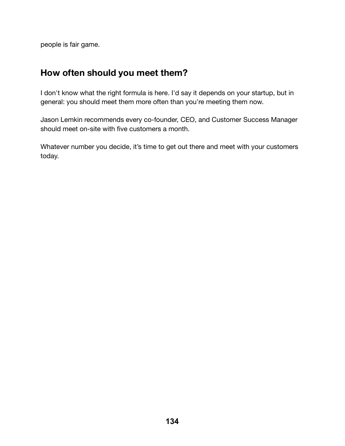people is fair game.

### **How often should you meet them?**

I don't know what the right formula is here. I'd say it depends on your startup, but in general: you should meet them more often than you're meeting them now.

Jason Lemkin recommends every co-founder, CEO, and Customer Success Manager should meet on-site with five customers a month.

Whatever number you decide, it's time to get out there and meet with your customers today.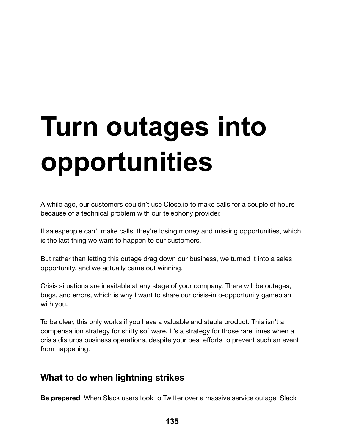# **Turn outages into opportunities**

A while ago, our customers couldn't use Close.io to make calls for a couple of hours because of a technical problem with our telephony provider.

If salespeople can't make calls, they're losing money and missing opportunities, which is the last thing we want to happen to our customers.

But rather than letting this outage drag down our business, we turned it into a sales opportunity, and we actually came out winning.

Crisis situations are inevitable at any stage of your company. There will be outages, bugs, and errors, which is why I want to share our crisis-into-opportunity gameplan with you.

To be clear, this only works if you have a valuable and stable product. This isn't a compensation strategy for shitty software. It's a strategy for those rare times when a crisis disturbs business operations, despite your best efforts to prevent such an event from happening.

# **What to do when lightning strikes**

**Be prepared**. When Slack users took to Twitter over a massive service outage, Slack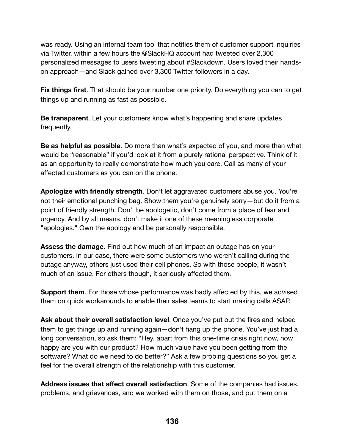was ready. Using an internal team tool that notifies them of customer support inquiries via Twitter, within a few hours the @SlackHQ account had tweeted over 2,300 personalized messages to users tweeting about #Slackdown. Users loved their handson approach—and Slack gained over 3,300 Twitter followers in a day.

**Fix things first**. That should be your number one priority. Do everything you can to get things up and running as fast as possible.

**Be transparent**. Let your customers know what's happening and share updates frequently.

**Be as helpful as possible**. Do more than what's expected of you, and more than what would be "reasonable" if you'd look at it from a purely rational perspective. Think of it as an opportunity to really demonstrate how much you care. Call as many of your affected customers as you can on the phone.

**Apologize with friendly strength**. Don't let aggravated customers abuse you. You're not their emotional punching bag. Show them you're genuinely sorry—but do it from a point of friendly strength. Don't be apologetic, don't come from a place of fear and urgency. And by all means, don't make it one of these meaningless corporate "apologies." Own the apology and be personally responsible.

**Assess the damage**. Find out how much of an impact an outage has on your customers. In our case, there were some customers who weren't calling during the outage anyway, others just used their cell phones. So with those people, it wasn't much of an issue. For others though, it seriously affected them.

**Support them**. For those whose performance was badly affected by this, we advised them on quick workarounds to enable their sales teams to start making calls ASAP.

**Ask about their overall satisfaction level**. Once you've put out the fires and helped them to get things up and running again—don't hang up the phone. You've just had a long conversation, so ask them: "Hey, apart from this one-time crisis right now, how happy are you with our product? How much value have you been getting from the software? What do we need to do better?" Ask a few probing questions so you get a feel for the overall strength of the relationship with this customer.

**Address issues that affect overall satisfaction**. Some of the companies had issues, problems, and grievances, and we worked with them on those, and put them on a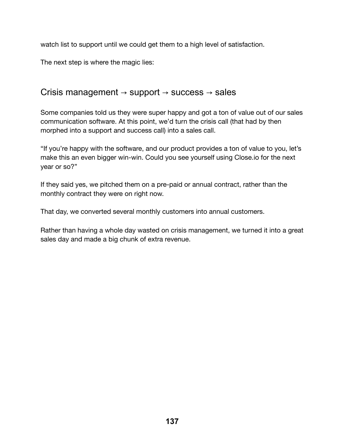watch list to support until we could get them to a high level of satisfaction.

The next step is where the magic lies:

#### Crisis management  $\rightarrow$  support  $\rightarrow$  success  $\rightarrow$  sales

Some companies told us they were super happy and got a ton of value out of our sales communication software. At this point, we'd turn the crisis call (that had by then morphed into a support and success call) into a sales call.

"If you're happy with the software, and our product provides a ton of value to you, let's make this an even bigger win-win. Could you see yourself using Close.io for the next year or so?"

If they said yes, we pitched them on a pre-paid or annual contract, rather than the monthly contract they were on right now.

That day, we converted several monthly customers into annual customers.

Rather than having a whole day wasted on crisis management, we turned it into a great sales day and made a big chunk of extra revenue.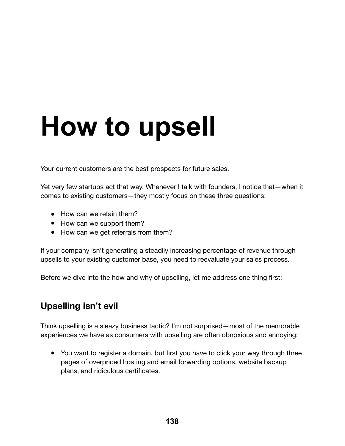# **How to upsell**

Your current customers are the best prospects for future sales.

Yet very few startups act that way. Whenever I talk with founders, I notice that—when it comes to existing customers—they mostly focus on these three questions:

- How can we retain them?
- How can we support them?
- How can we get referrals from them?

If your company isn't generating a steadily increasing percentage of revenue through upsells to your existing customer base, you need to reevaluate your sales process.

Before we dive into the how and why of upselling, let me address one thing first:

# **Upselling isn't evil**

Think upselling is a sleazy business tactic? I'm not surprised—most of the memorable experiences we have as consumers with upselling are often obnoxious and annoying:

● You want to register a domain, but first you have to click your way through three pages of overpriced hosting and email forwarding options, website backup plans, and ridiculous certificates.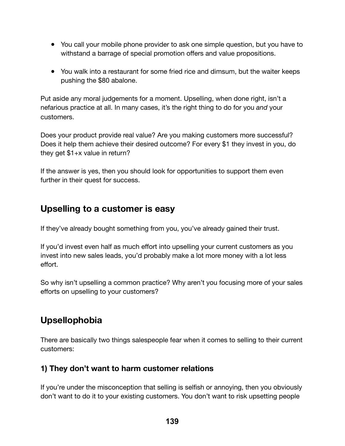- You call your mobile phone provider to ask one simple question, but you have to withstand a barrage of special promotion offers and value propositions.
- You walk into a restaurant for some fried rice and dimsum, but the waiter keeps pushing the \$80 abalone.

Put aside any moral judgements for a moment. Upselling, when done right, isn't a nefarious practice at all. In many cases, it's the right thing to do for you *and* your customers.

Does your product provide real value? Are you making customers more successful? Does it help them achieve their desired outcome? For every \$1 they invest in you, do they get  $$1+x$  value in return?

If the answer is yes, then you should look for opportunities to support them even further in their quest for success.

### **Upselling to a customer is easy**

If they've already bought something from you, you've already gained their trust.

If you'd invest even half as much effort into upselling your current customers as you invest into new sales leads, you'd probably make a lot more money with a lot less effort.

So why isn't upselling a common practice? Why aren't you focusing more of your sales efforts on upselling to your customers?

# **Upsellophobia**

There are basically two things salespeople fear when it comes to selling to their current customers:

#### **1) They don't want to harm customer relations**

If you're under the misconception that selling is selfish or annoying, then you obviously don't want to do it to your existing customers. You don't want to risk upsetting people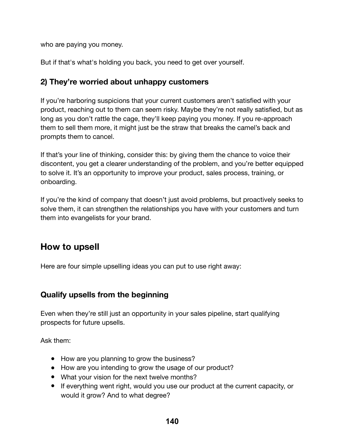who are paying you money.

But if that's what's holding you back, you need to get over yourself.

#### **2) They're worried about unhappy customers**

If you're harboring suspicions that your current customers aren't satisfied with your product, reaching out to them can seem risky. Maybe they're not really satisfied, but as long as you don't rattle the cage, they'll keep paying you money. If you re-approach them to sell them more, it might just be the straw that breaks the camel's back and prompts them to cancel.

If that's your line of thinking, consider this: by giving them the chance to voice their discontent, you get a clearer understanding of the problem, and you're better equipped to solve it. It's an opportunity to improve your product, sales process, training, or onboarding.

If you're the kind of company that doesn't just avoid problems, but proactively seeks to solve them, it can strengthen the relationships you have with your customers and turn them into evangelists for your brand.

### **How to upsell**

Here are four simple upselling ideas you can put to use right away:

#### **Qualify upsells from the beginning**

Even when they're still just an opportunity in your sales pipeline, start qualifying prospects for future upsells.

Ask them:

- How are you planning to grow the business?
- How are you intending to grow the usage of our product?
- What your vision for the next twelve months?
- If everything went right, would you use our product at the current capacity, or would it grow? And to what degree?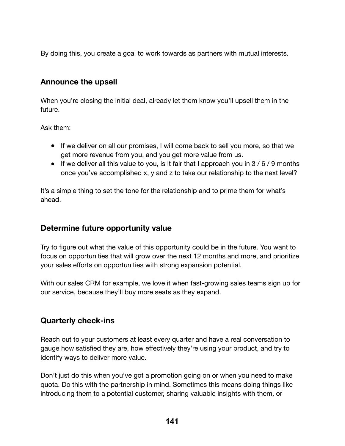By doing this, you create a goal to work towards as partners with mutual interests.

#### **Announce the upsell**

When you're closing the initial deal, already let them know you'll upsell them in the future.

Ask them:

- If we deliver on all our promises, I will come back to sell you more, so that we get more revenue from you, and you get more value from us.
- $\bullet$  If we deliver all this value to you, is it fair that I approach you in 3/6/9 months once you've accomplished x, y and z to take our relationship to the next level?

It's a simple thing to set the tone for the relationship and to prime them for what's ahead.

#### **Determine future opportunity value**

Try to figure out what the value of this opportunity could be in the future. You want to focus on opportunities that will grow over the next 12 months and more, and prioritize your sales efforts on opportunities with strong expansion potential.

With our sales CRM for example, we love it when fast-growing sales teams sign up for our service, because they'll buy more seats as they expand.

#### **Quarterly check-ins**

Reach out to your customers at least every quarter and have a real conversation to gauge how satisfied they are, how effectively they're using your product, and try to identify ways to deliver more value.

Don't just do this when you've got a promotion going on or when you need to make quota. Do this with the partnership in mind. Sometimes this means doing things like introducing them to a potential customer, sharing valuable insights with them, or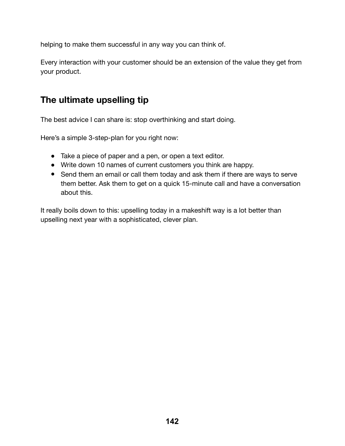helping to make them successful in any way you can think of.

Every interaction with your customer should be an extension of the value they get from your product.

#### **The ultimate upselling tip**

The best advice I can share is: stop overthinking and start doing.

Here's a simple 3-step-plan for you right now:

- Take a piece of paper and a pen, or open a text editor.
- Write down 10 names of current customers you think are happy.
- Send them an email or call them today and ask them if there are ways to serve them better. Ask them to get on a quick 15-minute call and have a conversation about this.

It really boils down to this: upselling today in a makeshift way is a lot better than upselling next year with a sophisticated, clever plan.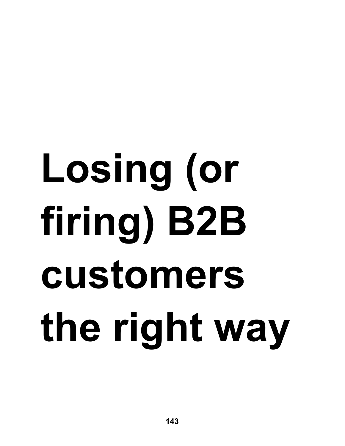# **Losing (or firing) B2B customers the right way**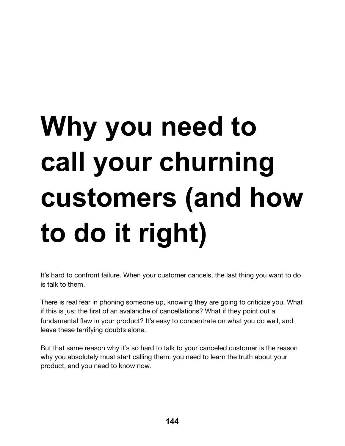# **Why you need to call your churning customers (and how to do it right)**

It's hard to confront failure. When your customer cancels, the last thing you want to do is talk to them.

There is real fear in phoning someone up, knowing they are going to criticize you. What if this is just the first of an avalanche of cancellations? What if they point out a fundamental flaw in your product? It's easy to concentrate on what you do well, and leave these terrifying doubts alone.

But that same reason why it's so hard to talk to your canceled customer is the reason why you absolutely must start calling them: you need to learn the truth about your product, and you need to know now.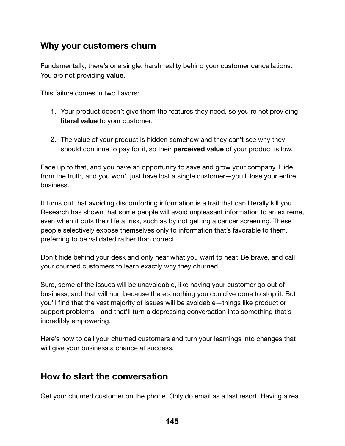# **Why your customers churn**

Fundamentally, there's one single, harsh reality behind your customer cancellations: You are not providing **value**.

This failure comes in two flavors:

- 1. Your product doesn't give them the features they need, so you're not providing **literal value** to your customer.
- 2. The value of your product is hidden somehow and they can't see why they should continue to pay for it, so their **perceived value** of your product is low.

Face up to that, and you have an opportunity to save and grow your company. Hide from the truth, and you won't just have lost a single customer—you'll lose your entire business.

It turns out that avoiding discomforting information is a trait that can literally kill you. Research has shown that some people will avoid unpleasant information to an extreme, even when it puts their life at risk, such as by not getting a cancer screening. These people selectively expose themselves only to information that's favorable to them, preferring to be validated rather than correct.

Don't hide behind your desk and only hear what you want to hear. Be brave, and call your churned customers to learn exactly why they churned.

Sure, some of the issues will be unavoidable, like having your customer go out of business, and that will hurt because there's nothing you could've done to stop it. But you'll find that the vast majority of issues will be avoidable—things like product or support problems—and that'll turn a depressing conversation into something that's incredibly empowering.

Here's how to call your churned customers and turn your learnings into changes that will give your business a chance at success.

# **How to start the conversation**

Get your churned customer on the phone. Only do email as a last resort. Having a real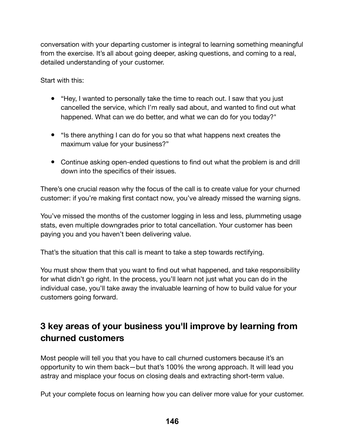conversation with your departing customer is integral to learning something meaningful from the exercise. It's all about going deeper, asking questions, and coming to a real, detailed understanding of your customer.

Start with this:

- "Hey, I wanted to personally take the time to reach out. I saw that you just cancelled the service, which I'm really sad about, and wanted to find out what happened. What can we do better, and what we can do for you today?"
- "Is there anything I can do for you so that what happens next creates the maximum value for your business?"
- Continue asking open-ended questions to find out what the problem is and drill down into the specifics of their issues.

There's one crucial reason why the focus of the call is to create value for your churned customer: if you're making first contact now, you've already missed the warning signs.

You've missed the months of the customer logging in less and less, plummeting usage stats, even multiple downgrades prior to total cancellation. Your customer has been paying you and you haven't been delivering value.

That's the situation that this call is meant to take a step towards rectifying.

You must show them that you want to find out what happened, and take responsibility for what didn't go right. In the process, you'll learn not just what you can do in the individual case, you'll take away the invaluable learning of how to build value for your customers going forward.

# **3 key areas of your business you'll improve by learning from churned customers**

Most people will tell you that you have to call churned customers because it's an opportunity to win them back—but that's 100% the wrong approach. It will lead you astray and misplace your focus on closing deals and extracting short-term value.

Put your complete focus on learning how you can deliver more value for your customer.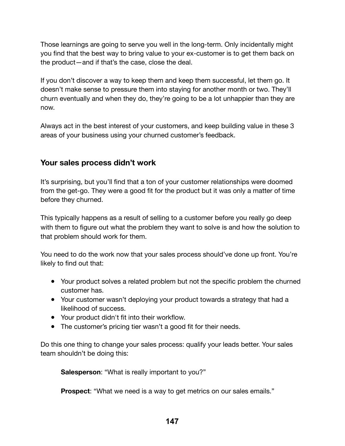Those learnings are going to serve you well in the long-term. Only incidentally might you find that the best way to bring value to your ex-customer is to get them back on the product—and if that's the case, close the deal.

If you don't discover a way to keep them and keep them successful, let them go. It doesn't make sense to pressure them into staying for another month or two. They'll churn eventually and when they do, they're going to be a lot unhappier than they are now.

Always act in the best interest of your customers, and keep building value in these 3 areas of your business using your churned customer's feedback.

#### **Your sales process didn't work**

It's surprising, but you'll find that a ton of your customer relationships were doomed from the get-go. They were a good fit for the product but it was only a matter of time before they churned.

This typically happens as a result of selling to a customer before you really go deep with them to figure out what the problem they want to solve is and how the solution to that problem should work for them.

You need to do the work now that your sales process should've done up front. You're likely to find out that:

- Your product solves a related problem but not the specific problem the churned customer has.
- Your customer wasn't deploying your product towards a strategy that had a likelihood of success.
- Your product didn't fit into their workflow.
- The customer's pricing tier wasn't a good fit for their needs.

Do this one thing to change your sales process: qualify your leads better. Your sales team shouldn't be doing this:

**Salesperson**: "What is really important to you?"

**Prospect:** "What we need is a way to get metrics on our sales emails."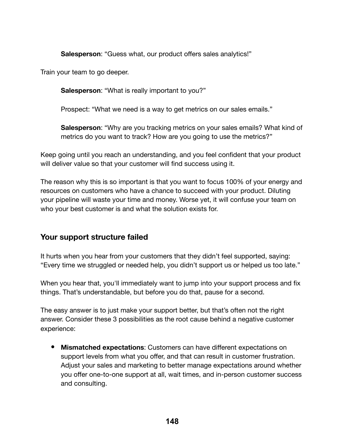**Salesperson**: "Guess what, our product offers sales analytics!"

Train your team to go deeper.

**Salesperson**: "What is really important to you?"

Prospect: "What we need is a way to get metrics on our sales emails."

**Salesperson**: "Why are you tracking metrics on your sales emails? What kind of metrics do you want to track? How are you going to use the metrics?"

Keep going until you reach an understanding, and you feel confident that your product will deliver value so that your customer will find success using it.

The reason why this is so important is that you want to focus 100% of your energy and resources on customers who have a chance to succeed with your product. Diluting your pipeline will waste your time and money. Worse yet, it will confuse your team on who your best customer is and what the solution exists for.

#### **Your support structure failed**

It hurts when you hear from your customers that they didn't feel supported, saying: "Every time we struggled or needed help, you didn't support us or helped us too late."

When you hear that, you'll immediately want to jump into your support process and fix things. That's understandable, but before you do that, pause for a second.

The easy answer is to just make your support better, but that's often not the right answer. Consider these 3 possibilities as the root cause behind a negative customer experience:

● **Mismatched expectations**: Customers can have different expectations on support levels from what you offer, and that can result in customer frustration. Adjust your sales and marketing to better manage expectations around whether you offer one-to-one support at all, wait times, and in-person customer success and consulting.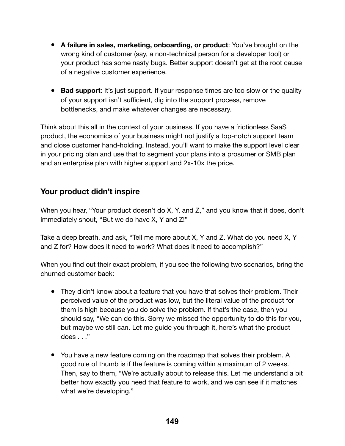- **A failure in sales, marketing, onboarding, or product**: You've brought on the wrong kind of customer (say, a non-technical person for a developer tool) or your product has some nasty bugs. Better support doesn't get at the root cause of a negative customer experience.
- **Bad support**: It's just support. If your response times are too slow or the quality of your support isn't sufficient, dig into the support process, remove bottlenecks, and make whatever changes are necessary.

Think about this all in the context of your business. If you have a frictionless SaaS product, the economics of your business might not justify a top-notch support team and close customer hand-holding. Instead, you'll want to make the support level clear in your pricing plan and use that to segment your plans into a prosumer or SMB plan and an enterprise plan with higher support and 2x-10x the price.

# **Your product didn't inspire**

When you hear, "Your product doesn't do X, Y, and Z," and you know that it does, don't immediately shout, "But we do have X, Y and Z!"

Take a deep breath, and ask, "Tell me more about X, Y and Z. What do you need X, Y and Z for? How does it need to work? What does it need to accomplish?"

When you find out their exact problem, if you see the following two scenarios, bring the churned customer back:

- They didn't know about a feature that you have that solves their problem. Their perceived value of the product was low, but the literal value of the product for them is high because you do solve the problem. If that's the case, then you should say, "We can do this. Sorry we missed the opportunity to do this for you, but maybe we still can. Let me guide you through it, here's what the product does . . ."
- You have a new feature coming on the roadmap that solves their problem. A good rule of thumb is if the feature is coming within a maximum of 2 weeks. Then, say to them, "We're actually about to release this. Let me understand a bit better how exactly you need that feature to work, and we can see if it matches what we're developing."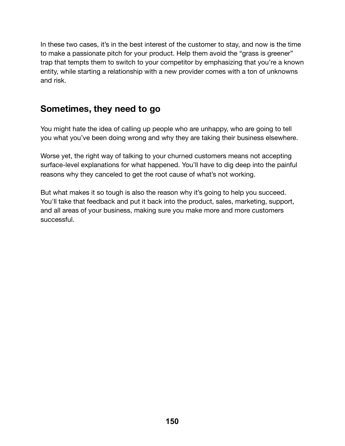In these two cases, it's in the best interest of the customer to stay, and now is the time to make a passionate pitch for your product. Help them avoid the "grass is greener" trap that tempts them to switch to your competitor by emphasizing that you're a known entity, while starting a relationship with a new provider comes with a ton of unknowns and risk.

# **Sometimes, they need to go**

You might hate the idea of calling up people who are unhappy, who are going to tell you what you've been doing wrong and why they are taking their business elsewhere.

Worse yet, the right way of talking to your churned customers means not accepting surface-level explanations for what happened. You'll have to dig deep into the painful reasons why they canceled to get the root cause of what's not working.

But what makes it so tough is also the reason why it's going to help you succeed. You'll take that feedback and put it back into the product, sales, marketing, support, and all areas of your business, making sure you make more and more customers successful.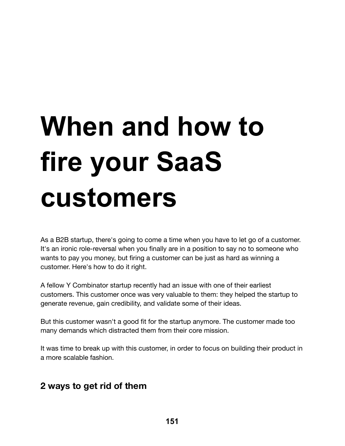# **When and how to fire your SaaS customers**

As a B2B startup, there's going to come a time when you have to let go of a customer. It's an ironic role-reversal when you finally are in a position to say no to someone who wants to pay you money, but firing a customer can be just as hard as winning a customer. Here's how to do it right.

A fellow Y Combinator startup recently had an issue with one of their earliest customers. This customer once was very valuable to them: they helped the startup to generate revenue, gain credibility, and validate some of their ideas.

But this customer wasn't a good fit for the startup anymore. The customer made too many demands which distracted them from their core mission.

It was time to break up with this customer, in order to focus on building their product in a more scalable fashion.

**2 ways to get rid of them**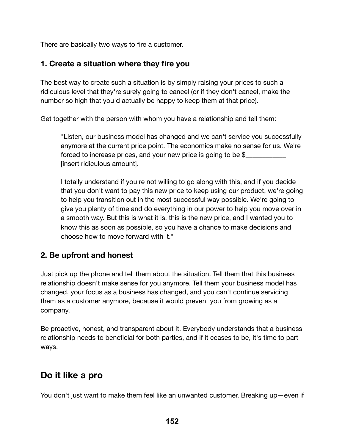There are basically two ways to fire a customer.

## **1. Create a situation where they fire you**

The best way to create such a situation is by simply raising your prices to such a ridiculous level that they're surely going to cancel (or if they don't cancel, make the number so high that you'd actually be happy to keep them at that price).

Get together with the person with whom you have a relationship and tell them:

"Listen, our business model has changed and we can't service you successfully anymore at the current price point. The economics make no sense for us. We're forced to increase prices, and your new price is going to be \$ [insert ridiculous amount].

I totally understand if you're not willing to go along with this, and if you decide that you don't want to pay this new price to keep using our product, we're going to help you transition out in the most successful way possible. We're going to give you plenty of time and do everything in our power to help you move over in a smooth way. But this is what it is, this is the new price, and I wanted you to know this as soon as possible, so you have a chance to make decisions and choose how to move forward with it."

## **2. Be upfront and honest**

Just pick up the phone and tell them about the situation. Tell them that this business relationship doesn't make sense for you anymore. Tell them your business model has changed, your focus as a business has changed, and you can't continue servicing them as a customer anymore, because it would prevent you from growing as a company.

Be proactive, honest, and transparent about it. Everybody understands that a business relationship needs to beneficial for both parties, and if it ceases to be, it's time to part ways.

# **Do it like a pro**

You don't just want to make them feel like an unwanted customer. Breaking up—even if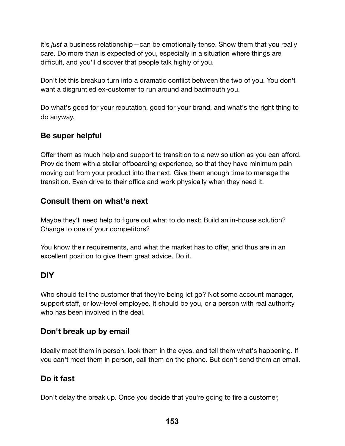it's *just* a business relationship—can be emotionally tense. Show them that you really care. Do more than is expected of you, especially in a situation where things are difficult, and you'll discover that people talk highly of you.

Don't let this breakup turn into a dramatic conflict between the two of you. You don't want a disgruntled ex-customer to run around and badmouth you.

Do what's good for your reputation, good for your brand, and what's the right thing to do anyway.

# **Be super helpful**

Offer them as much help and support to transition to a new solution as you can afford. Provide them with a stellar offboarding experience, so that they have minimum pain moving out from your product into the next. Give them enough time to manage the transition. Even drive to their office and work physically when they need it.

#### **Consult them on what's next**

Maybe they'll need help to figure out what to do next: Build an in-house solution? Change to one of your competitors?

You know their requirements, and what the market has to offer, and thus are in an excellent position to give them great advice. Do it.

## **DIY**

Who should tell the customer that they're being let go? Not some account manager, support staff, or low-level employee. It should be you, or a person with real authority who has been involved in the deal.

## **Don't break up by email**

Ideally meet them in person, look them in the eyes, and tell them what's happening. If you can't meet them in person, call them on the phone. But don't send them an email.

## **Do it fast**

Don't delay the break up. Once you decide that you're going to fire a customer,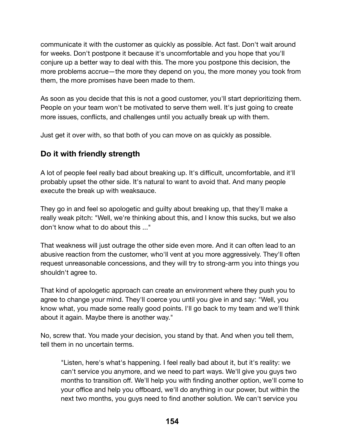communicate it with the customer as quickly as possible. Act fast. Don't wait around for weeks. Don't postpone it because it's uncomfortable and you hope that you'll conjure up a better way to deal with this. The more you postpone this decision, the more problems accrue—the more they depend on you, the more money you took from them, the more promises have been made to them.

As soon as you decide that this is not a good customer, you'll start deprioritizing them. People on your team won't be motivated to serve them well. It's just going to create more issues, conflicts, and challenges until you actually break up with them.

Just get it over with, so that both of you can move on as quickly as possible.

## **Do it with friendly strength**

A lot of people feel really bad about breaking up. It's difficult, uncomfortable, and it'll probably upset the other side. It's natural to want to avoid that. And many people execute the break up with weaksauce.

They go in and feel so apologetic and guilty about breaking up, that they'll make a really weak pitch: "Well, we're thinking about this, and I know this sucks, but we also don't know what to do about this ..."

That weakness will just outrage the other side even more. And it can often lead to an abusive reaction from the customer, who'll vent at you more aggressively. They'll often request unreasonable concessions, and they will try to strong-arm you into things you shouldn't agree to.

That kind of apologetic approach can create an environment where they push you to agree to change your mind. They'll coerce you until you give in and say: "Well, you know what, you made some really good points. I'll go back to my team and we'll think about it again. Maybe there is another way."

No, screw that. You made your decision, you stand by that. And when you tell them, tell them in no uncertain terms.

"Listen, here's what's happening. I feel really bad about it, but it's reality: we can't service you anymore, and we need to part ways. We'll give you guys two months to transition off. We'll help you with finding another option, we'll come to your office and help you offboard, we'll do anything in our power, but within the next two months, you guys need to find another solution. We can't service you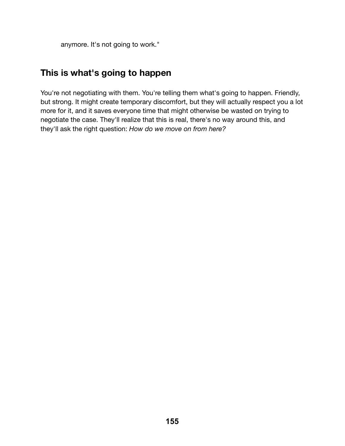anymore. It's not going to work."

# **This is what's going to happen**

You're not negotiating with them. You're telling them what's going to happen. Friendly, but strong. It might create temporary discomfort, but they will actually respect you a lot more for it, and it saves everyone time that might otherwise be wasted on trying to negotiate the case. They'll realize that this is real, there's no way around this, and they'll ask the right question: *How do we move on from here?*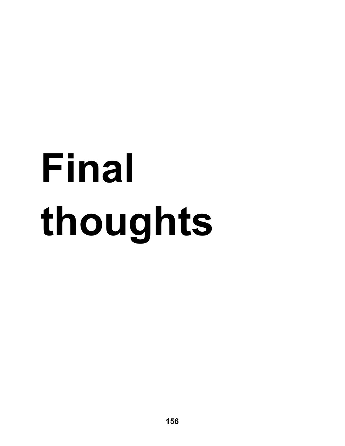# **Final thoughts**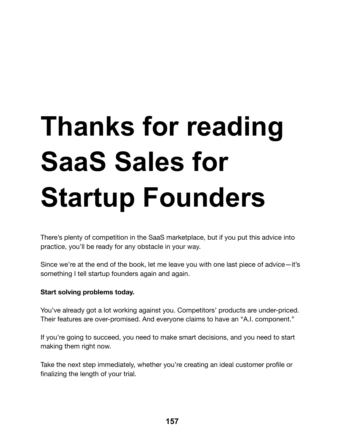# **Thanks for reading SaaS Sales for Startup Founders**

There's plenty of competition in the SaaS marketplace, but if you put this advice into practice, you'll be ready for any obstacle in your way.

Since we're at the end of the book, let me leave you with one last piece of advice—it's something I tell startup founders again and again.

#### **Start solving problems today.**

You've already got a lot working against you. Competitors' products are under-priced. Their features are over-promised. And everyone claims to have an "A.I. component."

If you're going to succeed, you need to make smart decisions, and you need to start making them right now.

Take the next step immediately, whether you're creating an ideal customer profile or finalizing the length of your trial.